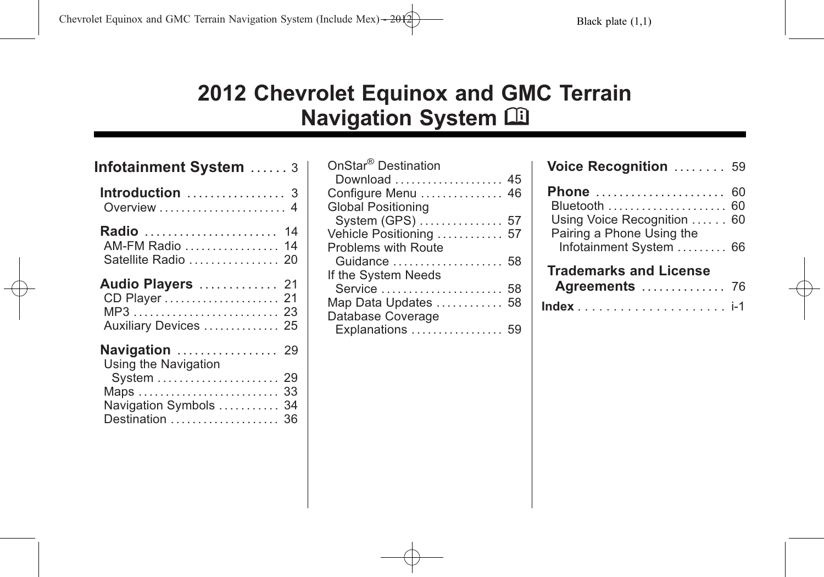# **2012 Chevrolet Equinox and GMC Terrain Navigation System**  $\widehat{\mathbb{H}}$

| Infotainment System  3                                                                          |                |
|-------------------------------------------------------------------------------------------------|----------------|
| Introduction  3<br>Overview  4                                                                  |                |
| <b>Radio</b> 14<br>AM-FM Radio  14<br>Satellite Radio  20                                       |                |
| Audio Players  21<br>Auxiliary Devices  25                                                      |                |
| <b>Navigation</b> 29<br>Using the Navigation<br>System<br>Navigation Symbols<br>Destination  36 | 29<br>33<br>34 |

| OnStar <sup>®</sup> Destination |  |
|---------------------------------|--|
| Download 45                     |  |
| Configure Menu  46              |  |
| <b>Global Positioning</b>       |  |
| System (GPS)  57                |  |
| Vehicle Positioning  57         |  |
| <b>Problems with Route</b>      |  |
| Guidance  58                    |  |
| If the System Needs             |  |
| Service  58                     |  |
| Map Data Updates  58            |  |
| Database Coverage               |  |
| Explanations  59                |  |

| Voice Recognition  59                                                                        |    |
|----------------------------------------------------------------------------------------------|----|
| Phone<br>Using Voice Recognition  60<br>Pairing a Phone Using the<br>Infotainment System  66 | 60 |
| <b>Trademarks and License</b>                                                                |    |
| Agreements  76                                                                               |    |
|                                                                                              |    |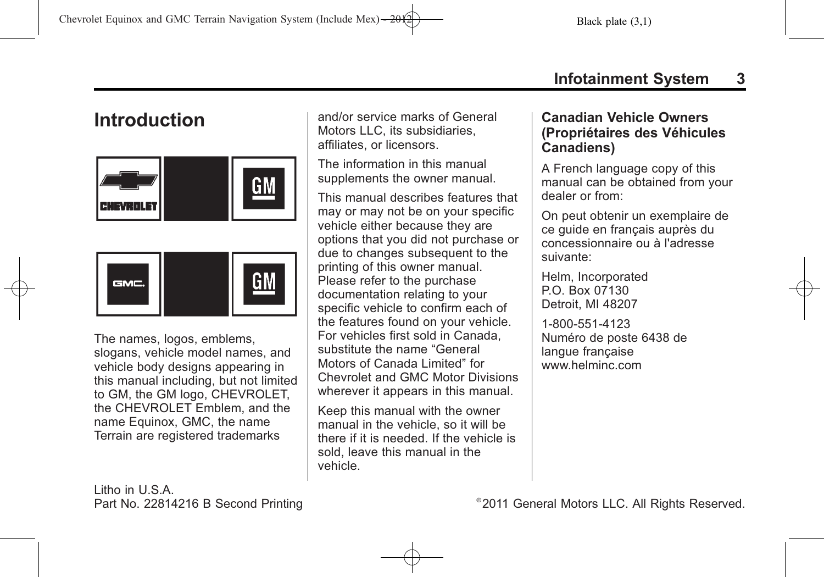# 2011 General Motors LLC. All Rights Reserved.

# **Infotainment System 3**

# <span id="page-2-0"></span>**Introduction**





The names, logos, emblems, slogans, vehicle model names, and vehicle body designs appearing in this manual including, but not limited to GM, the GM logo, CHEVROLET, the CHEVROLET Emblem, and the name Equinox, GMC, the name Terrain are registered trademarks

and/or service marks of General Motors LLC, its subsidiaries, affiliates, or licensors.

The information in this manual supplements the owner manual.

This manual describes features that may or may not be on your specific vehicle either because they are options that you did not purchase or due to changes subsequent to the printing of this owner manual. Please refer to the purchase documentation relating to your specific vehicle to confirm each of the features found on your vehicle. For vehicles first sold in Canada, substitute the name "General Motors of Canada Limited" for Chevrolet and GMC Motor Divisions wherever it appears in this manual.

Keep this manual with the owner manual in the vehicle, so it will be there if it is needed. If the vehicle is sold, leave this manual in the vehicle.

### **Canadian Vehicle Owners (Propriétaires des Véhicules Canadiens)**

A French language copy of this manual can be obtained from your dealer or from:

On peut obtenir un exemplaire de ce guide en français auprès du concessionnaire ou à l'adresse suivante:

Helm, Incorporated P.O. Box 07130 Detroit, MI 48207

1-800-551-4123 Numéro de poste 6438 de langue française www.helminc.com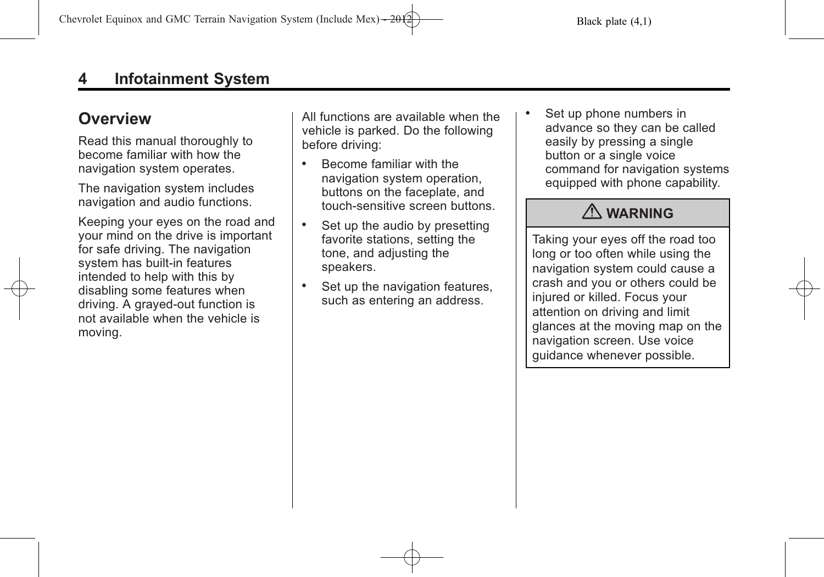# <span id="page-3-0"></span>**Overview**

Read this manual thoroughly to become familiar with how the navigation system operates.

The navigation system includes navigation and audio functions.

Keeping your eyes on the road and your mind on the drive is important for safe driving. The navigation system has built-in features intended to help with this by disabling some features when driving. A grayed-out function is not available when the vehicle is moving.

All functions are available when the vehicle is parked. Do the following before driving:

- . Become familiar with the navigation system operation, buttons on the faceplate, and touch-sensitive screen buttons.
- Set up the audio by presetting favorite stations, setting the tone, and adjusting the speakers.
- . Set up the navigation features, such as entering an address.

Set up phone numbers in advance so they can be called easily by pressing a single button or a single voice command for navigation systems equipped with phone capability.

# { **WARNING**

Taking your eyes off the road too long or too often while using the navigation system could cause a crash and you or others could be injured or killed. Focus your attention on driving and limit glances at the moving map on the navigation screen. Use voice guidance whenever possible.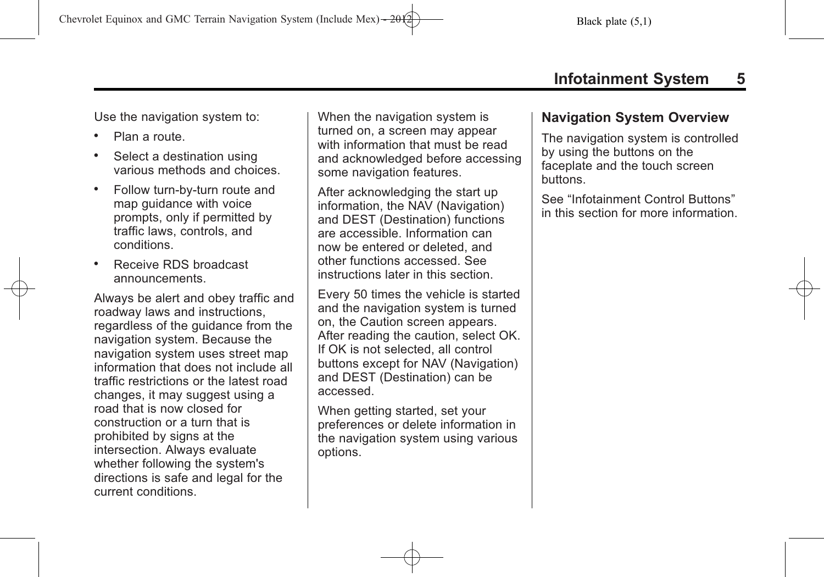Use the navigation system to:

- . Plan a route.
- . Select a destination using various methods and choices.
- . Follow turn-by-turn route and map guidance with voice prompts, only if permitted by traffic laws, controls, and conditions.
- . Receive RDS broadcast announcements.

Always be alert and obey traffic and roadway laws and instructions, regardless of the guidance from the navigation system. Because the navigation system uses street map information that does not include all traffic restrictions or the latest road changes, it may suggest using a road that is now closed for construction or a turn that is prohibited by signs at the intersection. Always evaluate whether following the system's directions is safe and legal for the current conditions.

When the navigation system is turned on, a screen may appear with information that must be read and acknowledged before accessing some navigation features.

After acknowledging the start up information, the NAV (Navigation) and DEST (Destination) functions are accessible. Information can now be entered or deleted, and other functions accessed. See instructions later in this section.

Every 50 times the vehicle is started and the navigation system is turned on, the Caution screen appears. After reading the caution, select OK. If OK is not selected, all control buttons except for NAV (Navigation) and DEST (Destination) can be accessed.

When getting started, set your preferences or delete information in the navigation system using various options.

### **Navigation System Overview**

The navigation system is controlled by using the buttons on the faceplate and the touch screen buttons.

See "Infotainment Control Buttons" in this section for more information.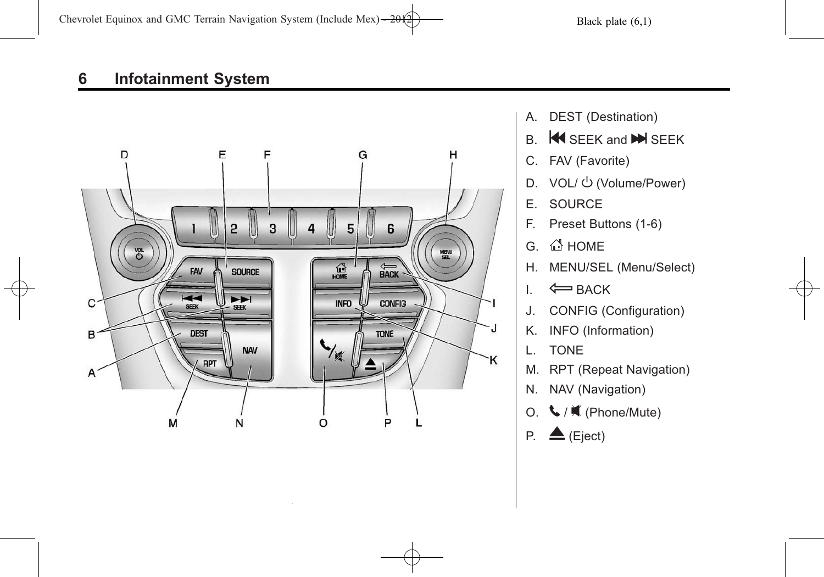

- A. DEST (Destination)
- $B.$  **K** SEEK and **M** SEEK
- C. FAV (Favorite)
- D. VOL/  $\bigcup$  (Volume/Power)
- E. SOURCE
- F. Preset Buttons (1-6)
- $G.$   $\stackrel{\triangle}{\longrightarrow}$  HOME
- H. MENU/SEL (Menu/Select)
- $I. \Leftrightarrow$  BACK
- J. CONFIG (Configuration)
- K. INFO (Information)
- L. TONE
- M. RPT (Repeat Navigation)
- N. NAV (Navigation)
- O.  $\bigcup$  /  $\mathbf{\mathbf{\mathsf{M}}}$  (Phone/Mute)
- P.  $\triangle$  (Eject)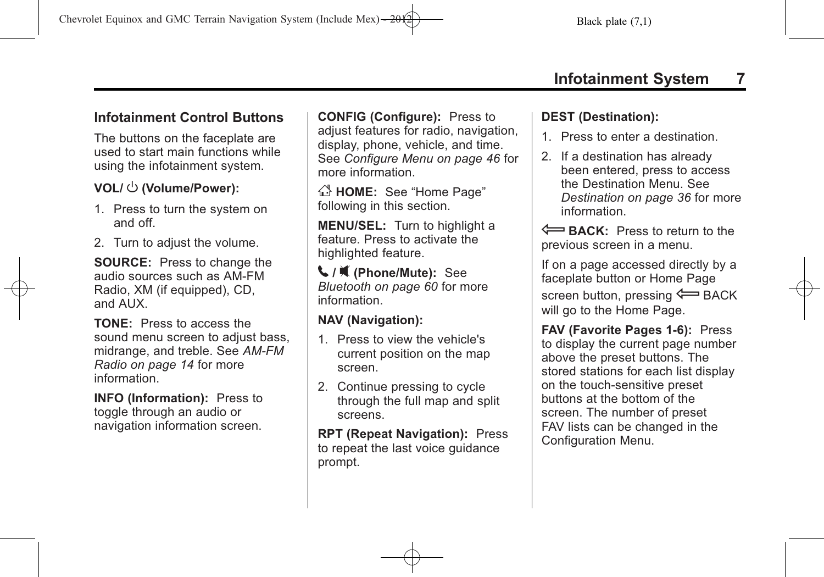# **Infotainment Control Buttons**

The buttons on the faceplate are used to start main functions while using the infotainment system.

# **VOL/**  $\cup$  (Volume/Power):

- 1. Press to turn the system on and off.
- 2. Turn to adjust the volume.

**SOURCE:** Press to change the audio sources such as AM-FM Radio, XM (if equipped), CD, and AUX.

**TONE:** Press to access the sound menu screen to adjust bass, midrange, and treble. See *[AM-FM](#page-13-0) [Radio on page 14](#page-13-0)* for more information.

**INFO (Information): Press to** toggle through an audio or navigation information screen. **CONFIG (Configure):** Press to adjust features for radio, navigation, display, phone, vehicle, and time. See *[Configure Menu on page 46](#page-45-0)* for more information.

 $\bigcirc$  **HOME:** See "Home Page" following in this section.

**MENU/SEL:** Turn to highlight a feature. Press to activate the highlighted feature.

5 **/** 0 **(Phone/Mute):** See *[Bluetooth on page 60](#page-59-0)* for more information.

## **NAV (Navigation):**

- 1. Press to view the vehicle's current position on the map screen.
- 2. Continue pressing to cycle through the full map and split screens.

**RPT (Repeat Navigation):** Press to repeat the last voice guidance prompt.

### **DEST (Destination):**

- 1. Press to enter a destination.
- 2. If a destination has already been entered, press to access the Destination Menu. See *[Destination on page 36](#page-35-0)* for more information.

E **BACK:** Press to return to the previous screen in a menu.

If on a page accessed directly by a faceplate button or Home Page screen button, pressing  $\leftarrow$  BACK will go to the Home Page.

**FAV (Favorite Pages 1-6):** Press to display the current page number above the preset buttons. The stored stations for each list display on the touch-sensitive preset buttons at the bottom of the screen. The number of preset FAV lists can be changed in the Configuration Menu.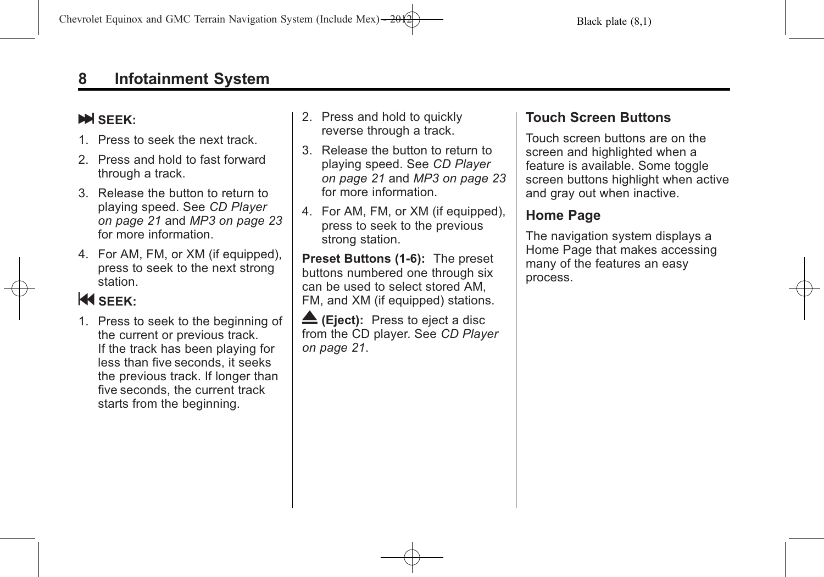## **N** SFFK:

- 1. Press to seek the next track.
- 2. Press and hold to fast forward through a track.
- 3. Release the button to return to playing speed. See *[CD Player](#page-20-0) [on page 21](#page-20-0)* and *[MP3 on page 23](#page-22-0)* for more information.
- 4. For AM, FM, or XM (if equipped), press to seek to the next strong station.

# **KI** SEEK:

1. Press to seek to the beginning of the current or previous track. If the track has been playing for less than five seconds, it seeks the previous track. If longer than five seconds, the current track starts from the beginning.

- 2. Press and hold to quickly reverse through a track.
- 3. Release the button to return to playing speed. See *[CD Player](#page-20-0) [on page 21](#page-20-0)* and *[MP3 on page 23](#page-22-0)* for more information.
- 4. For AM, FM, or XM (if equipped), press to seek to the previous strong station.

**Preset Buttons (1-6):** The preset buttons numbered one through six can be used to select stored AM, FM, and XM (if equipped) stations.

**E** (Eject): Press to eject a disc from the CD player. See *[CD Player](#page-20-0) [on page 21](#page-20-0)*.

## **Touch Screen Buttons**

Touch screen buttons are on the screen and highlighted when a feature is available. Some toggle screen buttons highlight when active and gray out when inactive.

# **Home Page**

The navigation system displays a Home Page that makes accessing many of the features an easy process.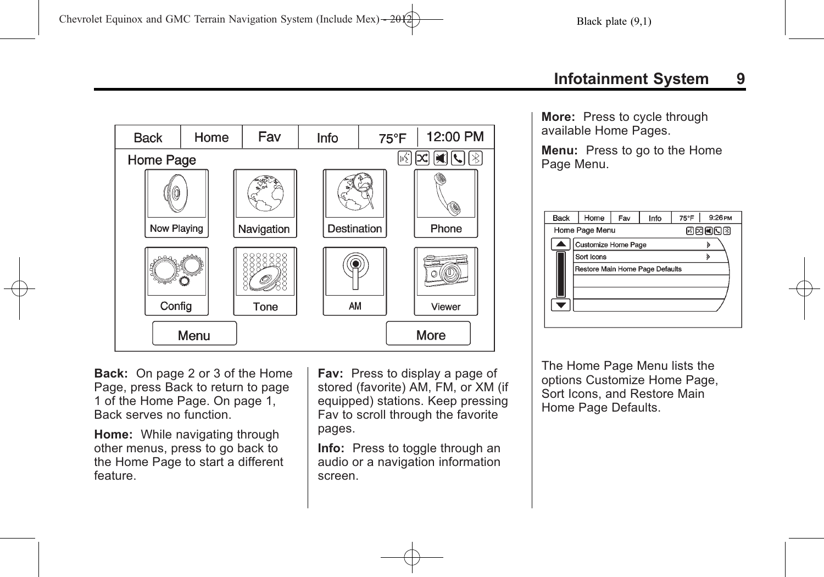

**Back:** On page 2 or 3 of the Home Page, press Back to return to page 1 of the Home Page. On page 1, Back serves no function.

**Home:** While navigating through other menus, press to go back to the Home Page to start a different feature.

**Fav:** Press to display a page of stored (favorite) AM, FM, or XM (if equipped) stations. Keep pressing Fav to scroll through the favorite pages.

**Info:** Press to toggle through an audio or a navigation information screen.

**More:** Press to cycle through available Home Pages.

**Menu:** Press to go to the Home Page Menu.

| <b>Back</b> | Home                            | Fav | Info | 75°F | 9:26 PM |  |  |
|-------------|---------------------------------|-----|------|------|---------|--|--|
|             | Home Page Menu<br>國國國國國         |     |      |      |         |  |  |
|             | Customize Home Page             |     |      |      |         |  |  |
|             | Sort Icons                      |     |      |      |         |  |  |
|             | Restore Main Home Page Defaults |     |      |      |         |  |  |
|             |                                 |     |      |      |         |  |  |
|             |                                 |     |      |      |         |  |  |
|             |                                 |     |      |      |         |  |  |
|             |                                 |     |      |      |         |  |  |

The Home Page Menu lists the options Customize Home Page, Sort Icons, and Restore Main Home Page Defaults.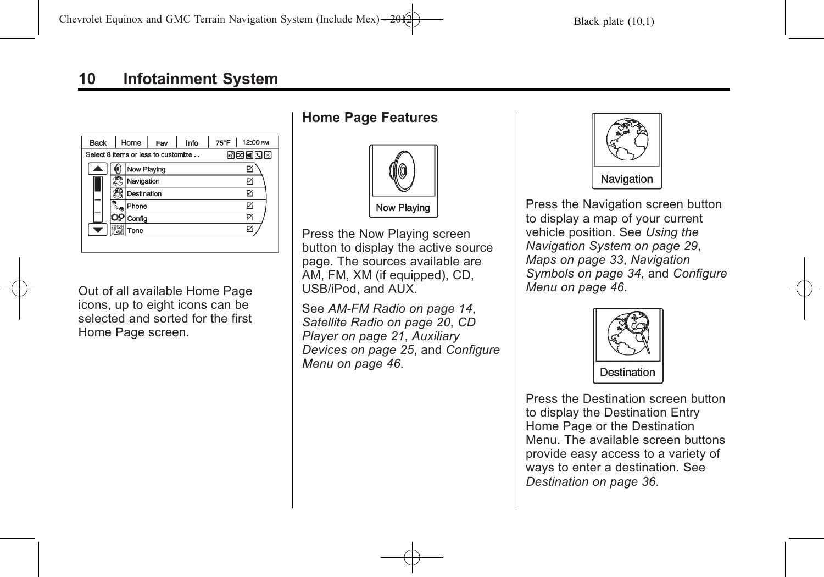| <b>Back</b> | Home                                | Info<br>Fav |  | 12:00 PM<br>75°F |
|-------------|-------------------------------------|-------------|--|------------------|
|             | Select 8 items or less to customize | 网网阿冈冈       |  |                  |
|             | Now Playing                         |             |  |                  |
|             | Navigation                          |             |  | ঢ়               |
|             | Destination                         |             |  | ঢ়               |
|             | Phone                               |             |  | ঢ়               |
|             | Config                              |             |  | ₽                |
|             | Tone                                |             |  |                  |
|             |                                     |             |  |                  |

Out of all available Home Page icons, up to eight icons can be selected and sorted for the first Home Page screen.

### **Home Page Features**



Press the Now Playing screen button to display the active source page. The sources available are AM, FM, XM (if equipped), CD, USB/iPod, and AUX.

See *[AM-FM Radio on page 14](#page-13-0)*, *[Satellite Radio on page 20](#page-19-0)*, *[CD](#page-20-0) [Player on page 21](#page-20-0)*, *[Auxiliary](#page-24-0) [Devices on page 25](#page-24-0)*, and *[Configure](#page-45-0) [Menu on page 46](#page-45-0)*.



Press the Navigation screen button to display a map of your current vehicle position. See *[Using the](#page-28-0) [Navigation System on page 29](#page-28-0)*, *[Maps on page 33](#page-32-0)*, *[Navigation](#page-33-0) [Symbols on page 34](#page-33-0)*, and *[Configure](#page-45-0) [Menu on page 46](#page-45-0)*.



Press the Destination screen button to display the Destination Entry Home Page or the Destination Menu. The available screen buttons provide easy access to a variety of ways to enter a destination. See *[Destination on page 36](#page-35-0)*.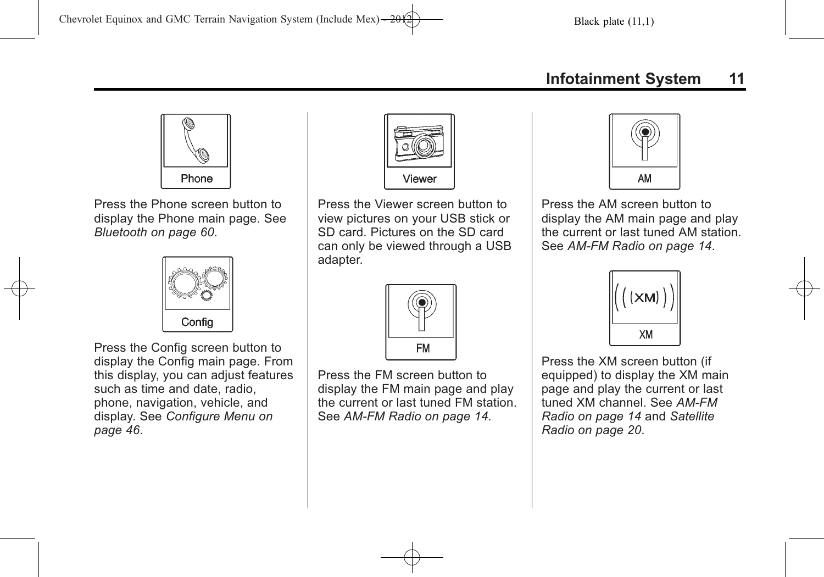

Press the Phone screen button to display the Phone main page. See *[Bluetooth on page 60](#page-59-0)*.



Press the Config screen button to display the Config main page. From this display, you can adjust features such as time and date, radio, phone, navigation, vehicle, and display. See *[Configure Menu on](#page-45-0) [page 46](#page-45-0)*.



Press the Viewer screen button to view pictures on your USB stick or SD card. Pictures on the SD card can only be viewed through a USB adapter.



Press the FM screen button to display the FM main page and play the current or last tuned FM station. See *[AM-FM Radio on page 14](#page-13-0)*.



Press the AM screen button to display the AM main page and play the current or last tuned AM station. See *[AM-FM Radio on page 14](#page-13-0)*.



Press the XM screen button (if equipped) to display the XM main page and play the current or last tuned XM channel. See *[AM-FM](#page-13-0) [Radio on page 14](#page-13-0)* and *[Satellite](#page-19-0) [Radio on page 20](#page-19-0)*.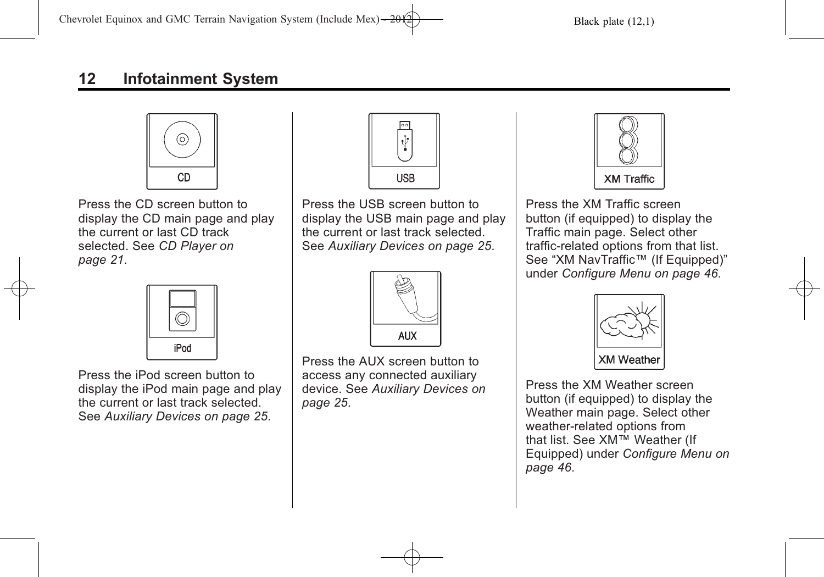

Press the CD screen button to display the CD main page and play the current or last CD track selected. See *[CD Player on](#page-20-0) [page 21](#page-20-0)*.



Press the iPod screen button to display the iPod main page and play the current or last track selected. See *[Auxiliary Devices on page 25](#page-24-0)*.



Press the USB screen button to display the USB main page and play the current or last track selected. See *[Auxiliary Devices on page 25](#page-24-0)*.



Press the AUX screen button to access any connected auxiliary device. See *[Auxiliary Devices on](#page-24-0) [page 25](#page-24-0)*.



Press the XM Traffic screen button (if equipped) to display the Traffic main page. Select other traffic-related options from that list. See "XM NavTraffic™ (If Equipped)" under *[Configure Menu on page 46](#page-45-0)*.



Press the XM Weather screen button (if equipped) to display the Weather main page. Select other weather-related options from that list. See XM™ Weather (If Equipped) under *[Configure Menu on](#page-45-0) [page 46](#page-45-0)*.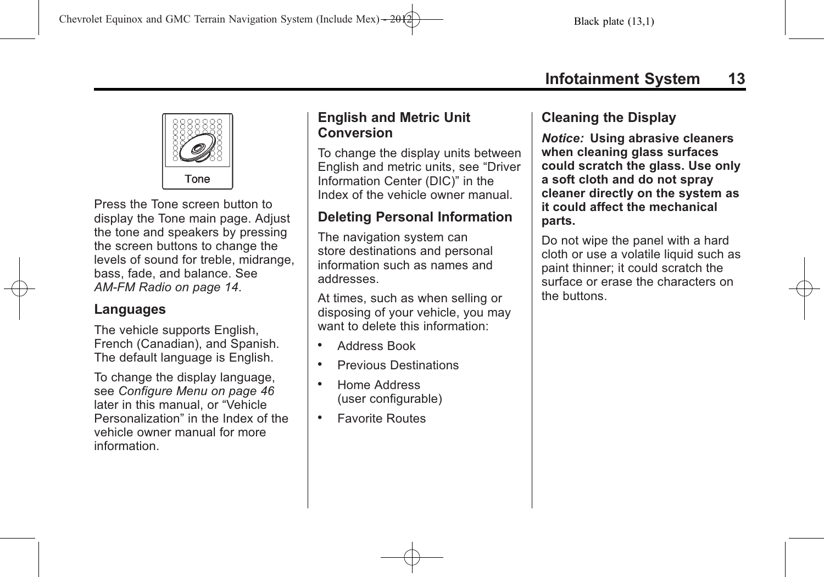

Press the Tone screen button to display the Tone main page. Adjust the tone and speakers by pressing the screen buttons to change the levels of sound for treble, midrange, bass, fade, and balance. See *[AM-FM Radio on page 14](#page-13-0)*.

### **Languages**

The vehicle supports English, French (Canadian), and Spanish. The default language is English.

To change the display language, see *[Configure Menu on page 46](#page-45-0)* later in this manual, or "Vehicle Personalization" in the Index of the vehicle owner manual for more information.

### **English and Metric Unit Conversion**

To change the display units between English and metric units, see "Driver Information Center (DIC)" in the Index of the vehicle owner manual.

### **Deleting Personal Information**

The navigation system can store destinations and personal information such as names and addresses.

At times, such as when selling or disposing of your vehicle, you may want to delete this information:

- . Address Book
- . Previous Destinations
- . Home Address (user configurable)
- . Favorite Routes

### **Cleaning the Display**

*Notice:* **Using abrasive cleaners when cleaning glass surfaces could scratch the glass. Use only a soft cloth and do not spray cleaner directly on the system as it could affect the mechanical parts.**

Do not wipe the panel with a hard cloth or use a volatile liquid such as paint thinner; it could scratch the surface or erase the characters on the buttons.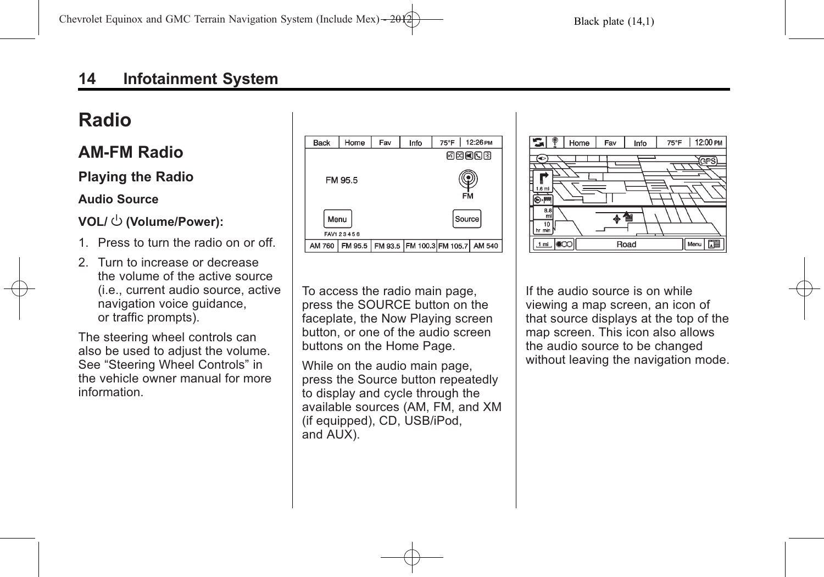# <span id="page-13-0"></span>**Radio**

# **AM-FM Radio**

### **Playing the Radio**

### **Audio Source**

### **VOL/**  $\cup$  (Volume/Power):

- 1. Press to turn the radio on or off.
- 2. Turn to increase or decrease the volume of the active source (i.e., current audio source, active navigation voice guidance, or traffic prompts).

The steering wheel controls can also be used to adjust the volume. See "Steering Wheel Controls" in the vehicle owner manual for more information.





To access the radio main page, press the SOURCE button on the faceplate, the Now Playing screen button, or one of the audio screen buttons on the Home Page.

While on the audio main page, press the Source button repeatedly to display and cycle through the available sources (AM, FM, and XM (if equipped), CD, USB/iPod, and AUX).

If the audio source is on while viewing a map screen, an icon of that source displays at the top of the map screen. This icon also allows the audio source to be changed without leaving the navigation mode.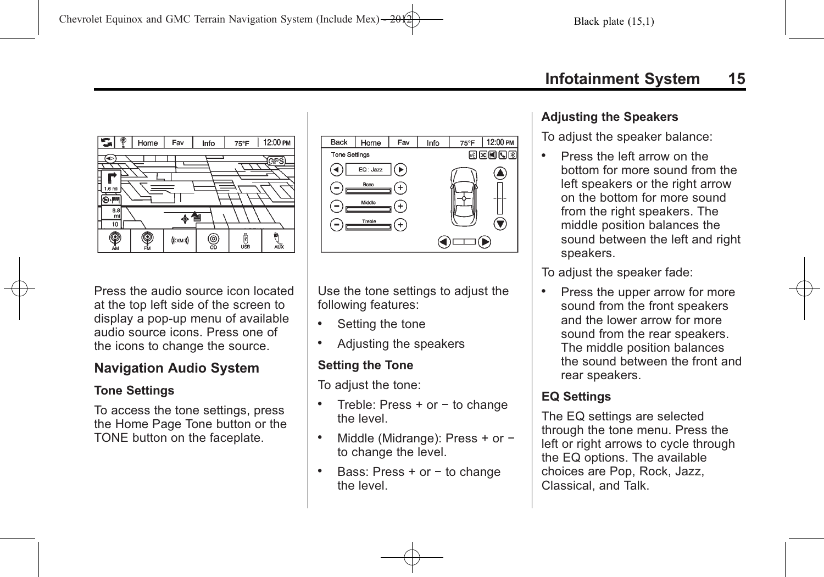



Press the audio source icon located at the top left side of the screen to display a pop-up menu of available audio source icons. Press one of the icons to change the source.

## **Navigation Audio System**

### **Tone Settings**

To access the tone settings, press the Home Page Tone button or the TONE button on the faceplate.

Use the tone settings to adjust the following features:

- . Setting the tone
- . Adjusting the speakers

### **Setting the Tone**

To adjust the tone:

- . Treble: Press + or − to change the level.
- . Middle (Midrange): Press + or − to change the level.
- . Bass: Press + or − to change the level.

### **Adjusting the Speakers**

To adjust the speaker balance:

. Press the left arrow on the bottom for more sound from the left speakers or the right arrow on the bottom for more sound from the right speakers. The middle position balances the sound between the left and right speakers.

To adjust the speaker fade:

. Press the upper arrow for more sound from the front speakers and the lower arrow for more sound from the rear speakers. The middle position balances the sound between the front and rear speakers.

### **EQ Settings**

The EQ settings are selected through the tone menu. Press the left or right arrows to cycle through the EQ options. The available choices are Pop, Rock, Jazz, Classical, and Talk.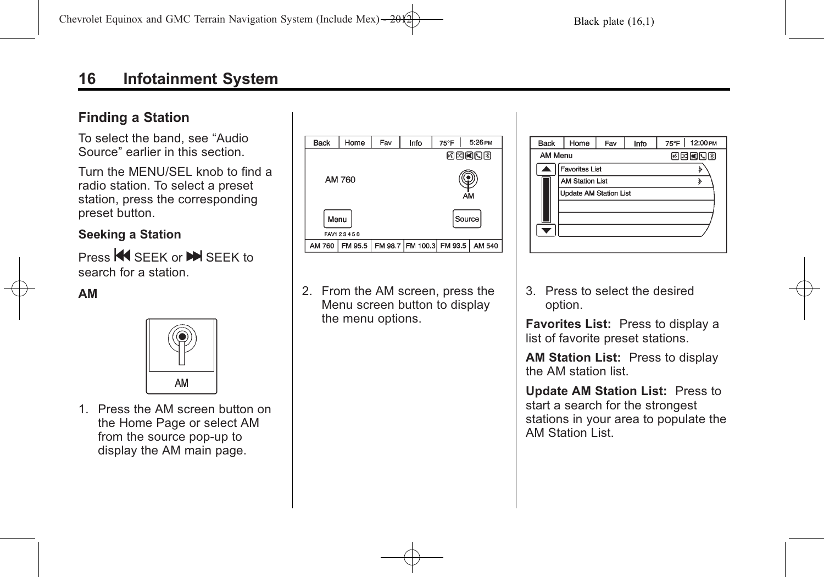### **Finding a Station**

To select the band, see "Audio Source" earlier in this section.

Turn the MENU/SEL knob to find a radio station. To select a preset station, press the corresponding preset button.

### **Seeking a Station**

Press **44** SEEK or **N** SEEK to search for a station.

#### **AM**



1. Press the AM screen button on the Home Page or select AM from the source pop-up to display the AM main page.



2. From the AM screen, press the Menu screen button to display the menu options.

| <b>Back</b> | Home                          | Fav | Info | $12:00 \text{PM}$<br>$75^{\circ}$ F |  |  |  |
|-------------|-------------------------------|-----|------|-------------------------------------|--|--|--|
|             | <b>AM Menu</b><br>因因國因图       |     |      |                                     |  |  |  |
|             | <b>Favorites List</b>         |     |      |                                     |  |  |  |
|             | <b>AM Station List</b>        |     |      |                                     |  |  |  |
|             | <b>Update AM Station List</b> |     |      |                                     |  |  |  |
|             |                               |     |      |                                     |  |  |  |
|             |                               |     |      |                                     |  |  |  |
|             |                               |     |      |                                     |  |  |  |
|             |                               |     |      |                                     |  |  |  |

3. Press to select the desired option.

**Favorites List:** Press to display a list of favorite preset stations.

**AM Station List:** Press to display the AM station list.

**Update AM Station List:** Press to start a search for the strongest stations in your area to populate the AM Station List.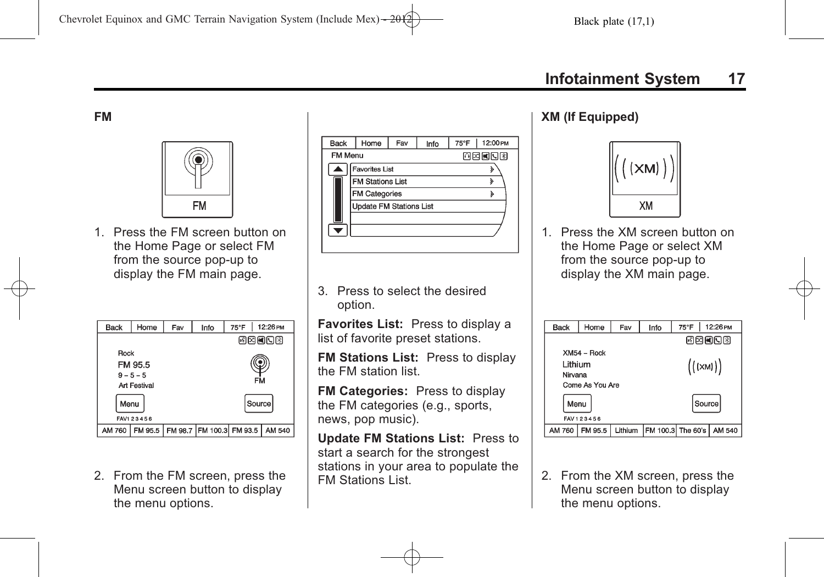#### **FM**



1. Press the FM screen button on the Home Page or select FM from the source pop-up to display the FM main page.

| Back                                                 | Home    | Fav | Info                     | 75°F   | 12:26 PM |
|------------------------------------------------------|---------|-----|--------------------------|--------|----------|
|                                                      |         |     |                          | 國國國國國  |          |
| Rock<br>FM 95.5<br>$9 - 5 - 5$<br>FM<br>Art Festival |         |     |                          |        |          |
| Menu<br>FAV1 23456                                   |         |     |                          | Source |          |
| AM 760                                               | FM 95.5 |     | FM 98.7 FM 100.3 FM 93.5 |        | AM 540   |

2. From the FM screen, press the Menu screen button to display the menu options.

| <b>Back</b>    | Home                           | Fav | Info  | 75°F | 12:00 PM |  |  |
|----------------|--------------------------------|-----|-------|------|----------|--|--|
| <b>FM Menu</b> |                                |     | 四國國國國 |      |          |  |  |
|                | <b>Favorites List</b>          |     |       |      |          |  |  |
|                | <b>FM Stations List</b>        |     | ঌ     |      |          |  |  |
|                | <b>FM Categories</b>           |     |       | ১    |          |  |  |
|                | <b>Update FM Stations List</b> |     |       |      |          |  |  |
|                |                                |     |       |      |          |  |  |
|                |                                |     |       |      |          |  |  |
|                |                                |     |       |      |          |  |  |

3. Press to select the desired option.

**Favorites List:** Press to display a list of favorite preset stations.

**FM Stations List:** Press to display the FM station list.

**FM Categories:** Press to display the FM categories (e.g., sports, news, pop music).

**Update FM Stations List:** Press to start a search for the strongest stations in your area to populate the FM Stations List.

#### **XM (If Equipped)**



1. Press the XM screen button on the Home Page or select XM from the source pop-up to display the XM main page.

| Back            | Home          | Fav     | Info           | 75°F                       | 12:26 PM |
|-----------------|---------------|---------|----------------|----------------------------|----------|
|                 |               |         |                | 网网间口图                      |          |
|                 | $XM54 - Rock$ |         |                |                            |          |
| Lithium         |               |         | $((\kappa_M))$ |                            |          |
| Nirvana         |               |         |                |                            |          |
| Come As You Are |               |         |                |                            |          |
| Menu            |               |         |                | Source                     |          |
| FAV 123456      |               |         |                |                            |          |
| AM 760          | FM 95.5       | Lithium |                | FM 100.3 The 60's   AM 540 |          |

2. From the XM screen, press the Menu screen button to display the menu options.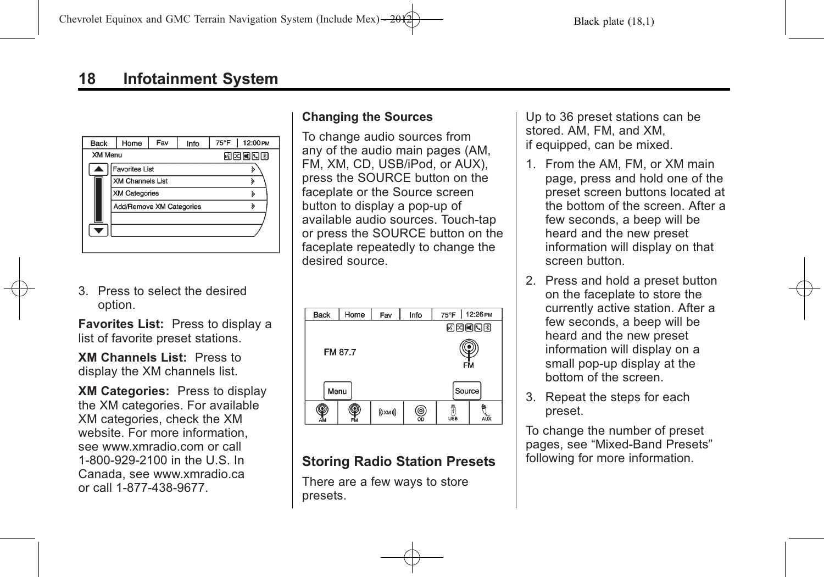| <b>Back</b>    | Home                     | Fav | Info | 75°F       | 12:00 PM |
|----------------|--------------------------|-----|------|------------|----------|
| <b>XM Menu</b> |                          |     |      | 55 X X 5 X |          |
|                | <b>Favorites List</b>    |     |      |            |          |
|                | <b>XM Channels List</b>  |     |      |            |          |
|                | <b>XM Categories</b>     |     |      |            |          |
|                | Add/Remove XM Categories |     |      |            | ঌ        |
|                |                          |     |      |            |          |
|                |                          |     |      |            |          |
|                |                          |     |      |            |          |

3. Press to select the desired option.

**Favorites List:** Press to display a list of favorite preset stations.

**XM Channels List:** Press to display the XM channels list.

**XM Categories:** Press to display the XM categories. For available XM categories, check the XM website. For more information, see www.xmradio.com or call 1-800-929-2100 in the U.S. In Canada, see www.xmradio.ca or call 1-877-438-9677.

### **Changing the Sources**

To change audio sources from any of the audio main pages (AM, FM, XM, CD, USB/iPod, or AUX), press the SOURCE button on the faceplate or the Source screen button to display a pop-up of available audio sources. Touch-tap or press the SOURCE button on the faceplate repeatedly to change the desired source.



### **Storing Radio Station Presets**

There are a few ways to store presets.

Up to 36 preset stations can be stored. AM, FM, and XM, if equipped, can be mixed.

- 1. From the AM, FM, or XM main page, press and hold one of the preset screen buttons located at the bottom of the screen. After a few seconds, a beep will be heard and the new preset information will display on that screen button.
- 2. Press and hold a preset button on the faceplate to store the currently active station. After a few seconds, a beep will be heard and the new preset information will display on a small pop-up display at the bottom of the screen.
- 3. Repeat the steps for each preset.

To change the number of preset pages, see "Mixed-Band Presets" following for more information.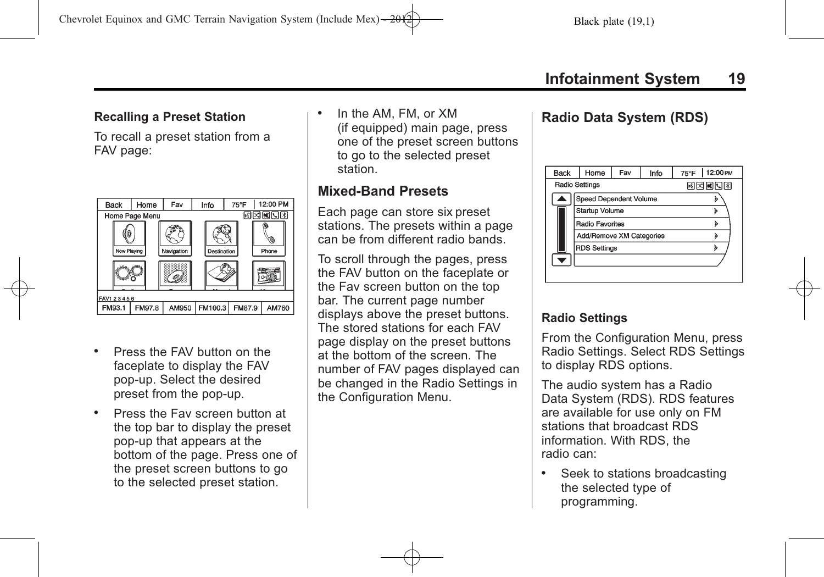## **Recalling a Preset Station**

To recall a preset station from a FAV page:



- . Press the FAV button on the faceplate to display the FAV pop-up. Select the desired preset from the pop-up.
- . Press the Fav screen button at the top bar to display the preset pop-up that appears at the bottom of the page. Press one of the preset screen buttons to go to the selected preset station.

. In the AM, FM, or XM (if equipped) main page, press one of the preset screen buttons to go to the selected preset station.

### **Mixed-Band Presets**

Each page can store six preset stations. The presets within a page can be from different radio bands.

To scroll through the pages, press the FAV button on the faceplate or the Fav screen button on the top bar. The current page number displays above the preset buttons. The stored stations for each FAV page display on the preset buttons at the bottom of the screen. The number of FAV pages displayed can be changed in the Radio Settings in the Configuration Menu.

### **Radio Data System (RDS)**

| <b>Back</b> | Home                     | Fav<br>Info |   | 12:00 PM<br>$75^{\circ}$ F |
|-------------|--------------------------|-------------|---|----------------------------|
|             | Radio Settings           |             |   | 网络阿门图                      |
|             | Speed Dependent Volume   |             |   |                            |
|             |                          |             |   |                            |
|             | <b>Startup Volume</b>    |             |   |                            |
|             | <b>Radio Favorites</b>   |             |   |                            |
|             | Add/Remove XM Categories |             |   | ১                          |
|             | <b>RDS Settings</b>      |             | ঌ |                            |
|             |                          |             |   |                            |
|             |                          |             |   |                            |
|             |                          |             |   |                            |

### **Radio Settings**

From the Configuration Menu, press Radio Settings. Select RDS Settings to display RDS options.

The audio system has a Radio Data System (RDS). RDS features are available for use only on FM stations that broadcast RDS information. With RDS, the radio can:

. Seek to stations broadcasting the selected type of programming.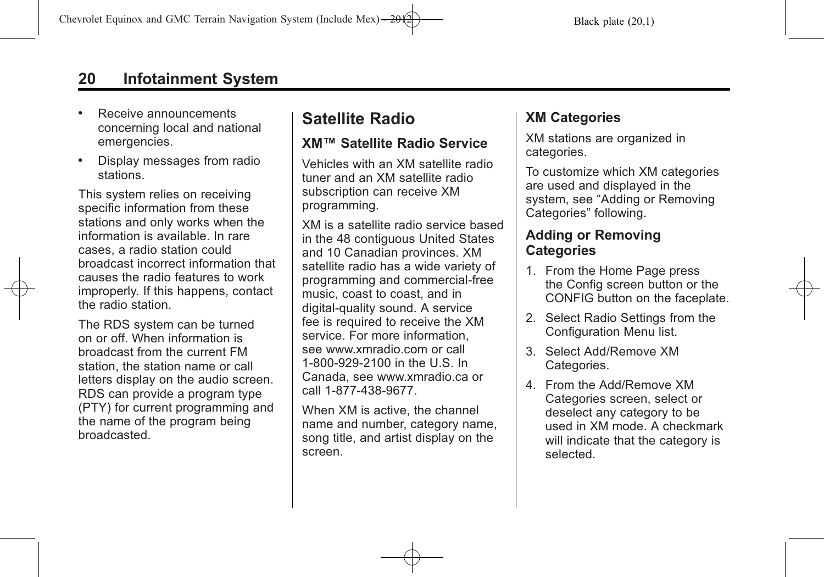- <span id="page-19-0"></span>. Receive announcements concerning local and national emergencies.
- . Display messages from radio stations.

This system relies on receiving specific information from these stations and only works when the information is available. In rare cases, a radio station could broadcast incorrect information that causes the radio features to work improperly. If this happens, contact the radio station.

The RDS system can be turned on or off. When information is broadcast from the current FM station, the station name or call letters display on the audio screen. RDS can provide a program type (PTY) for current programming and the name of the program being broadcasted.

# **Satellite Radio**

### **XM™ Satellite Radio Service**

Vehicles with an XM satellite radio tuner and an XM satellite radio subscription can receive XM programming.

XM is a satellite radio service based in the 48 contiguous United States and 10 Canadian provinces. XM satellite radio has a wide variety of programming and commercial-free music, coast to coast, and in digital-quality sound. A service fee is required to receive the XM service. For more information, see www.xmradio.com or call 1-800-929-2100 in the U.S. In Canada, see www.xmradio.ca or call 1-877-438-9677.

When XM is active, the channel name and number, category name, song title, and artist display on the screen.

## **XM Categories**

XM stations are organized in categories.

To customize which XM categories are used and displayed in the system, see "Adding or Removing Categories" following.

### **Adding or Removing Categories**

- 1. From the Home Page press the Config screen button or the CONFIG button on the faceplate.
- 2. Select Radio Settings from the Configuration Menu list.
- 3. Select Add/Remove XM Categories.
- 4. From the Add/Remove XM Categories screen, select or deselect any category to be used in XM mode. A checkmark will indicate that the category is selected.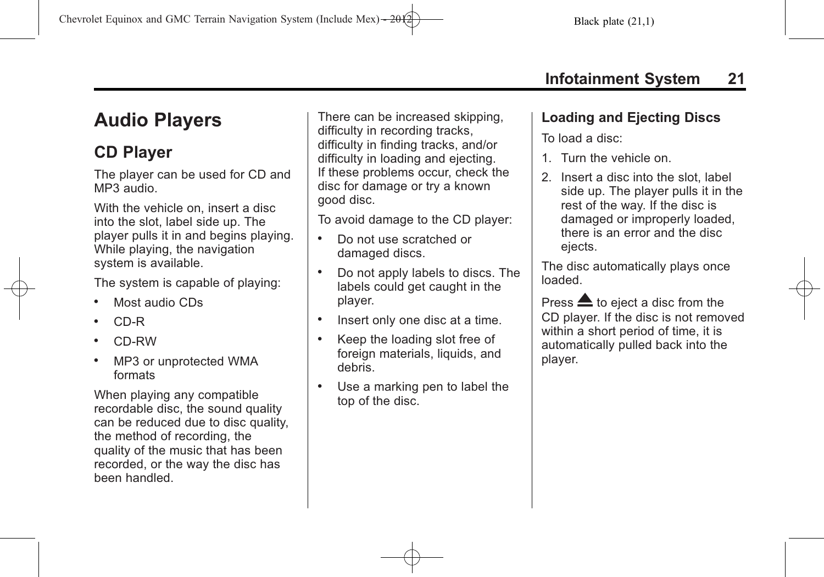# <span id="page-20-0"></span>**Audio Players**

# **CD Player**

The player can be used for CD and MP3 audio.

With the vehicle on, insert a disc into the slot, label side up. The player pulls it in and begins playing. While playing, the navigation system is available.

The system is capable of playing:

- . Most audio CDs
- . CD-R
- . CD-RW
- . MP3 or unprotected WMA formats

When playing any compatible recordable disc, the sound quality can be reduced due to disc quality, the method of recording, the quality of the music that has been recorded, or the way the disc has been handled.

There can be increased skipping, difficulty in recording tracks, difficulty in finding tracks, and/or difficulty in loading and ejecting. If these problems occur, check the disc for damage or try a known good disc.

To avoid damage to the CD player:

- . Do not use scratched or damaged discs.
- . Do not apply labels to discs. The labels could get caught in the player.
- . Insert only one disc at a time.
- . Keep the loading slot free of foreign materials, liquids, and debris.
- . Use a marking pen to label the top of the disc.

## **Loading and Ejecting Discs**

To load a disc:

- 1. Turn the vehicle on.
- 2. Insert a disc into the slot, label side up. The player pulls it in the rest of the way. If the disc is damaged or improperly loaded, there is an error and the disc ejects.

The disc automatically plays once loaded.

Press  $\triangle$  to eject a disc from the CD player. If the disc is not removed within a short period of time, it is automatically pulled back into the player.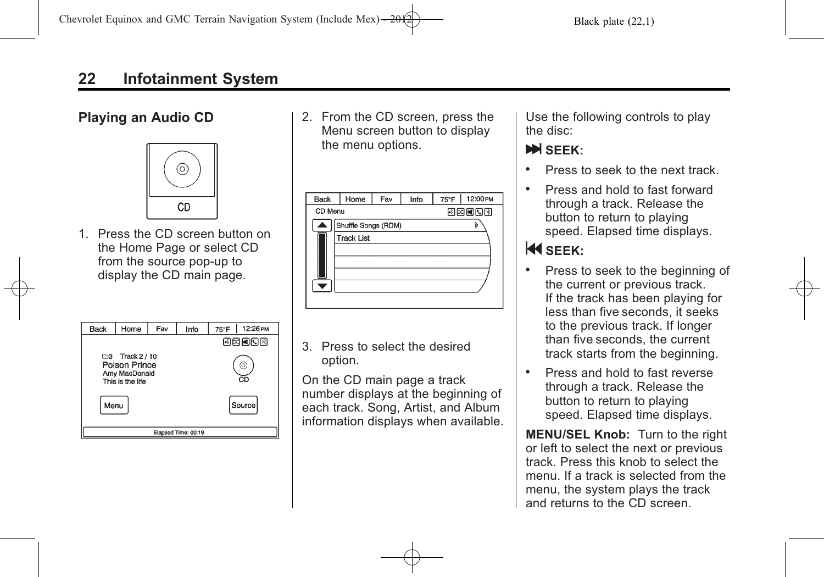### **Playing an Audio CD**



1. Press the CD screen button on the Home Page or select CD from the source pop-up to display the CD main page.

| <b>Back</b>         | Home                                                                           | Fav | Info    | 12:26 PM<br>75°F |  |
|---------------------|--------------------------------------------------------------------------------|-----|---------|------------------|--|
|                     |                                                                                |     |         | 國國國國國            |  |
|                     | $\square$ 3 Track 2 / 10<br>Poison Prince<br>Amy MacDonald<br>This is the life |     | 6<br>ĆЛ |                  |  |
| Menu                |                                                                                |     |         | Source           |  |
| Elapsed Time: 00:19 |                                                                                |     |         |                  |  |

2. From the CD screen, press the Menu screen button to display the menu options.

| <b>Back</b> | Home                | Fav | Info | 75°F | 12:00 PM |  |
|-------------|---------------------|-----|------|------|----------|--|
|             |                     |     |      |      |          |  |
| CD Menu     |                     |     |      |      | 图图图图图    |  |
|             | Shuffle Songs (RDM) |     |      |      |          |  |
|             | <b>Track List</b>   |     |      |      |          |  |
|             |                     |     |      |      |          |  |
|             |                     |     |      |      |          |  |
|             |                     |     |      |      |          |  |
|             |                     |     |      |      |          |  |
|             |                     |     |      |      |          |  |

3. Press to select the desired option.

On the CD main page a track number displays at the beginning of each track. Song, Artist, and Album information displays when available.

Use the following controls to play the disc:

### l **SEEK:**

- . Press to seek to the next track.
- . Press and hold to fast forward through a track. Release the button to return to playing speed. Elapsed time displays.

# **K** SFFK:

- . Press to seek to the beginning of the current or previous track. If the track has been playing for less than five seconds, it seeks to the previous track. If longer than five seconds, the current track starts from the beginning.
- . Press and hold to fast reverse through a track. Release the button to return to playing speed. Elapsed time displays.

**MENU/SEL Knob:** Turn to the right or left to select the next or previous track. Press this knob to select the menu. If a track is selected from the menu, the system plays the track and returns to the CD screen.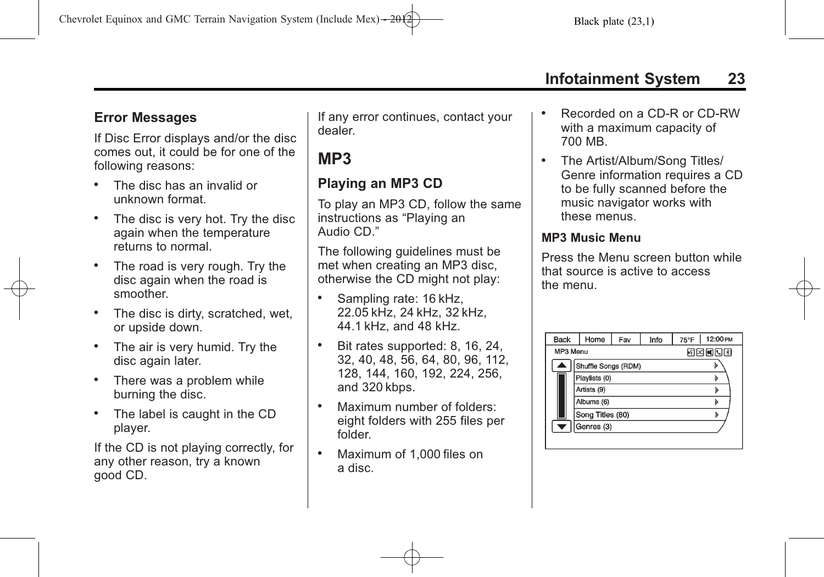# <span id="page-22-0"></span>**Error Messages**

If Disc Error displays and/or the disc comes out, it could be for one of the following reasons:

- . The disc has an invalid or unknown format.
- The disc is very hot. Try the disc again when the temperature returns to normal.
- . The road is very rough. Try the disc again when the road is smoother.
- The disc is dirty, scratched, wet, or upside down.
- . The air is very humid. Try the disc again later.
- . There was a problem while burning the disc.
- . The label is caught in the CD player.

If the CD is not playing correctly, for any other reason, try a known good CD.

If any error continues, contact your dealer.

# **MP3**

## **Playing an MP3 CD**

To play an MP3 CD, follow the same instructions as "Playing an Audio CD."

The following guidelines must be met when creating an MP3 disc, otherwise the CD might not play:

- . Sampling rate: 16 kHz, 22.05 kHz, 24 kHz, 32 kHz, 44.1 kHz, and 48 kHz.
- . Bit rates supported: 8, 16, 24, 32, 40, 48, 56, 64, 80, 96, 112, 128, 144, 160, 192, 224, 256, and 320 kbps.
- . Maximum number of folders: eight folders with 255 files per folder.
- . Maximum of 1,000 files on a disc.
- . Recorded on a CD-R or CD-RW with a maximum capacity of 700 MB.
- . The Artist/Album/Song Titles/ Genre information requires a CD to be fully scanned before the music navigator works with these menus.

#### **MP3 Music Menu**

Press the Menu screen button while that source is active to access the menu.

| <b>Back</b> | Home                | Fav | Info | $75^{\circ}$ F | 12:00 PM |
|-------------|---------------------|-----|------|----------------|----------|
| MP3 Menu    |                     |     |      | 同因國同國          |          |
|             | Shuffle Songs (RDM) |     |      |                |          |
|             | Playlists (0)       |     |      |                |          |
|             | Artists (9)         |     |      |                |          |
|             | Albums (6)          |     |      |                |          |
|             | Song Titles (80)    |     |      |                |          |
| ≂           | Genres (3)          |     |      |                |          |
|             |                     |     |      |                |          |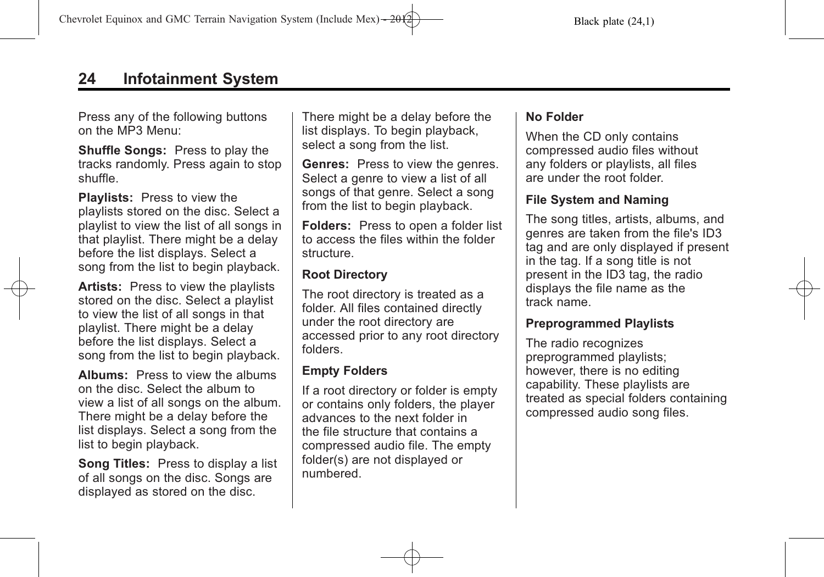Press any of the following buttons on the MP3 Menu:

**Shuffle Songs:** Press to play the tracks randomly. Press again to stop shuffle.

**Playlists:** Press to view the playlists stored on the disc. Select a playlist to view the list of all songs in that playlist. There might be a delay before the list displays. Select a song from the list to begin playback.

**Artists:** Press to view the playlists stored on the disc. Select a playlist to view the list of all songs in that playlist. There might be a delay before the list displays. Select a song from the list to begin playback.

**Albums:** Press to view the albums on the disc. Select the album to view a list of all songs on the album. There might be a delay before the list displays. Select a song from the list to begin playback.

**Song Titles:** Press to display a list of all songs on the disc. Songs are displayed as stored on the disc.

There might be a delay before the list displays. To begin playback, select a song from the list.

**Genres:** Press to view the genres. Select a genre to view a list of all songs of that genre. Select a song from the list to begin playback.

**Folders:** Press to open a folder list to access the files within the folder structure.

#### **Root Directory**

The root directory is treated as a folder. All files contained directly under the root directory are accessed prior to any root directory folders.

#### **Empty Folders**

If a root directory or folder is empty or contains only folders, the player advances to the next folder in the file structure that contains a compressed audio file. The empty folder(s) are not displayed or numbered.

#### **No Folder**

When the CD only contains compressed audio files without any folders or playlists, all files are under the root folder.

#### **File System and Naming**

The song titles, artists, albums, and genres are taken from the file's ID3 tag and are only displayed if present in the tag. If a song title is not present in the ID3 tag, the radio displays the file name as the track name.

#### **Preprogrammed Playlists**

The radio recognizes preprogrammed playlists; however, there is no editing capability. These playlists are treated as special folders containing compressed audio song files.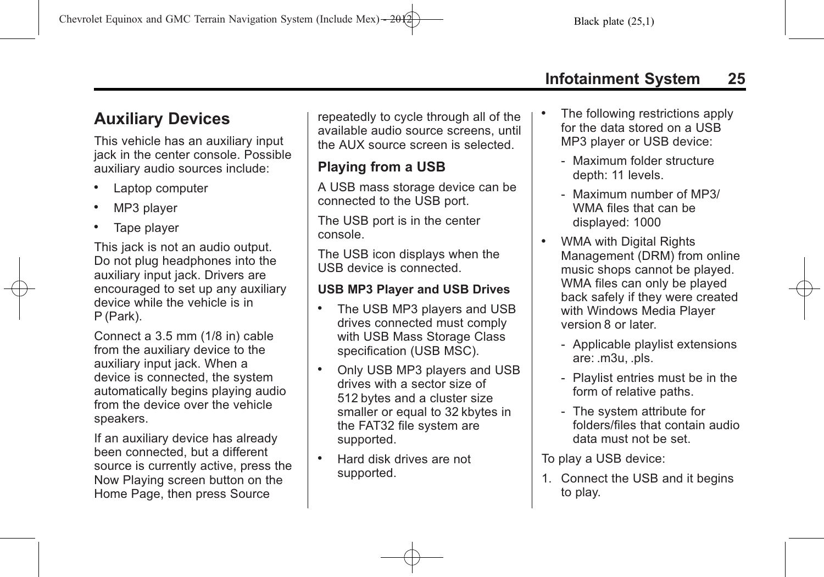# <span id="page-24-0"></span>**Auxiliary Devices**

This vehicle has an auxiliary input jack in the center console. Possible auxiliary audio sources include:

- . Laptop computer
- . MP3 player
- . Tape player

This jack is not an audio output. Do not plug headphones into the auxiliary input jack. Drivers are encouraged to set up any auxiliary device while the vehicle is in P (Park).

Connect a 3.5 mm (1/8 in) cable from the auxiliary device to the auxiliary input jack. When a device is connected, the system automatically begins playing audio from the device over the vehicle speakers.

If an auxiliary device has already been connected, but a different source is currently active, press the Now Playing screen button on the Home Page, then press Source

repeatedly to cycle through all of the available audio source screens, until the AUX source screen is selected.

## **Playing from a USB**

A USB mass storage device can be connected to the USB port.

The USB port is in the center console.

The USB icon displays when the USB device is connected.

### **USB MP3 Player and USB Drives**

- . The USB MP3 players and USB drives connected must comply with USB Mass Storage Class specification (USB MSC).
- . Only USB MP3 players and USB drives with a sector size of 512 bytes and a cluster size smaller or equal to 32 kbytes in the FAT32 file system are supported.
- . Hard disk drives are not supported.
- The following restrictions apply for the data stored on a USB MP3 player or USB device:
	- ‐ Maximum folder structure depth: 11 levels.
	- ‐ Maximum number of MP3/ WMA files that can be displayed: 1000
- . WMA with Digital Rights Management (DRM) from online music shops cannot be played. WMA files can only be played back safely if they were created with Windows Media Player version 8 or later.
	- ‐ Applicable playlist extensions are: .m3u, .pls.
	- ‐ Playlist entries must be in the form of relative paths.
	- ‐ The system attribute for folders/files that contain audio data must not be set.

To play a USB device:

1. Connect the USB and it begins to play.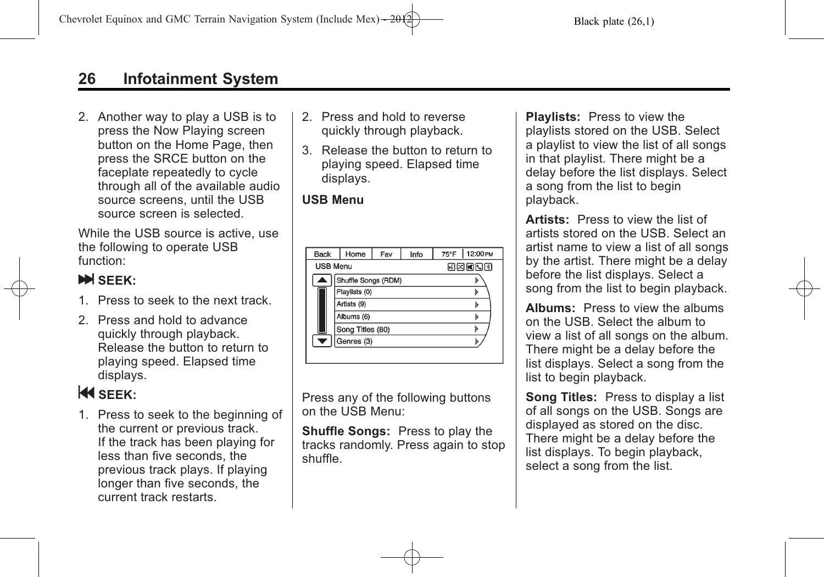2. Another way to play a USB is to press the Now Playing screen button on the Home Page, then press the SRCE button on the faceplate repeatedly to cycle through all of the available audio source screens, until the USB source screen is selected.

While the USB source is active, use the following to operate USB function:

### **N** SEEK:

- 1. Press to seek to the next track.
- 2. Press and hold to advance quickly through playback. Release the button to return to playing speed. Elapsed time displays.

# **K** SEEK:

1. Press to seek to the beginning of the current or previous track. If the track has been playing for less than five seconds, the previous track plays. If playing longer than five seconds, the current track restarts.

- 2. Press and hold to reverse quickly through playback.
- 3. Release the button to return to playing speed. Elapsed time displays.

#### **USB Menu**

| <b>Back</b>     | Home                | Fav | Info  | $75^{\circ}$ F     | 12:00 PM |  |  |
|-----------------|---------------------|-----|-------|--------------------|----------|--|--|
| <b>USB Menu</b> |                     |     | 网内阿内冈 |                    |          |  |  |
|                 | Shuffle Songs (RDM) |     |       | ٤                  |          |  |  |
|                 | Playlists (0)       |     |       |                    | ১        |  |  |
|                 | Artists (9)         |     |       | ∢                  |          |  |  |
|                 | Albums (6)          |     |       | λ                  |          |  |  |
|                 | Song Titles (80)    |     |       | $\mathbf{\hat{z}}$ |          |  |  |
|                 | Genres (3)          |     |       | λ                  |          |  |  |
|                 |                     |     |       |                    |          |  |  |

Press any of the following buttons on the USB Menu:

**Shuffle Songs:** Press to play the tracks randomly. Press again to stop shuffle.

**Playlists:** Press to view the playlists stored on the USB. Select a playlist to view the list of all songs in that playlist. There might be a delay before the list displays. Select a song from the list to begin playback.

**Artists:** Press to view the list of artists stored on the USB. Select an artist name to view a list of all songs by the artist. There might be a delay before the list displays. Select a song from the list to begin playback.

**Albums:** Press to view the albums on the USB. Select the album to view a list of all songs on the album. There might be a delay before the list displays. Select a song from the list to begin playback.

**Song Titles:** Press to display a list of all songs on the USB. Songs are displayed as stored on the disc. There might be a delay before the list displays. To begin playback, select a song from the list.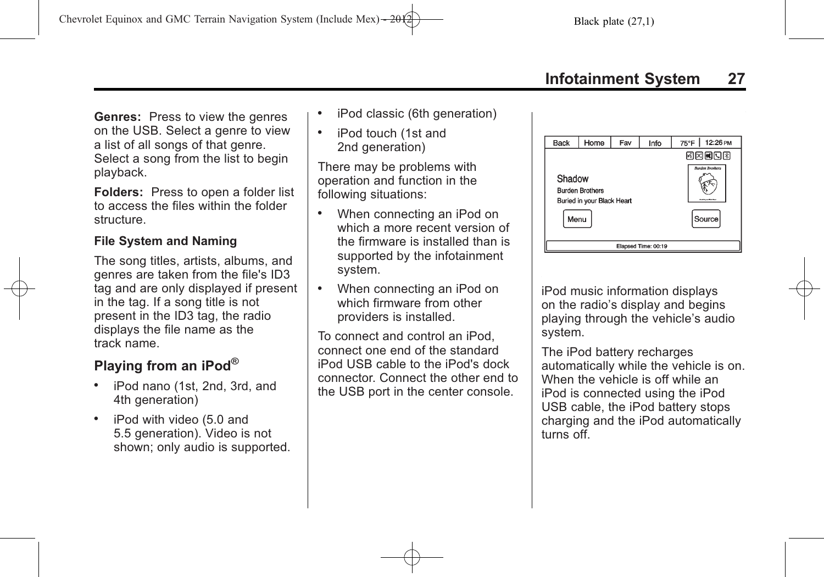**Genres:** Press to view the genres on the USB. Select a genre to view a list of all songs of that genre. Select a song from the list to begin playback.

**Folders:** Press to open a folder list to access the files within the folder structure.

#### **File System and Naming**

The song titles, artists, albums, and genres are taken from the file's ID3 tag and are only displayed if present in the tag. If a song title is not present in the ID3 tag, the radio displays the file name as the track name.

## **Playing from an iPod®**

- . iPod nano (1st, 2nd, 3rd, and 4th generation)
- . iPod with video (5.0 and 5.5 generation). Video is not shown; only audio is supported.
- . iPod classic (6th generation)
- . iPod touch (1st and 2nd generation)

There may be problems with operation and function in the following situations:

- . When connecting an iPod on which a more recent version of the firmware is installed than is supported by the infotainment system.
- . When connecting an iPod on which firmware from other providers is installed.

To connect and control an iPod, connect one end of the standard iPod USB cable to the iPod's dock connector. Connect the other end to the USB port in the center console.



iPod music information displays on the radio's display and begins playing through the vehicle's audio system.

The iPod battery recharges automatically while the vehicle is on. When the vehicle is off while an iPod is connected using the iPod USB cable, the iPod battery stops charging and the iPod automatically turns off.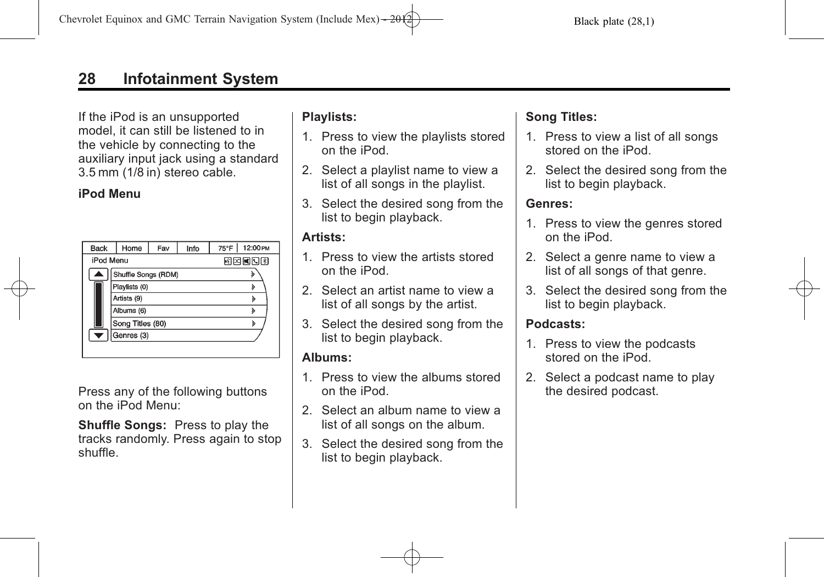If the iPod is an unsupported model, it can still be listened to in the vehicle by connecting to the auxiliary input jack using a standard 3.5 mm (1/8 in) stereo cable.

#### **iPod Menu**

| <b>Back</b> | Home                | Fav | Info | 75°F  | 12:00 PM |
|-------------|---------------------|-----|------|-------|----------|
| iPod Menu   |                     |     |      | 网络阿门图 |          |
|             | Shuffle Songs (RDM) |     |      |       | »        |
|             | Playlists (0)       |     |      |       | ১        |
|             | Artists (9)         |     |      |       | ঌ        |
|             | Albums (6)          |     |      |       | ১        |
|             | Song Titles (80)    |     |      |       | ঌ        |
|             | Genres (3)          |     |      |       |          |
|             |                     |     |      |       |          |

Press any of the following buttons on the iPod Menu:

**Shuffle Songs:** Press to play the tracks randomly. Press again to stop shuffle.

### **Playlists:**

- 1. Press to view the playlists stored on the iPod.
- 2. Select a playlist name to view a list of all songs in the playlist.
- 3. Select the desired song from the list to begin playback.

#### **Artists:**

- 1. Press to view the artists stored on the iPod.
- 2. Select an artist name to view a list of all songs by the artist.
- 3. Select the desired song from the list to begin playback.

### **Albums:**

- 1. Press to view the albums stored on the iPod.
- 2. Select an album name to view a list of all songs on the album.
- 3. Select the desired song from the list to begin playback.

### **Song Titles:**

- 1. Press to view a list of all songs stored on the iPod.
- 2. Select the desired song from the list to begin playback.

### **Genres:**

- 1. Press to view the genres stored on the iPod.
- 2. Select a genre name to view a list of all songs of that genre.
- 3. Select the desired song from the list to begin playback.

### **Podcasts:**

- 1. Press to view the podcasts stored on the iPod.
- 2. Select a podcast name to play the desired podcast.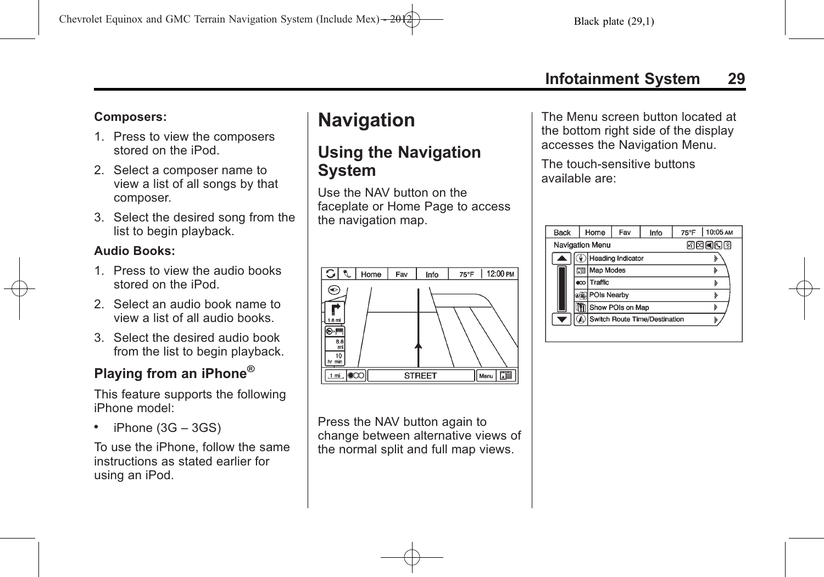### <span id="page-28-0"></span>**Composers:**

- 1. Press to view the composers stored on the iPod.
- 2. Select a composer name to view a list of all songs by that composer.
- 3. Select the desired song from the list to begin playback.

### **Audio Books:**

- 1. Press to view the audio books stored on the iPod.
- 2. Select an audio book name to view a list of all audio books.
- 3. Select the desired audio book from the list to begin playback.

# **Playing from an iPhone®**

This feature supports the following iPhone model:

. iPhone (3G – 3GS)

To use the iPhone, follow the same instructions as stated earlier for using an iPod.

# **Navigation**

# **Using the Navigation System**

Use the NAV button on the faceplate or Home Page to access the navigation map.



Press the NAV button again to change between alternative views of the normal split and full map views.

The Menu screen button located at the bottom right side of the display accesses the Navigation Menu.

The touch-sensitive buttons available are:

| Back            |    | Home             | Fav                           | 10:05 AM<br>75°F |       |
|-----------------|----|------------------|-------------------------------|------------------|-------|
| Navigation Menu |    |                  |                               |                  | 网网间间图 |
|                 |    |                  | <b>Heading Indicator</b>      |                  |       |
|                 | 走  | <b>Map Modes</b> |                               | ঌ                |       |
|                 | ထေ | Traffic          |                               | ঌ                |       |
|                 |    | POIs Nearby      |                               | »                |       |
|                 |    | Show POIs on Map | ঌ                             |                  |       |
|                 |    |                  | Switch Route Time/Destination |                  |       |
|                 |    |                  |                               |                  |       |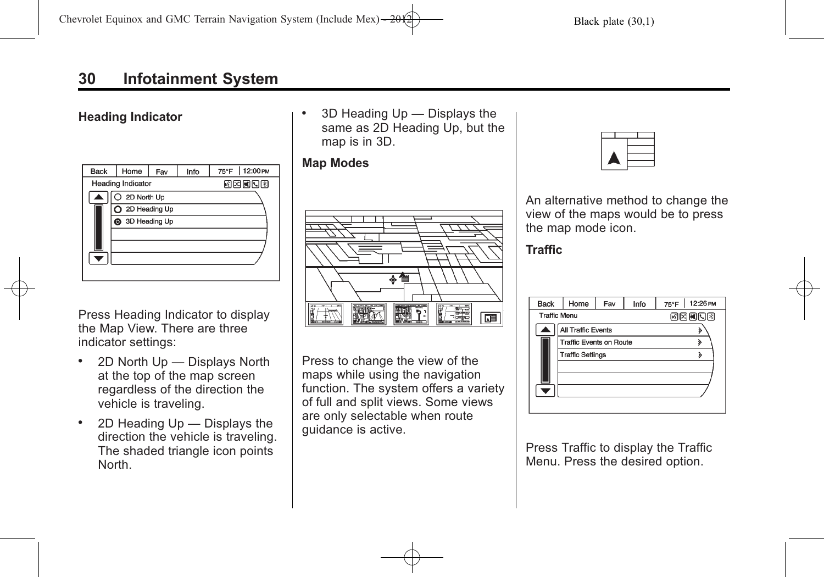#### **Heading Indicator**

| <b>Back</b> | Home                     | Fav | Info | 12:00 PM<br>75°F |  |  |
|-------------|--------------------------|-----|------|------------------|--|--|
|             | <b>Heading Indicator</b> |     |      | 网网阿贝图            |  |  |
|             | O 2D North Up            |     |      |                  |  |  |
|             | 2D Heading Up            |     |      |                  |  |  |
|             | 3D Heading Up            |     |      |                  |  |  |
|             |                          |     |      |                  |  |  |
|             |                          |     |      |                  |  |  |
|             |                          |     |      |                  |  |  |
|             |                          |     |      |                  |  |  |

Press Heading Indicator to display the Map View. There are three indicator settings:

- . 2D North Up Displays North at the top of the map screen regardless of the direction the vehicle is traveling.
- . 2D Heading Up Displays the direction the vehicle is traveling. The shaded triangle icon points North.

. 3D Heading Up — Displays the same as 2D Heading Up, but the map is in 3D.

#### **Map Modes**



Press to change the view of the maps while using the navigation function. The system offers a variety of full and split views. Some views are only selectable when route guidance is active.



An alternative method to change the view of the maps would be to press the map mode icon.

#### **Traffic**

| <b>Back</b>         | Home                      | Fav   | Info | 12:26 PM<br>75°F |  |
|---------------------|---------------------------|-------|------|------------------|--|
| <b>Traffic Menu</b> |                           | 國國國國國 |      |                  |  |
|                     | <b>All Traffic Events</b> |       |      |                  |  |
|                     | Traffic Events on Route   |       |      |                  |  |
|                     | <b>Traffic Settings</b>   |       | ১    |                  |  |
|                     |                           |       |      |                  |  |
|                     |                           |       |      |                  |  |
|                     |                           |       |      |                  |  |
|                     |                           |       |      |                  |  |

Press Traffic to display the Traffic Menu. Press the desired option.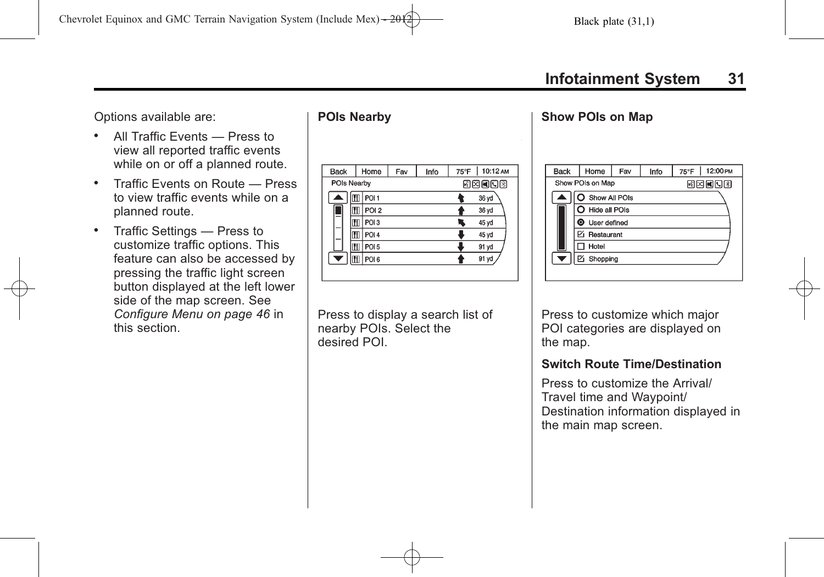Options available are:

- . All Traffic Events Press to view all reported traffic events while on or off a planned route.
- . Traffic Events on Route Press to view traffic events while on a planned route.
- . Traffic Settings Press to customize traffic options. This feature can also be accessed by pressing the traffic light screen button displayed at the left lower side of the map screen. See *[Configure Menu on page 46](#page-45-0)* in this section.

### **POIs Nearby**

| <b>Back</b> | Home                  | Fav | Info | 75°F   10:12 AM |
|-------------|-----------------------|-----|------|-----------------|
| POIs Nearby |                       |     |      | 网网间间图           |
|             | POI <sub>1</sub>      |     |      | 36 yd           |
|             | POI <sub>2</sub>      |     |      | 36 yd           |
|             | POI <sub>3</sub><br>M |     |      | 45 yd           |
|             | POI <sub>4</sub><br>M |     |      | 45 yd           |
|             | POI <sub>5</sub>      |     |      | 91 yd           |
|             | POI <sub>6</sub>      |     |      | 91 yd           |
|             |                       |     |      |                 |

Press to display a search list of nearby POIs. Select the desired POI.

#### **Show POIs on Map**

| <b>Back</b>              | Home                  | Fav | 12:00 PM<br>75°F |       |  |  |  |
|--------------------------|-----------------------|-----|------------------|-------|--|--|--|
|                          | Show POIs on Map      |     |                  | 网络阿因图 |  |  |  |
|                          | Show All POIs         |     |                  |       |  |  |  |
|                          | O Hide all POIs       |     |                  |       |  |  |  |
|                          | <b>O</b> User defined |     |                  |       |  |  |  |
|                          | Restaurant            |     |                  |       |  |  |  |
|                          | Hotel                 |     |                  |       |  |  |  |
| $\overline{\phantom{a}}$ | <b>⊠</b> Shopping     |     |                  |       |  |  |  |
|                          |                       |     |                  |       |  |  |  |

Press to customize which major POI categories are displayed on the map.

#### **Switch Route Time/Destination**

Press to customize the Arrival/ Travel time and Waypoint/ Destination information displayed in the main map screen.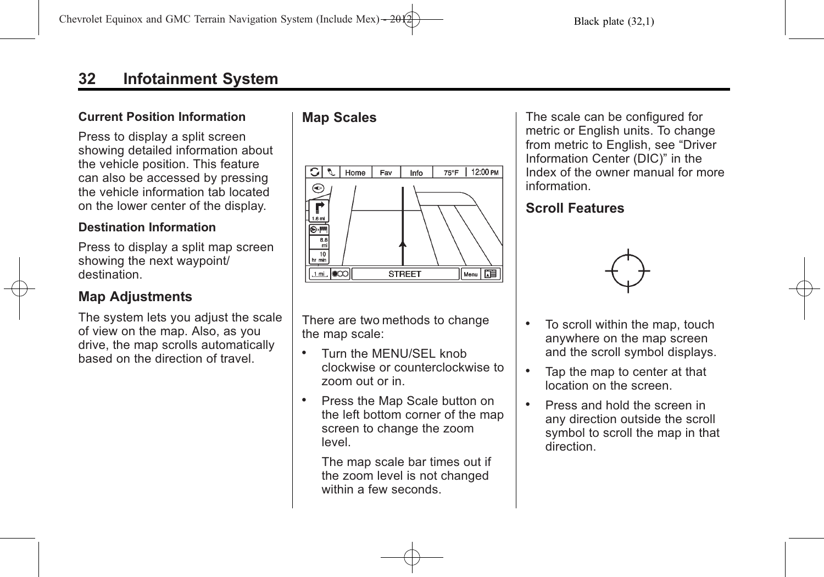#### **Current Position Information**

Press to display a split screen showing detailed information about the vehicle position. This feature can also be accessed by pressing the vehicle information tab located on the lower center of the display.

#### **Destination Information**

Press to display a split map screen showing the next waypoint/ destination.

### **Map Adjustments**

The system lets you adjust the scale of view on the map. Also, as you drive, the map scrolls automatically based on the direction of travel.

### **Map Scales**



There are two methods to change the map scale:

- . Turn the MENU/SEL knob clockwise or counterclockwise to zoom out or in.
- Press the Map Scale button on the left bottom corner of the map screen to change the zoom level.

The map scale bar times out if the zoom level is not changed within a few seconds.

The scale can be configured for metric or English units. To change from metric to English, see "Driver Information Center (DIC)" in the Index of the owner manual for more information.

### **Scroll Features**



- . To scroll within the map, touch anywhere on the map screen and the scroll symbol displays.
- . Tap the map to center at that location on the screen.
- . Press and hold the screen in any direction outside the scroll symbol to scroll the map in that direction.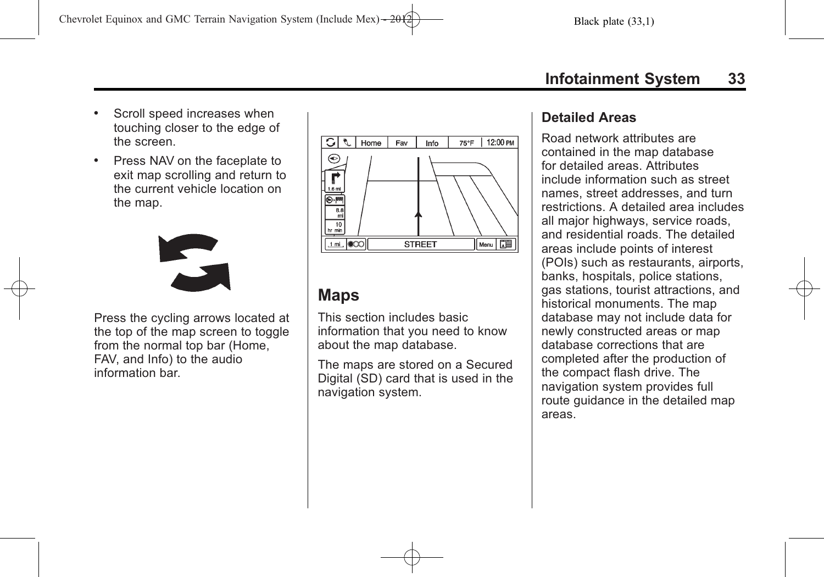- <span id="page-32-0"></span>. Scroll speed increases when touching closer to the edge of the screen.
- . Press NAV on the faceplate to exit map scrolling and return to the current vehicle location on the map.



Press the cycling arrows located at the top of the map screen to toggle from the normal top bar (Home, FAV, and Info) to the audio information bar.



## **Maps**

This section includes basic information that you need to know about the map database.

The maps are stored on a Secured Digital (SD) card that is used in the navigation system.

### **Detailed Areas**

Road network attributes are contained in the map database for detailed areas. Attributes include information such as street names, street addresses, and turn restrictions. A detailed area includes all major highways, service roads, and residential roads. The detailed areas include points of interest (POIs) such as restaurants, airports, banks, hospitals, police stations, gas stations, tourist attractions, and historical monuments. The map database may not include data for newly constructed areas or map database corrections that are completed after the production of the compact flash drive. The navigation system provides full route guidance in the detailed map areas.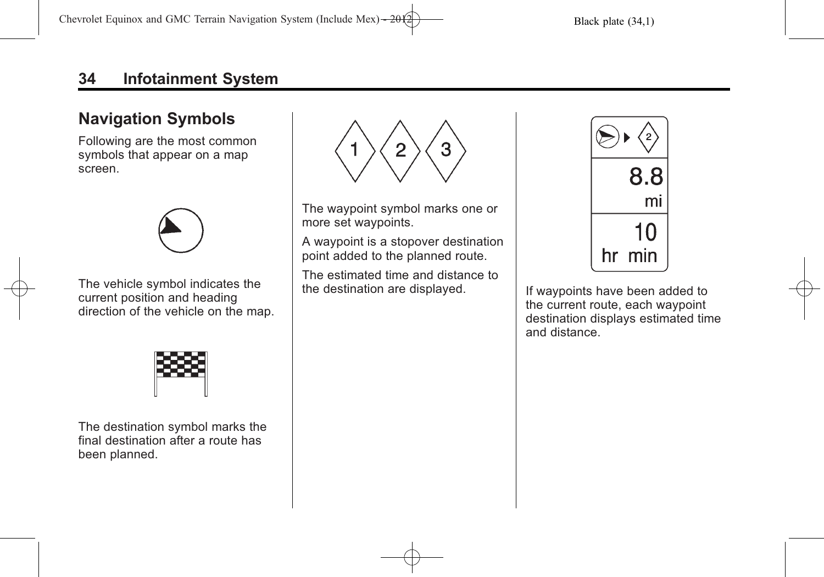# <span id="page-33-0"></span>**Navigation Symbols**

Following are the most common symbols that appear on a map screen.



The vehicle symbol indicates the current position and heading direction of the vehicle on the map.



The destination symbol marks the final destination after a route has been planned.



The waypoint symbol marks one or more set waypoints.

A waypoint is a stopover destination point added to the planned route.

The estimated time and distance to the destination are displayed. If waypoints have been added to



the current route, each waypoint destination displays estimated time and distance.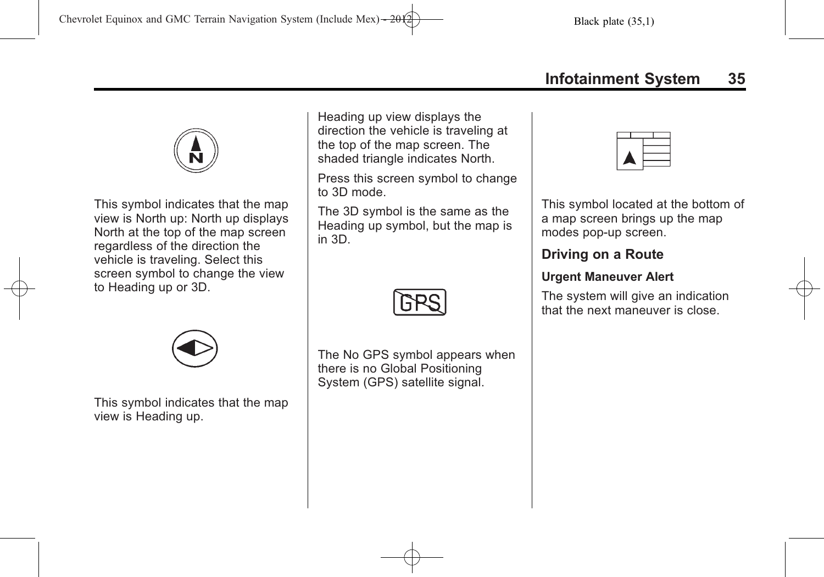

This symbol indicates that the map view is North up: North up displays North at the top of the map screen regardless of the direction the vehicle is traveling. Select this screen symbol to change the view to Heading up or 3D.

Heading up view displays the direction the vehicle is traveling at the top of the map screen. The shaded triangle indicates North.

Press this screen symbol to change to 3D mode.

The 3D symbol is the same as the Heading up symbol, but the map is in 3D.



This symbol indicates that the map view is Heading up.

The No GPS symbol appears when there is no Global Positioning System (GPS) satellite signal.

This symbol located at the bottom of a map screen brings up the map modes pop-up screen.

## **Driving on a Route**

### **Urgent Maneuver Alert**

The system will give an indication that the next maneuver is close.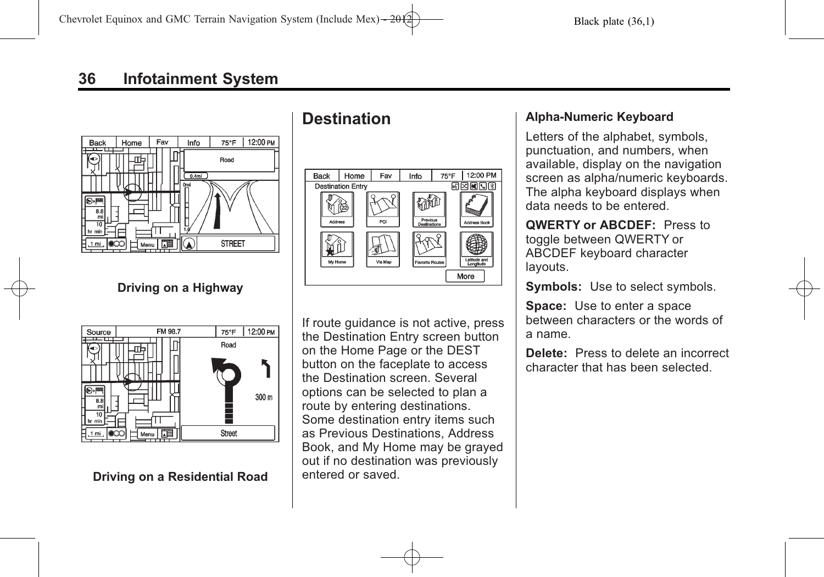<span id="page-35-0"></span>

**Driving on a Highway**



### **Driving on a Residential Road**

# **Destination**



If route guidance is not active, press the Destination Entry screen button on the Home Page or the DEST button on the faceplate to access the Destination screen. Several options can be selected to plan a route by entering destinations. Some destination entry items such as Previous Destinations, Address Book, and My Home may be grayed out if no destination was previously entered or saved.

#### **Alpha-Numeric Keyboard**

Letters of the alphabet, symbols, punctuation, and numbers, when available, display on the navigation screen as alpha/numeric keyboards. The alpha keyboard displays when data needs to be entered.

**QWERTY or ABCDEF:** Press to toggle between QWERTY or ABCDEF keyboard character layouts.

**Symbols:** Use to select symbols.

**Space:** Use to enter a space between characters or the words of a name.

**Delete:** Press to delete an incorrect character that has been selected.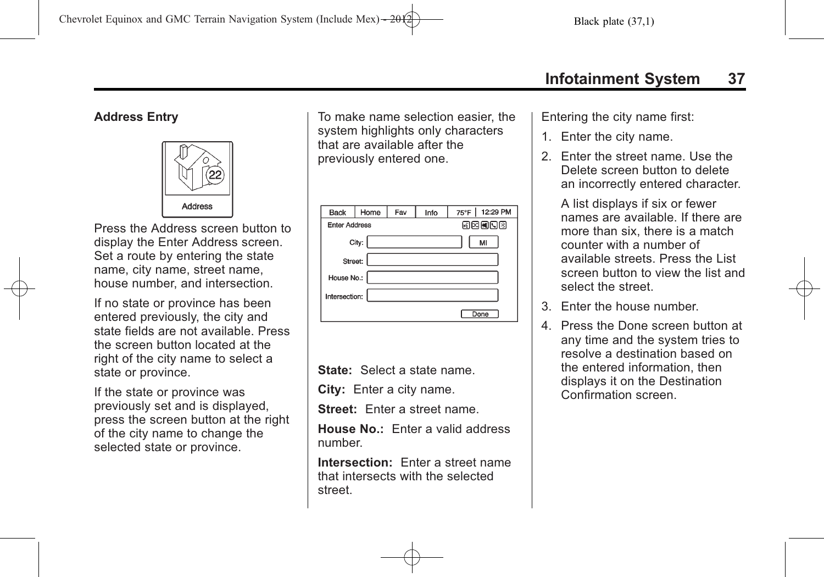#### **Address Entry**



Press the Address screen button to display the Enter Address screen. Set a route by entering the state name, city name, street name, house number, and intersection.

If no state or province has been entered previously, the city and state fields are not available. Press the screen button located at the right of the city name to select a state or province.

If the state or province was previously set and is displayed, press the screen button at the right of the city name to change the selected state or province.

To make name selection easier, the system highlights only characters that are available after the previously entered one.

| <b>Back</b>   | Home                          | Fav | Info | 75°F   12:29 PM |  |  |  |  |
|---------------|-------------------------------|-----|------|-----------------|--|--|--|--|
|               | 网内阿阿图<br><b>Enter Address</b> |     |      |                 |  |  |  |  |
|               | City:                         |     |      | MI              |  |  |  |  |
| Street:       |                               |     |      |                 |  |  |  |  |
| House No.:    |                               |     |      |                 |  |  |  |  |
| Intersection: |                               |     |      |                 |  |  |  |  |
|               |                               |     |      | Done            |  |  |  |  |

**State:** Select a state name.

**City:** Enter a city name.

**Street:** Enter a street name.

**House No.:** Enter a valid address number.

**Intersection:** Enter a street name that intersects with the selected street.

Entering the city name first:

- 1. Enter the city name.
- 2. Enter the street name. Use the Delete screen button to delete an incorrectly entered character.

A list displays if six or fewer names are available. If there are more than six, there is a match counter with a number of available streets. Press the List screen button to view the list and select the street.

- 3. Enter the house number.
- 4. Press the Done screen button at any time and the system tries to resolve a destination based on the entered information, then displays it on the Destination Confirmation screen.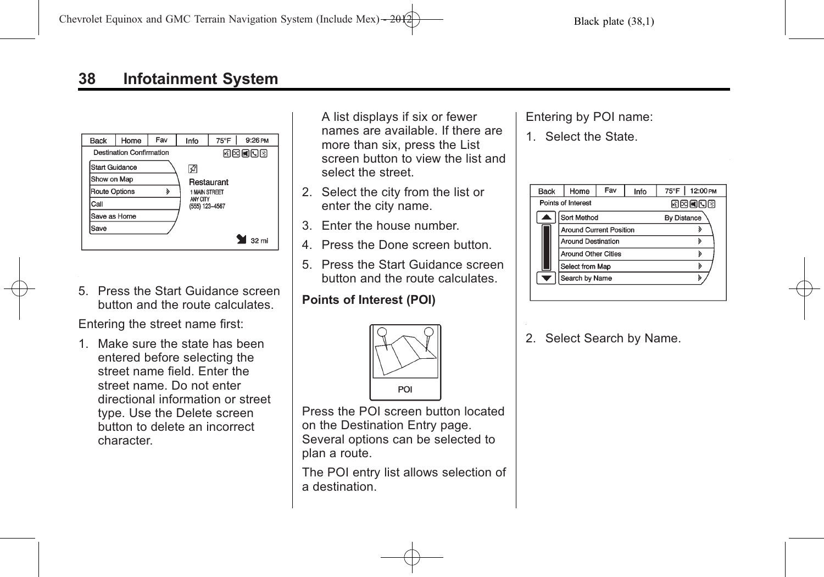| <b>Back</b>    | Home                            | Fav | Info                       | 75°F       | 9:26 PM |
|----------------|---------------------------------|-----|----------------------------|------------|---------|
|                | <b>Destination Confirmation</b> |     |                            |            | 网络阿门图   |
| Start Guidance |                                 |     | ₽                          |            |         |
| Show on Map    |                                 |     |                            | Restaurant |         |
| Route Options  |                                 | ১   | <b>1 MAIN STREET</b>       |            |         |
| Call           |                                 |     | ANY CITY<br>(555) 123-4567 |            |         |
| Save as Home   |                                 |     |                            |            |         |
| Save           |                                 |     |                            |            |         |
|                |                                 |     |                            |            | 32 mi   |

5. Press the Start Guidance screen button and the route calculates.

Entering the street name first:

1. Make sure the state has been entered before selecting the street name field. Enter the street name. Do not enter directional information or street type. Use the Delete screen button to delete an incorrect character.

A list displays if six or fewer names are available. If there are more than six, press the List screen button to view the list and select the street.

- 2. Select the city from the list or enter the city name.
- 3. Enter the house number.
- 4. Press the Done screen button.
- 5. Press the Start Guidance screen button and the route calculates.

### **Points of Interest (POI)**



Press the POI screen button located on the Destination Entry page. Several options can be selected to plan a route.

The POI entry list allows selection of a destination.

#### Entering by POI name:

1. Select the State.



2. Select Search by Name.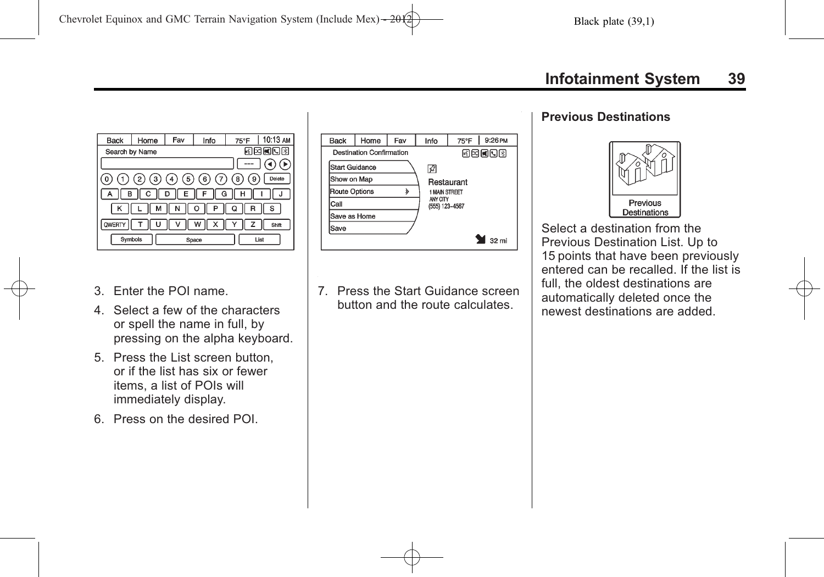



- 3. Enter the POI name.
- 4. Select a few of the characters or spell the name in full, by pressing on the alpha keyboard.
- 5. Press the List screen button, or if the list has six or fewer items, a list of POIs will immediately display.
- 6. Press on the desired POI.

7. Press the Start Guidance screen button and the route calculates.

#### **Previous Destinations**



Select a destination from the Previous Destination List. Up to 15 points that have been previously entered can be recalled. If the list is full, the oldest destinations are automatically deleted once the newest destinations are added.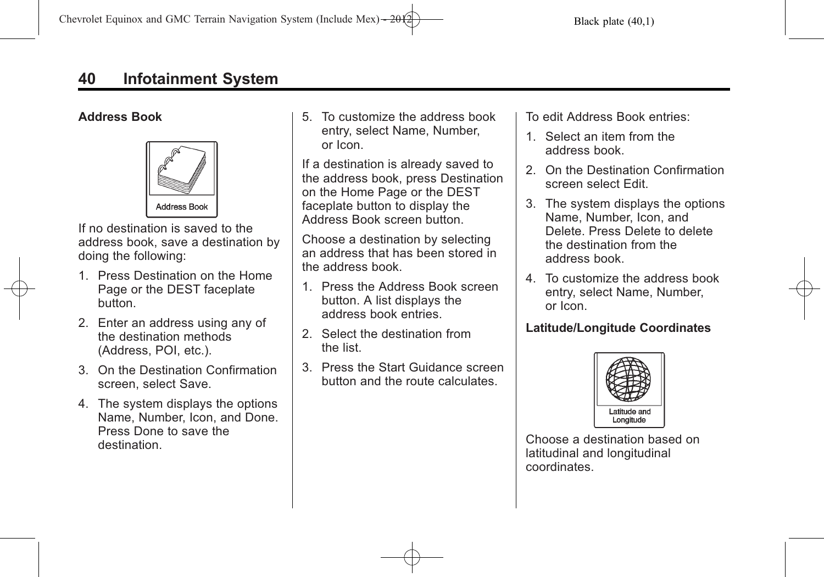### **Address Book**



If no destination is saved to the address book, save a destination by doing the following:

- 1. Press Destination on the Home Page or the DEST faceplate button.
- 2. Enter an address using any of the destination methods (Address, POI, etc.).
- 3. On the Destination Confirmation screen, select Save.
- 4. The system displays the options Name, Number, Icon, and Done. Press Done to save the destination.

5. To customize the address book entry, select Name, Number, or Icon.

If a destination is already saved to the address book, press Destination on the Home Page or the DEST faceplate button to display the Address Book screen button.

Choose a destination by selecting an address that has been stored in the address book.

- 1. Press the Address Book screen button. A list displays the address book entries.
- 2. Select the destination from the list.
- 3. Press the Start Guidance screen button and the route calculates.

To edit Address Book entries:

- 1. Select an item from the address book.
- 2. On the Destination Confirmation screen select Edit.
- 3. The system displays the options Name, Number, Icon, and Delete. Press Delete to delete the destination from the address book.
- 4. To customize the address book entry, select Name, Number, or Icon.

## **Latitude/Longitude Coordinates**



Choose a destination based on latitudinal and longitudinal coordinates.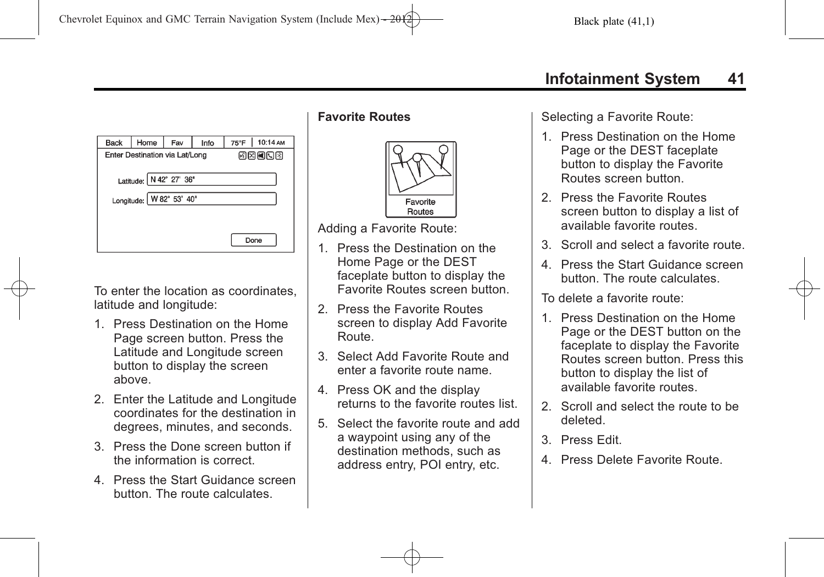| <b>Back</b>                                         | Home                           | Fav   | Info | 75°F | 10:14 AM |  |
|-----------------------------------------------------|--------------------------------|-------|------|------|----------|--|
|                                                     | Enter Destination via Lat/Long | 网网国国图 |      |      |          |  |
| Latitude: N 42° 27' 36"<br>Longitude: W 82° 53' 40" |                                |       |      |      |          |  |
| Done                                                |                                |       |      |      |          |  |

To enter the location as coordinates, latitude and longitude:

- 1. Press Destination on the Home Page screen button. Press the Latitude and Longitude screen button to display the screen above.
- 2. Enter the Latitude and Longitude coordinates for the destination in degrees, minutes, and seconds.
- 3. Press the Done screen button if the information is correct.
- 4. Press the Start Guidance screen button. The route calculates.

### **Favorite Routes**



Adding a Favorite Route:

- 1. Press the Destination on the Home Page or the DEST faceplate button to display the Favorite Routes screen button.
- 2. Press the Favorite Routes screen to display Add Favorite Route.
- 3. Select Add Favorite Route and enter a favorite route name.
- 4. Press OK and the display returns to the favorite routes list.
- 5. Select the favorite route and add a waypoint using any of the destination methods, such as address entry, POI entry, etc.

Selecting a Favorite Route:

- 1. Press Destination on the Home Page or the DEST faceplate button to display the Favorite Routes screen button.
- 2. Press the Favorite Routes screen button to display a list of available favorite routes.
- 3. Scroll and select a favorite route.
- 4. Press the Start Guidance screen button. The route calculates.

To delete a favorite route:

- 1. Press Destination on the Home Page or the DEST button on the faceplate to display the Favorite Routes screen button. Press this button to display the list of available favorite routes.
- 2. Scroll and select the route to be deleted.
- 3. Press Edit.
- 4. Press Delete Favorite Route.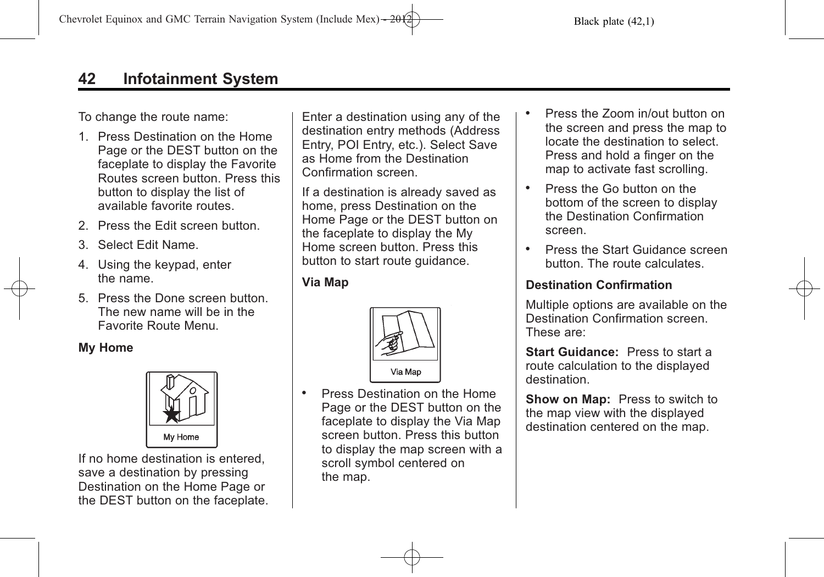# **42 Infotainment System**

To change the route name:

- 1. Press Destination on the Home Page or the DEST button on the faceplate to display the Favorite Routes screen button. Press this button to display the list of available favorite routes.
- 2. Press the Edit screen button.
- 3. Select Edit Name.
- 4. Using the keypad, enter the name.
- 5. Press the Done screen button. The new name will be in the Favorite Route Menu.

#### **My Home**



If no home destination is entered. save a destination by pressing Destination on the Home Page or the DEST button on the faceplate. Enter a destination using any of the destination entry methods (Address Entry, POI Entry, etc.). Select Save as Home from the Destination Confirmation screen.

If a destination is already saved as home, press Destination on the Home Page or the DEST button on the faceplate to display the My Home screen button. Press this button to start route guidance.

**Via Map**



. Press Destination on the Home Page or the DEST button on the faceplate to display the Via Map screen button. Press this button to display the map screen with a scroll symbol centered on the map.

- . Press the Zoom in/out button on the screen and press the map to locate the destination to select. Press and hold a finger on the map to activate fast scrolling.
- . Press the Go button on the bottom of the screen to display the Destination Confirmation screen.
- . Press the Start Guidance screen button. The route calculates.

#### **Destination Confirmation**

Multiple options are available on the Destination Confirmation screen. These are:

**Start Guidance:** Press to start a route calculation to the displayed destination.

**Show on Map:** Press to switch to the map view with the displayed destination centered on the map.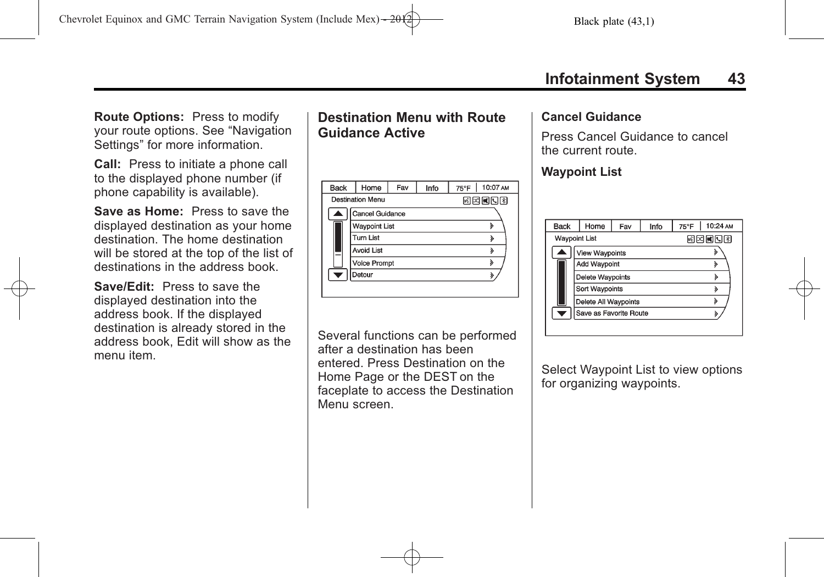**Route Options:** Press to modify your route options. See "Navigation Settings" for more information.

**Call:** Press to initiate a phone call to the displayed phone number (if phone capability is available).

**Save as Home:** Press to save the displayed destination as your home destination. The home destination will be stored at the top of the list of destinations in the address book.

**Save/Edit:** Press to save the displayed destination into the address book. If the displayed destination is already stored in the address book, Edit will show as the menu item.

# **Destination Menu with Route Guidance Active**

| <b>Back</b> | Home                    | Fav | Info | $75^{\circ}$ F | 10:07 AM |  |
|-------------|-------------------------|-----|------|----------------|----------|--|
|             | <b>Destination Menu</b> |     |      | 网络阿门图          |          |  |
| А           | <b>Cancel Guidance</b>  |     |      |                |          |  |
|             | <b>Waypoint List</b>    |     |      |                |          |  |
|             | <b>Turn List</b>        |     |      |                |          |  |
|             | <b>Avoid List</b>       |     |      |                | ১        |  |
|             | <b>Voice Prompt</b>     |     |      | ð              |          |  |
| ۰           | Detour                  |     |      |                |          |  |
|             |                         |     |      |                |          |  |

Several functions can be performed after a destination has been entered. Press Destination on the Home Page or the DEST on the faceplate to access the Destination Menu screen.

#### **Cancel Guidance**

Press Cancel Guidance to cancel the current route.

### **Waypoint List**

| <b>Back</b>          | Home                    | Fav | Info | $75^{\circ}$ F | 10:24 AM |
|----------------------|-------------------------|-----|------|----------------|----------|
| <b>Waypoint List</b> |                         |     |      | 因因國內國          |          |
|                      | View Waypoints          |     |      |                |          |
|                      | <b>Add Waypoint</b>     |     |      |                | ঌ        |
|                      | <b>Delete Waypoints</b> |     |      |                | ১        |
|                      | Sort Waypoints          |     |      |                | ১        |
|                      | Delete All Waypoints    |     |      |                | ১        |
|                      | Save as Favorite Route  |     |      |                |          |
|                      |                         |     |      |                |          |

Select Waypoint List to view options for organizing waypoints.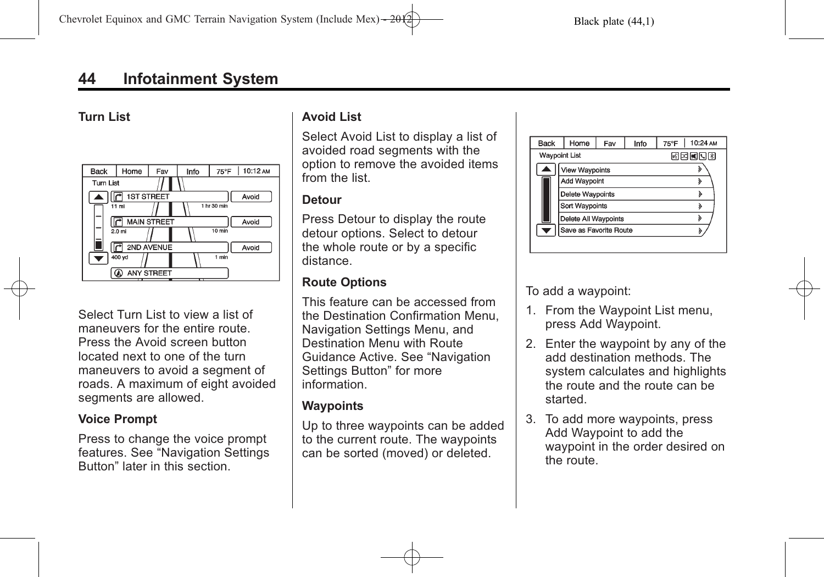# **44 Infotainment System**

#### **Turn List**



Select Turn List to view a list of maneuvers for the entire route. Press the Avoid screen button located next to one of the turn maneuvers to avoid a segment of roads. A maximum of eight avoided segments are allowed.

#### **Voice Prompt**

Press to change the voice prompt features. See "Navigation Settings Button" later in this section.

### **Avoid List**

Select Avoid List to display a list of avoided road segments with the option to remove the avoided items from the list.

#### **Detour**

Press Detour to display the route detour options. Select to detour the whole route or by a specific distance.

### **Route Options**

This feature can be accessed from the Destination Confirmation Menu, Navigation Settings Menu, and Destination Menu with Route Guidance Active. See "Navigation Settings Button" for more information.

### **Waypoints**

Up to three waypoints can be added to the current route. The waypoints can be sorted (moved) or deleted.

| <b>Back</b>   | Home                   | Fav | Info  | 10:24 AM<br>$75^{\circ}$ F |
|---------------|------------------------|-----|-------|----------------------------|
| Waypoint List |                        |     | 网网网国图 |                            |
|               | View Waypoints         |     |       |                            |
|               | Add Waypoint           |     |       |                            |
|               | Delete Waypoints       |     |       |                            |
|               | <b>Sort Waypoints</b>  |     |       |                            |
|               | Delete All Waypoints   |     |       |                            |
|               | Save as Favorite Route |     |       |                            |
|               |                        |     |       |                            |

To add a waypoint:

- 1. From the Waypoint List menu, press Add Waypoint.
- 2. Enter the waypoint by any of the add destination methods. The system calculates and highlights the route and the route can be started.
- 3. To add more waypoints, press Add Waypoint to add the waypoint in the order desired on the route.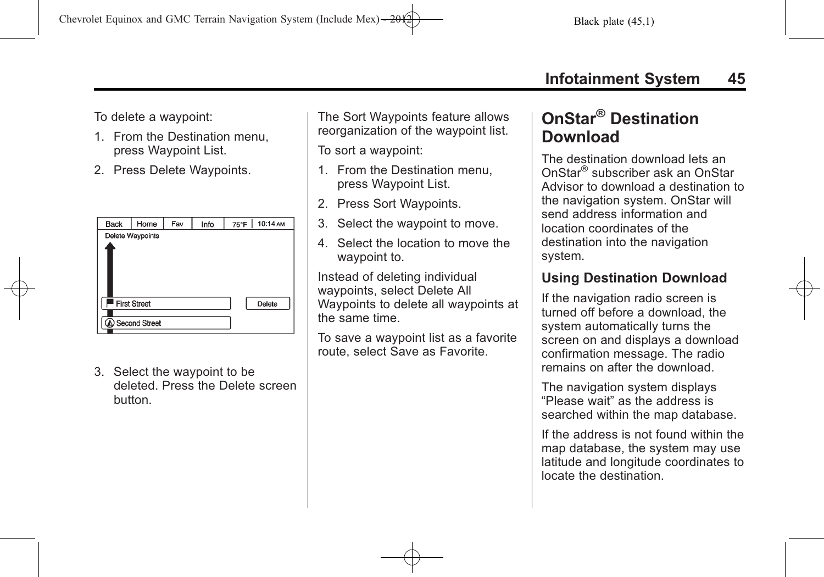To delete a waypoint:

- 1. From the Destination menu, press Waypoint List.
- 2. Press Delete Waypoints.

| <b>Back</b> | Home                | Fav | Info | 75°F | 10:14 AM |
|-------------|---------------------|-----|------|------|----------|
|             | Delete Waypoints    |     |      |      |          |
|             |                     |     |      |      |          |
|             | <b>First Street</b> |     |      |      | Delete   |
|             | A Second Street     |     |      |      |          |

3. Select the waypoint to be deleted. Press the Delete screen button.

The Sort Waypoints feature allows reorganization of the waypoint list.

To sort a waypoint:

- 1. From the Destination menu, press Waypoint List.
- 2. Press Sort Waypoints.
- 3. Select the waypoint to move.
- 4. Select the location to move the waypoint to.

Instead of deleting individual waypoints, select Delete All Waypoints to delete all waypoints at the same time.

To save a waypoint list as a favorite route, select Save as Favorite.

# **OnStar® Destination Download**

The destination download lets an OnStar® subscriber ask an OnStar Advisor to download a destination to the navigation system. OnStar will send address information and location coordinates of the destination into the navigation system.

# **Using Destination Download**

If the navigation radio screen is turned off before a download, the system automatically turns the screen on and displays a download confirmation message. The radio remains on after the download.

The navigation system displays "Please wait" as the address is searched within the map database.

If the address is not found within the map database, the system may use latitude and longitude coordinates to locate the destination.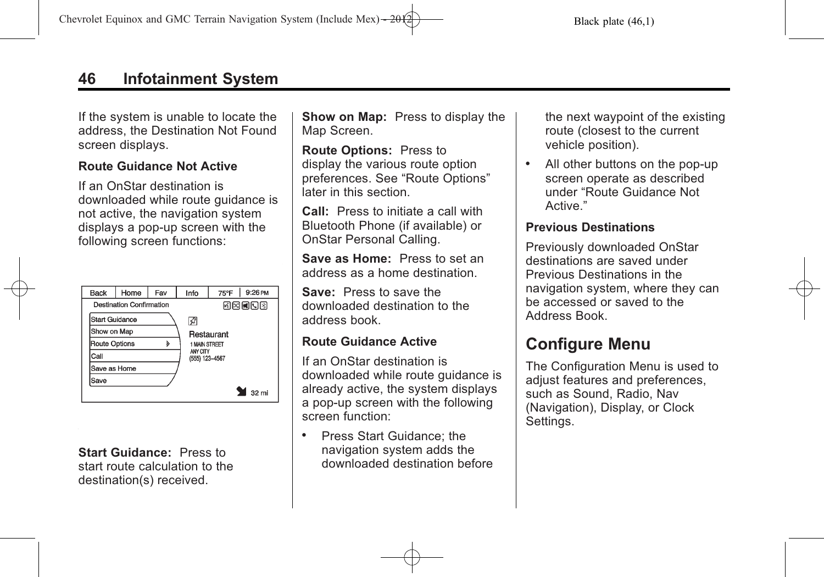# **46 Infotainment System**

If the system is unable to locate the address, the Destination Not Found screen displays.

#### **Route Guidance Not Active**

If an OnStar destination is downloaded while route guidance is not active, the navigation system displays a pop-up screen with the following screen functions:

| <b>Back</b>    | Home                     | Fav                | Info                       | $75^{\circ}$ F | 9:26 PM       |
|----------------|--------------------------|--------------------|----------------------------|----------------|---------------|
|                | Destination Confirmation |                    |                            |                | <b>MERION</b> |
| Start Guidance |                          |                    | ₽                          |                |               |
| Show on Map    |                          |                    |                            | Restaurant     |               |
| Route Options  |                          | $\mathbf{\hat{z}}$ | <b>1 MAIN STREET</b>       |                |               |
| Call           |                          |                    | ANY CITY<br>(555) 123-4567 |                |               |
| Save as Home   |                          |                    |                            |                |               |
| Save           |                          |                    |                            |                |               |
|                |                          |                    |                            |                | 32 mi         |

**Start Guidance:** Press to start route calculation to the destination(s) received.

**Show on Map:** Press to display the Map Screen.

**Route Options:** Press to display the various route option preferences. See "Route Options" later in this section.

**Call:** Press to initiate a call with Bluetooth Phone (if available) or OnStar Personal Calling.

**Save as Home:** Press to set an address as a home destination.

**Save:** Press to save the downloaded destination to the address book.

### **Route Guidance Active**

If an OnStar destination is downloaded while route guidance is already active, the system displays a pop-up screen with the following screen function:

. Press Start Guidance; the navigation system adds the downloaded destination before the next waypoint of the existing route (closest to the current vehicle position).

. All other buttons on the pop-up screen operate as described under "Route Guidance Not Active."

#### **Previous Destinations**

Previously downloaded OnStar destinations are saved under Previous Destinations in the navigation system, where they can be accessed or saved to the Address Book.

# **Configure Menu**

The Configuration Menu is used to adjust features and preferences, such as Sound, Radio, Nav (Navigation), Display, or Clock Settings.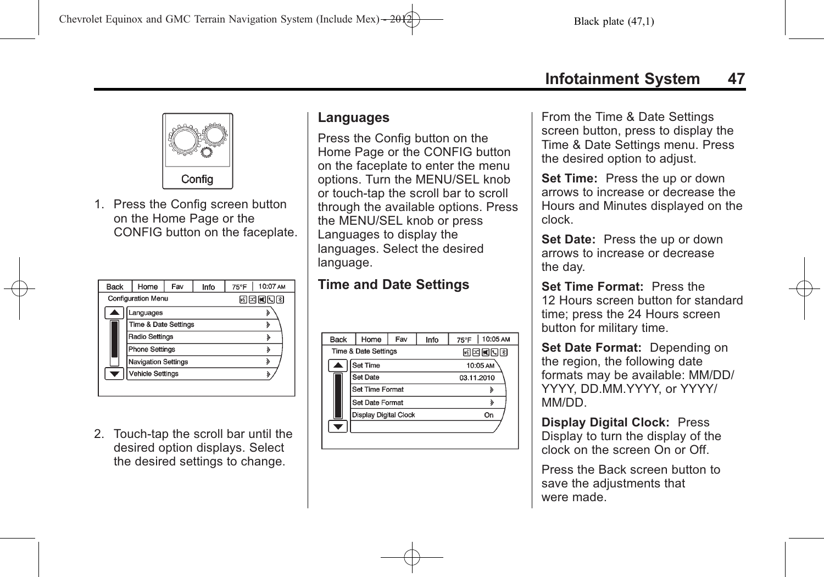

1. Press the Config screen button on the Home Page or the CONFIG button on the faceplate.

| <b>Back</b> | Home                            | Fav | 75°F | 10:07 AM |   |
|-------------|---------------------------------|-----|------|----------|---|
|             | <b>Configuration Menu</b>       |     |      | 网络阿门图    |   |
|             | Languages                       |     |      |          |   |
|             | <b>Time &amp; Date Settings</b> |     |      |          | У |
|             | <b>Radio Settings</b>           |     |      |          | ঌ |
|             | <b>Phone Settings</b>           |     |      |          | » |
|             | <b>Navigation Settings</b>      |     |      |          | ১ |
|             | <b>Vehicle Settings</b>         |     |      |          |   |
|             |                                 |     |      |          |   |

2. Touch-tap the scroll bar until the desired option displays. Select the desired settings to change.

### **Languages**

Press the Config button on the Home Page or the CONFIG button on the faceplate to enter the menu options. Turn the MENU/SEL knob or touch-tap the scroll bar to scroll through the available options. Press the MENU/SEL knob or press Languages to display the languages. Select the desired language.

### **Time and Date Settings**

| Back | Home                         | Fav<br>Info |       | 75°F   10:05 AM |  |  |
|------|------------------------------|-------------|-------|-----------------|--|--|
|      | Time & Date Settings         |             | 网络阿门图 |                 |  |  |
|      | Set Time                     |             |       | 10:05 AM        |  |  |
|      | Set Date                     |             |       | 03.11.2010      |  |  |
|      | <b>Set Time Format</b>       |             |       | d               |  |  |
|      | Set Date Format              |             |       | ১               |  |  |
|      | <b>Display Digital Clock</b> |             |       | On              |  |  |
|      |                              |             |       |                 |  |  |
|      |                              |             |       |                 |  |  |

From the Time & Date Settings screen button, press to display the Time & Date Settings menu. Press the desired option to adjust.

**Set Time:** Press the up or down arrows to increase or decrease the Hours and Minutes displayed on the clock.

**Set Date:** Press the up or down arrows to increase or decrease the day.

**Set Time Format:** Press the 12 Hours screen button for standard time; press the 24 Hours screen button for military time.

**Set Date Format:** Depending on the region, the following date formats may be available: MM/DD/ YYYY, DD.MM.YYYY, or YYYY/ MM/DD.

**Display Digital Clock:** Press Display to turn the display of the clock on the screen On or Off.

Press the Back screen button to save the adjustments that were made.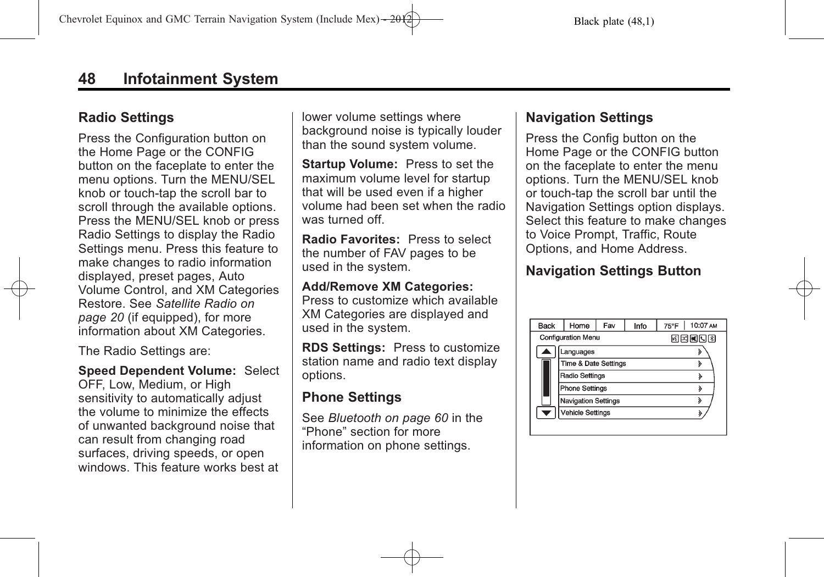# **Radio Settings**

Press the Configuration button on the Home Page or the CONFIG button on the faceplate to enter the menu options. Turn the MENU/SEL knob or touch-tap the scroll bar to scroll through the available options. Press the MENU/SEL knob or press Radio Settings to display the Radio Settings menu. Press this feature to make changes to radio information displayed, preset pages, Auto Volume Control, and XM Categories Restore. See *[Satellite Radio on](#page-19-0) [page 20](#page-19-0)* (if equipped), for more information about XM Categories.

The Radio Settings are:

**Speed Dependent Volume:** Select OFF, Low, Medium, or High sensitivity to automatically adjust the volume to minimize the effects of unwanted background noise that can result from changing road surfaces, driving speeds, or open windows. This feature works best at lower volume settings where background noise is typically louder than the sound system volume.

**Startup Volume:** Press to set the maximum volume level for startup that will be used even if a higher volume had been set when the radio was turned off.

**Radio Favorites:** Press to select the number of FAV pages to be used in the system.

#### **Add/Remove XM Categories:**

Press to customize which available XM Categories are displayed and used in the system.

**RDS Settings:** Press to customize station name and radio text display options.

## **Phone Settings**

See *[Bluetooth on page 60](#page-59-0)* in the "Phone" section for more information on phone settings.

# **Navigation Settings**

Press the Config button on the Home Page or the CONFIG button on the faceplate to enter the menu options. Turn the MENU/SEL knob or touch-tap the scroll bar until the Navigation Settings option displays. Select this feature to make changes to Voice Prompt, Traffic, Route Options, and Home Address.

# **Navigation Settings Button**

| <b>Back</b>      | Home<br>Fav<br>Info             |        |   | 75°F   10:07 AM |
|------------------|---------------------------------|--------|---|-----------------|
|                  | <b>Configuration Menu</b>       | ri¤nda |   |                 |
|                  | Languages                       |        |   |                 |
|                  | <b>Time &amp; Date Settings</b> |        |   | λ               |
|                  | Radio Settings                  |        |   | à               |
|                  | Phone Settings                  |        |   | ১               |
|                  | <b>Navigation Settings</b>      |        | ১ |                 |
| Vehicle Settings |                                 |        |   |                 |
|                  |                                 |        |   |                 |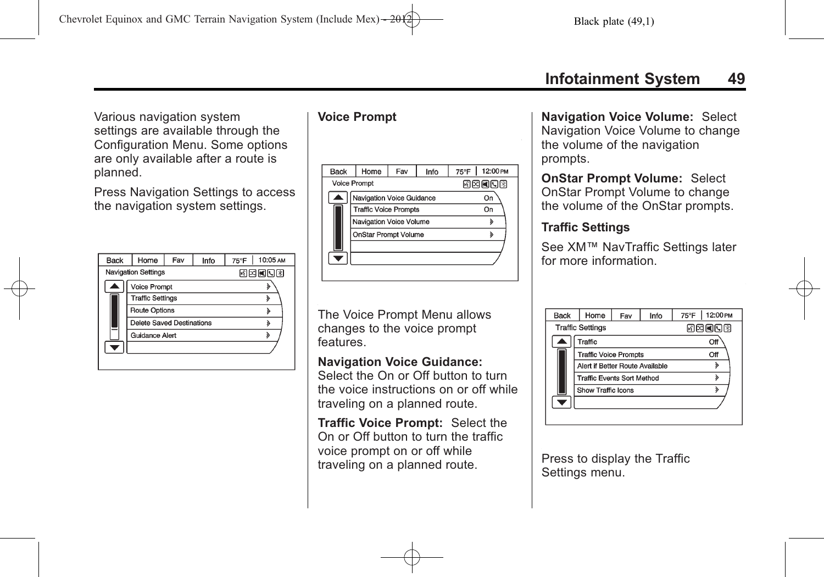Various navigation system settings are available through the Configuration Menu. Some options are only available after a route is planned.

Press Navigation Settings to access the navigation system settings.

| <b>Back</b> | Home                       | Fav | 10:05 AM<br>75°F |   |
|-------------|----------------------------|-----|------------------|---|
|             | <b>Navigation Settings</b> |     | 同因國同國            |   |
|             | Voice Prompt               |     |                  |   |
|             | <b>Traffic Settings</b>    |     |                  |   |
|             | <b>Route Options</b>       |     |                  |   |
|             | Delete Saved Destinations  |     |                  |   |
|             | Guidance Alert             |     |                  | ঌ |
|             |                            |     |                  |   |
|             |                            |     |                  |   |

### **Voice Prompt**

| Back | Home                                                                                                                                       | Fav | Info | 12:00 PM<br>75°F |  |
|------|--------------------------------------------------------------------------------------------------------------------------------------------|-----|------|------------------|--|
|      | <b>Voice Prompt</b><br>Navigation Voice Guidance<br><b>Traffic Voice Prompts</b><br>Navigation Voice Volume<br><b>OnStar Prompt Volume</b> |     |      | 國國國國國            |  |
|      |                                                                                                                                            |     |      | On               |  |
|      |                                                                                                                                            |     | On   |                  |  |
|      |                                                                                                                                            |     | »    |                  |  |
|      |                                                                                                                                            |     | ۵    |                  |  |
|      |                                                                                                                                            |     |      |                  |  |
|      |                                                                                                                                            |     |      |                  |  |
|      |                                                                                                                                            |     |      |                  |  |

The Voice Prompt Menu allows changes to the voice prompt features.

### **Navigation Voice Guidance:**

Select the On or Off button to turn the voice instructions on or off while traveling on a planned route.

**Traffic Voice Prompt:** Select the On or Off button to turn the traffic voice prompt on or off while traveling on a planned route.

**Navigation Voice Volume:** Select Navigation Voice Volume to change the volume of the navigation prompts.

**OnStar Prompt Volume:** Select OnStar Prompt Volume to change the volume of the OnStar prompts.

### **Traffic Settings**

See XM™ NavTraffic Settings later for more information.

| Back | Home                            | Fav   | Info | 12:00 PM<br>75°F |
|------|---------------------------------|-------|------|------------------|
|      | <b>Traffic Settings</b>         | 网网间内图 |      |                  |
|      | Traffic                         |       |      |                  |
|      | <b>Traffic Voice Prompts</b>    |       |      | Off              |
|      | Alert if Better Route Available |       |      |                  |
|      | Traffic Events Sort Method      |       |      | ১                |
|      | Show Traffic Icons              |       |      | ঌ                |
|      |                                 |       |      |                  |
|      |                                 |       |      |                  |

Press to display the Traffic Settings menu.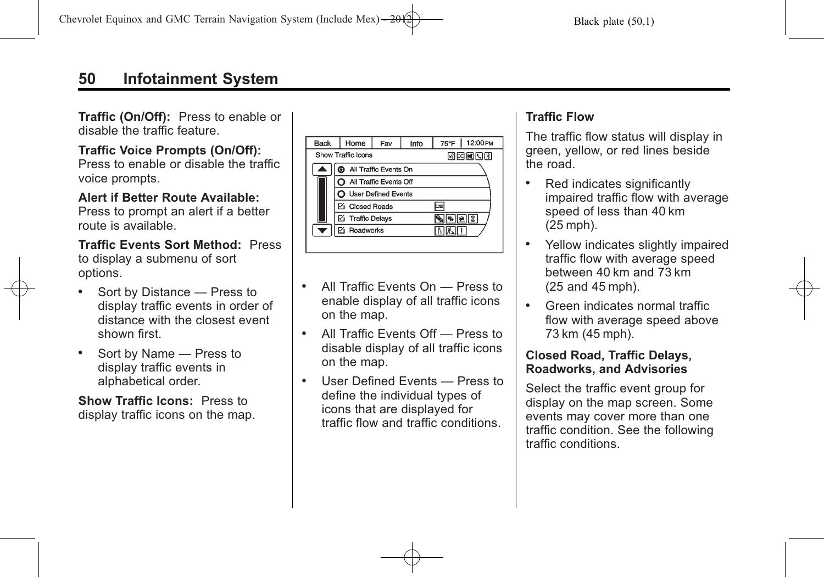**Traffic (On/Off):** Press to enable or disable the traffic feature.

### **Traffic Voice Prompts (On/Off):**

Press to enable or disable the traffic voice prompts.

**Alert if Better Route Available:** Press to prompt an alert if a better route is available.

**Traffic Events Sort Method:** Press to display a submenu of sort options.

- . Sort by Distance Press to display traffic events in order of distance with the closest event shown first.
- . Sort by Name Press to display traffic events in alphabetical order.

**Show Traffic Icons:** Press to display traffic icons on the map.

| <b>Back</b> | Home                    | Fav                   | Info | $75^{\circ}$ F | 12:00 PM |  |
|-------------|-------------------------|-----------------------|------|----------------|----------|--|
|             | Show Traffic Icons      |                       |      | 68 X 08 4 3    |          |  |
|             |                         | All Traffic Events On |      |                |          |  |
|             | All Traffic Events Off  |                       |      |                |          |  |
|             | User Defined Events     |                       |      |                |          |  |
|             | <b>Zi</b> Closed Roads  |                       |      | <b>DORT</b>    |          |  |
|             | <b>☑</b> Traffic Delays |                       |      |                |          |  |
|             | Roadworks               |                       |      |                |          |  |
|             |                         |                       |      |                |          |  |

- . All Traffic Events On Press to enable display of all traffic icons on the map.
- . All Traffic Events Off Press to disable display of all traffic icons on the map.
- . User Defined Events Press to define the individual types of icons that are displayed for traffic flow and traffic conditions.

# **Traffic Flow**

The traffic flow status will display in green, yellow, or red lines beside the road.

- Red indicates significantly impaired traffic flow with average speed of less than 40 km (25 mph).
- Yellow indicates slightly impaired traffic flow with average speed between 40 km and 73 km (25 and 45 mph).
- . Green indicates normal traffic flow with average speed above 73 km (45 mph).

#### **Closed Road, Traffic Delays, Roadworks, and Advisories**

Select the traffic event group for display on the map screen. Some events may cover more than one traffic condition. See the following traffic conditions.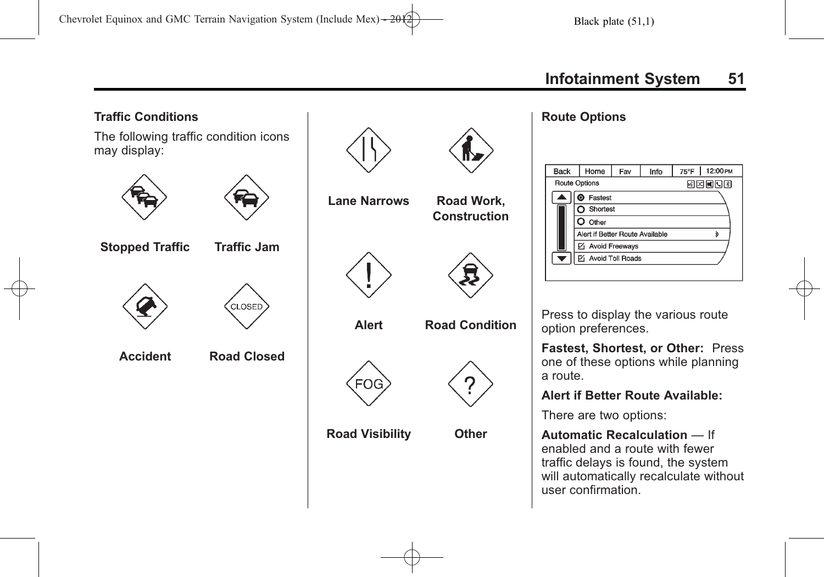# **Traffic Conditions** The following traffic condition icons may display: **Lane Narrows Road Work, Construction Stopped Traffic Traffic Jam CLOSED Alert Road Condition Accident Road Closed FOG Road Visibility Other**

#### **Route Options**

| <b>Back</b>              | Home                            | Fav | Info | 75°F   12:00 PM |
|--------------------------|---------------------------------|-----|------|-----------------|
| <b>Route Options</b>     |                                 |     |      | 國國國國國           |
|                          | Fastest                         |     |      |                 |
|                          | Shortest                        |     |      |                 |
|                          | Other                           |     |      |                 |
|                          | Alert if Better Route Available |     |      | ১               |
|                          | ☑ Avoid Freeways                |     |      |                 |
| $\overline{\phantom{a}}$ | <b>Z</b> Avoid Toll Roads       |     |      |                 |
|                          |                                 |     |      |                 |

Press to display the various route option preferences.

**Fastest, Shortest, or Other:** Press one of these options while planning a route.

#### **Alert if Better Route Available:**

There are two options:

**Automatic Recalculation** — If enabled and a route with fewer traffic delays is found, the system will automatically recalculate without user confirmation.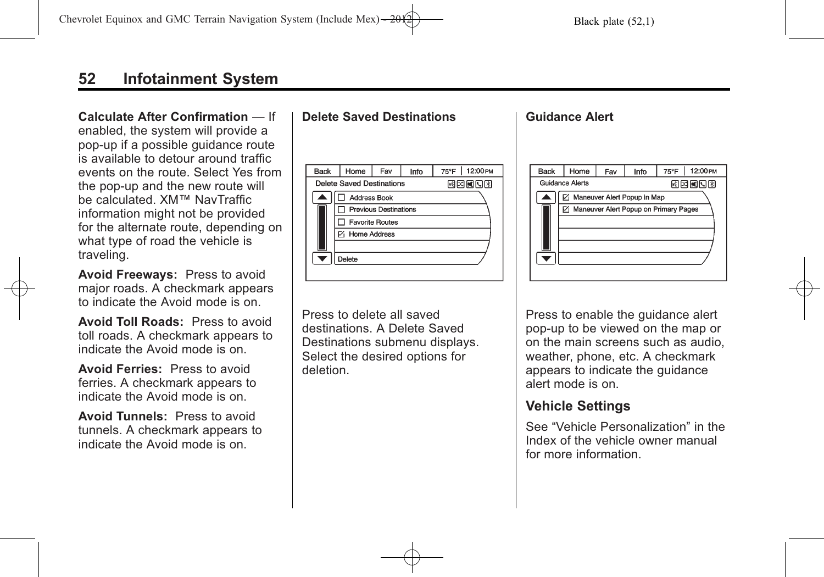# **52 Infotainment System**

#### **Calculate After Confirmation** — If

enabled, the system will provide a pop-up if a possible guidance route is available to detour around traffic events on the route. Select Yes from the pop-up and the new route will be calculated. XM™ NavTraffic information might not be provided for the alternate route, depending on what type of road the vehicle is traveling.

**Avoid Freeways:** Press to avoid major roads. A checkmark appears to indicate the Avoid mode is on.

**Avoid Toll Roads:** Press to avoid toll roads. A checkmark appears to indicate the Avoid mode is on.

**Avoid Ferries:** Press to avoid ferries. A checkmark appears to indicate the Avoid mode is on.

**Avoid Tunnels:** Press to avoid tunnels. A checkmark appears to indicate the Avoid mode is on.

### **Delete Saved Destinations**



Press to delete all saved destinations. A Delete Saved Destinations submenu displays. Select the desired options for deletion.

#### **Guidance Alert**



Press to enable the guidance alert pop-up to be viewed on the map or on the main screens such as audio, weather, phone, etc. A checkmark appears to indicate the guidance alert mode is on.

### **Vehicle Settings**

See "Vehicle Personalization" in the Index of the vehicle owner manual for more information.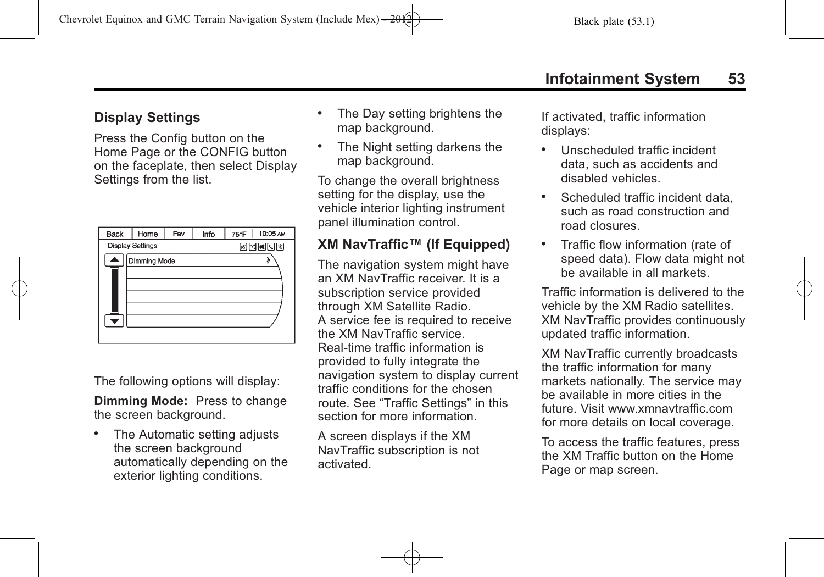# **Display Settings**

Press the Config button on the Home Page or the CONFIG button on the faceplate, then select Display Settings from the list.

| <b>Back</b>         | Home                                    | Fav | Info | 10:05 AM<br>75°F |  |  |
|---------------------|-----------------------------------------|-----|------|------------------|--|--|
|                     | <b>Display Settings</b><br><b>MENDR</b> |     |      |                  |  |  |
| <b>Dimming Mode</b> |                                         |     |      |                  |  |  |
|                     |                                         |     |      |                  |  |  |
|                     |                                         |     |      |                  |  |  |
|                     |                                         |     |      |                  |  |  |
|                     |                                         |     |      |                  |  |  |
|                     |                                         |     |      |                  |  |  |

The following options will display:

**Dimming Mode:** Press to change the screen background.

. The Automatic setting adjusts the screen background automatically depending on the exterior lighting conditions.

- . The Day setting brightens the map background.
- . The Night setting darkens the map background.

To change the overall brightness setting for the display, use the vehicle interior lighting instrument panel illumination control.

# **XM NavTraffic™ (If Equipped)**

The navigation system might have an XM NavTraffic receiver. It is a subscription service provided through XM Satellite Radio. A service fee is required to receive the XM NavTraffic service. Real-time traffic information is provided to fully integrate the navigation system to display current traffic conditions for the chosen route. See "Traffic Settings" in this section for more information.

A screen displays if the XM NavTraffic subscription is not activated.

If activated, traffic information displays:

- . Unscheduled traffic incident data, such as accidents and disabled vehicles.
- . Scheduled traffic incident data, such as road construction and road closures.
- . Traffic flow information (rate of speed data). Flow data might not be available in all markets.

Traffic information is delivered to the vehicle by the XM Radio satellites. XM NavTraffic provides continuously updated traffic information.

XM NavTraffic currently broadcasts the traffic information for many markets nationally. The service may be available in more cities in the future. Visit www.xmnavtraffic.com for more details on local coverage.

To access the traffic features, press the XM Traffic button on the Home Page or map screen.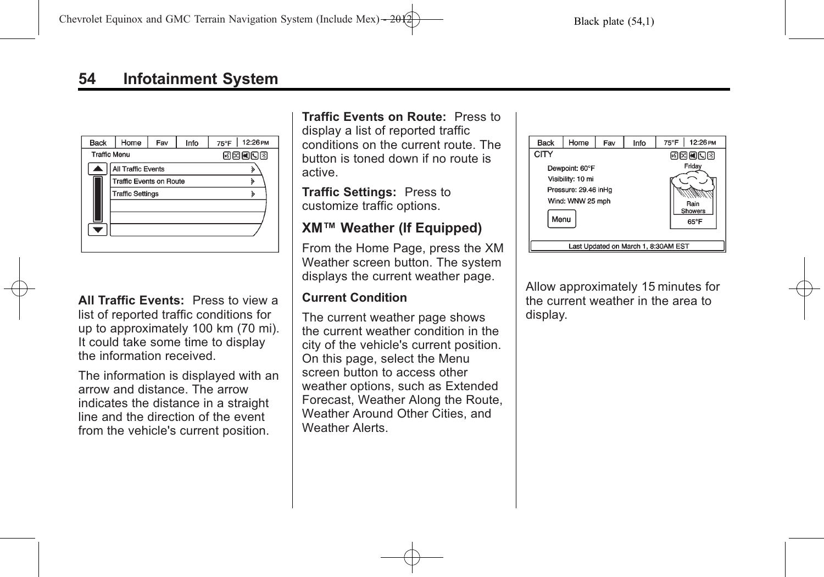| <b>Back</b>         | Home                    | Fav          | Info | 12:26 PM<br>$75^{\circ}$ F |
|---------------------|-------------------------|--------------|------|----------------------------|
| <b>Traffic Menu</b> |                         | <b>MENDR</b> |      |                            |
|                     | All Traffic Events      |              |      |                            |
|                     | Traffic Events on Route |              |      |                            |
|                     | <b>Traffic Settings</b> | ১            |      |                            |
|                     |                         |              |      |                            |
|                     |                         |              |      |                            |
|                     |                         |              |      |                            |
|                     |                         |              |      |                            |

**All Traffic Events:** Press to view a list of reported traffic conditions for up to approximately 100 km (70 mi). It could take some time to display the information received.

The information is displayed with an arrow and distance. The arrow indicates the distance in a straight line and the direction of the event from the vehicle's current position.

**Traffic Events on Route:** Press to

display a list of reported traffic conditions on the current route. The button is toned down if no route is active.

**Traffic Settings:** Press to customize traffic options.

# **XM™ Weather (If Equipped)**

From the Home Page, press the XM Weather screen button. The system displays the current weather page.

### **Current Condition**

The current weather page shows the current weather condition in the city of the vehicle's current position. On this page, select the Menu screen button to access other weather options, such as Extended Forecast, Weather Along the Route, Weather Around Other Cities, and Weather Alerts.



Allow approximately 15 minutes for the current weather in the area to display.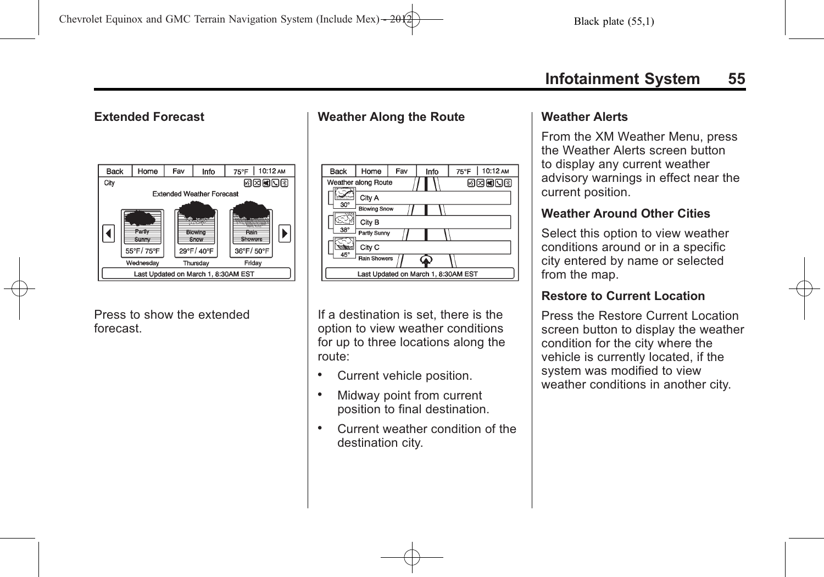### **Extended Forecast**



Press to show the extended forecast.

### **Weather Along the Route**

| <b>Back</b> | Home                | Fav | Info                                | 75°F   10:12 AM |
|-------------|---------------------|-----|-------------------------------------|-----------------|
|             | Weather along Route |     |                                     | 网络阿因图           |
|             | City A              |     |                                     |                 |
| $30^\circ$  | <b>Blowing Snow</b> |     |                                     |                 |
|             | City B              |     |                                     |                 |
| $38^\circ$  | Partly Sunny        |     |                                     |                 |
|             | City C              |     |                                     |                 |
| 45°         | <b>Rain Showers</b> |     |                                     |                 |
|             |                     |     | Last Updated on March 1, 8:30AM EST |                 |

If a destination is set, there is the option to view weather conditions for up to three locations along the route:

- . Current vehicle position.
- . Midway point from current position to final destination.
- . Current weather condition of the destination city.

#### **Weather Alerts**

From the XM Weather Menu, press the Weather Alerts screen button to display any current weather advisory warnings in effect near the current position.

### **Weather Around Other Cities**

Select this option to view weather conditions around or in a specific city entered by name or selected from the map.

### **Restore to Current Location**

Press the Restore Current Location screen button to display the weather condition for the city where the vehicle is currently located, if the system was modified to view weather conditions in another city.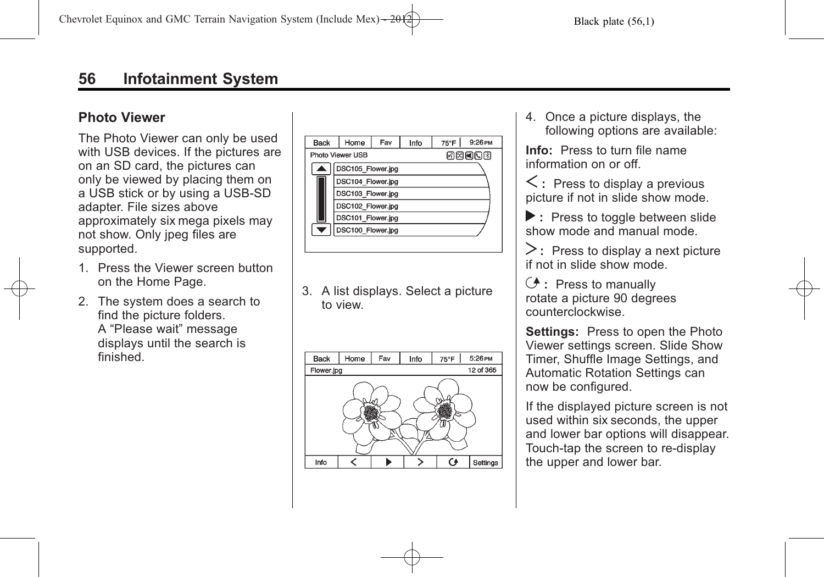### **Photo Viewer**

The Photo Viewer can only be used with USB devices. If the pictures are on an SD card, the pictures can only be viewed by placing them on a USB stick or by using a USB-SD adapter. File sizes above approximately six mega pixels may not show. Only jpeg files are supported.

- 1. Press the Viewer screen button on the Home Page.
- 2. The system does a search to find the picture folders. A "Please wait" message displays until the search is finished.

| Back | Home              | Fav | Info | 75°F | 9:26 PM |
|------|-------------------|-----|------|------|---------|
|      | Photo Viewer USB  |     |      |      | 网网阿冈冈   |
|      | DSC105_Flower.jpg |     |      |      |         |
|      | DSC104 Flower.jpg |     |      |      |         |
|      | DSC103 Flower.jpg |     |      |      |         |
|      | DSC102 Flower.jpg |     |      |      |         |
|      | DSC101 Flower.jpg |     |      |      |         |
|      | DSC100_Flower.jpg |     |      |      |         |
|      |                   |     |      |      |         |

3. A list displays. Select a picture to view.



4. Once a picture displays, the following options are available:

**Info:** Press to turn file name information on or off.

 $\leq$ : Press to display a previous picture if not in slide show mode.

**:** Press to toggle between slide show mode and manual mode.

 $\geq$ : Press to display a next picture if not in slide show mode.

E **:** Press to manually rotate a picture 90 degrees counterclockwise.

**Settings:** Press to open the Photo Viewer settings screen. Slide Show Timer, Shuffle Image Settings, and Automatic Rotation Settings can now be configured.

If the displayed picture screen is not used within six seconds, the upper and lower bar options will disappear. Touch-tap the screen to re-display the upper and lower bar.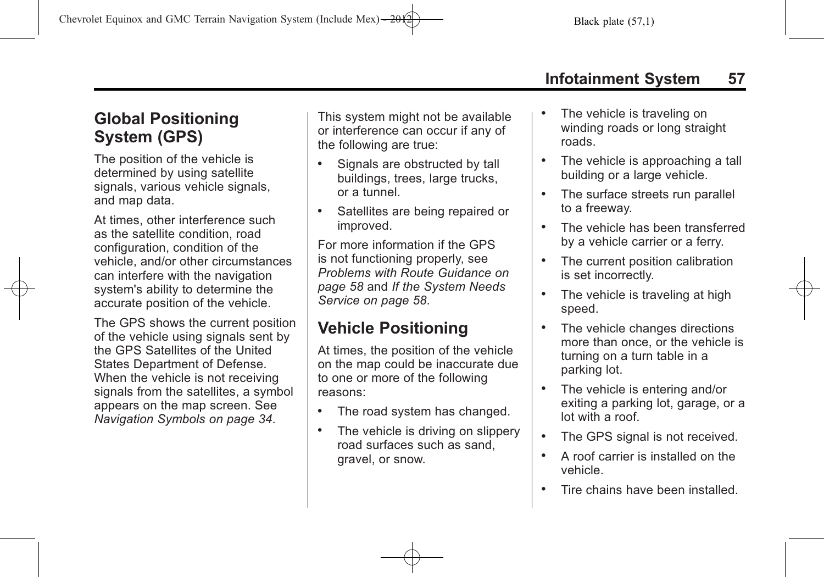# **Global Positioning System (GPS)**

The position of the vehicle is determined by using satellite signals, various vehicle signals, and map data.

At times, other interference such as the satellite condition, road configuration, condition of the vehicle, and/or other circumstances can interfere with the navigation system's ability to determine the accurate position of the vehicle.

The GPS shows the current position of the vehicle using signals sent by the GPS Satellites of the United States Department of Defense. When the vehicle is not receiving signals from the satellites, a symbol appears on the map screen. See *[Navigation Symbols on page 34](#page-33-0)*.

This system might not be available or interference can occur if any of the following are true:

- Signals are obstructed by tall buildings, trees, large trucks, or a tunnel.
- . Satellites are being repaired or improved.

For more information if the GPS is not functioning properly, see *[Problems with Route Guidance on](#page-57-0) [page 58](#page-57-0)* and *[If the System Needs](#page-57-0) [Service on page 58](#page-57-0)*.

# **Vehicle Positioning**

At times, the position of the vehicle on the map could be inaccurate due to one or more of the following reasons:

- . The road system has changed.
- The vehicle is driving on slippery road surfaces such as sand, gravel, or snow.
- The vehicle is traveling on winding roads or long straight roads.
- . The vehicle is approaching a tall building or a large vehicle.
- The surface streets run parallel to a freeway.
- . The vehicle has been transferred by a vehicle carrier or a ferry.
- . The current position calibration is set incorrectly.
- The vehicle is traveling at high speed.
- The vehicle changes directions more than once, or the vehicle is turning on a turn table in a parking lot.
- The vehicle is entering and/or exiting a parking lot, garage, or a lot with a roof.
- . The GPS signal is not received.
- . A roof carrier is installed on the vehicle.
- . Tire chains have been installed.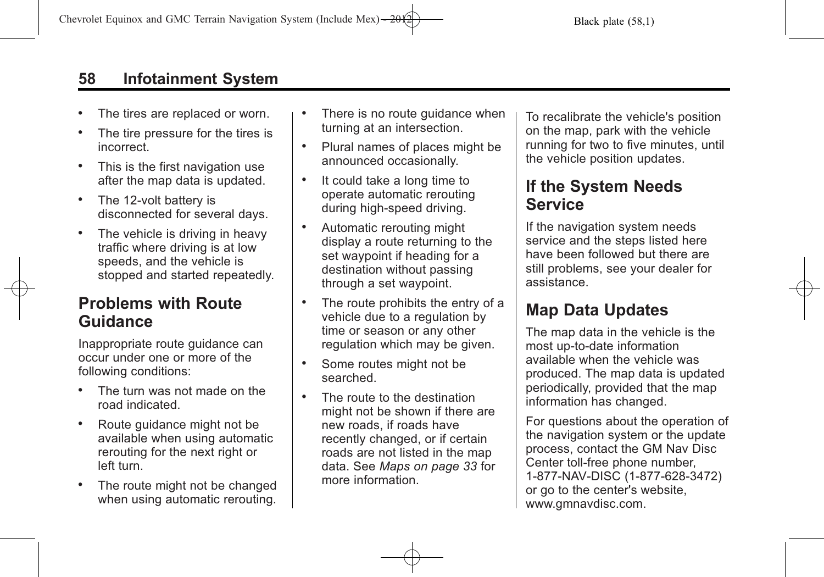# <span id="page-57-0"></span>**58 Infotainment System**

- . The tires are replaced or worn.
- The tire pressure for the tires is incorrect.
- . This is the first navigation use after the map data is updated.
- The 12-volt battery is disconnected for several days.
- . The vehicle is driving in heavy traffic where driving is at low speeds, and the vehicle is stopped and started repeatedly.

# **Problems with Route Guidance**

Inappropriate route guidance can occur under one or more of the following conditions:

- . The turn was not made on the road indicated.
- . Route guidance might not be available when using automatic rerouting for the next right or left turn.
- The route might not be changed when using automatic rerouting.
- There is no route guidance when turning at an intersection.
- . Plural names of places might be announced occasionally.
- . It could take a long time to operate automatic rerouting during high-speed driving.
- . Automatic rerouting might display a route returning to the set waypoint if heading for a destination without passing through a set waypoint.
- . The route prohibits the entry of a vehicle due to a regulation by time or season or any other regulation which may be given.
- . Some routes might not be searched.
- . The route to the destination might not be shown if there are new roads, if roads have recently changed, or if certain roads are not listed in the map data. See *[Maps on page 33](#page-32-0)* for more information.

To recalibrate the vehicle's position on the map, park with the vehicle running for two to five minutes, until the vehicle position updates.

# **If the System Needs Service**

If the navigation system needs service and the steps listed here have been followed but there are still problems, see your dealer for assistance.

# **Map Data Updates**

The map data in the vehicle is the most up-to-date information available when the vehicle was produced. The map data is updated periodically, provided that the map information has changed.

For questions about the operation of the navigation system or the update process, contact the GM Nav Disc Center toll‐free phone number, 1‐877‐NAV‐DISC (1‐877‐628‐3472) or go to the center's website, www.gmnavdisc.com.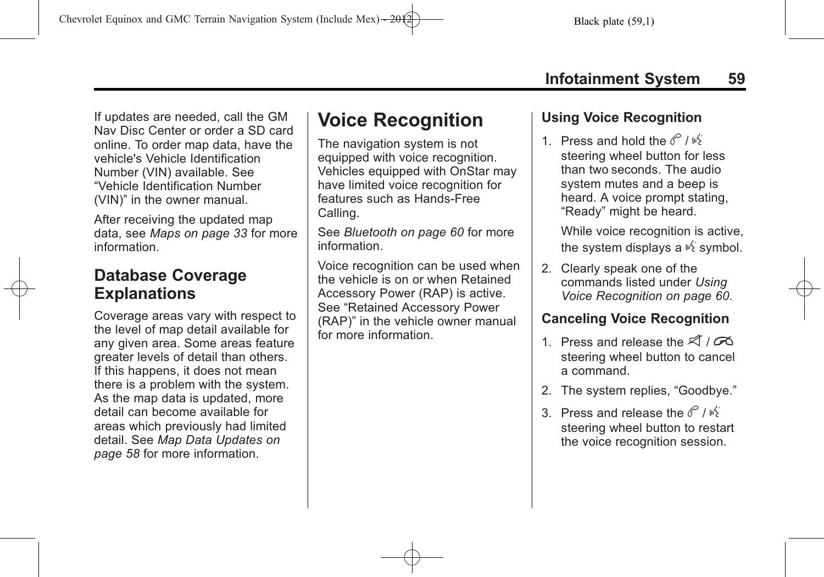If updates are needed, call the GM Nav Disc Center or order a SD card online. To order map data, have the vehicle's Vehicle Identification Number (VIN) available. See "Vehicle Identification Number (VIN)" in the owner manual.

After receiving the updated map data, see *[Maps on page 33](#page-32-0)* for more information.

# **Database Coverage Explanations**

Coverage areas vary with respect to the level of map detail available for any given area. Some areas feature greater levels of detail than others. If this happens, it does not mean there is a problem with the system. As the map data is updated, more detail can become available for areas which previously had limited detail. See *[Map Data Updates on](#page-57-0) [page 58](#page-57-0)* for more information.

# **Voice Recognition**

The navigation system is not equipped with voice recognition. Vehicles equipped with OnStar may have limited voice recognition for features such as Hands-Free Calling.

See *[Bluetooth on page 60](#page-59-0)* for more information.

Voice recognition can be used when the vehicle is on or when Retained Accessory Power (RAP) is active. See "Retained Accessory Power (RAP)" in the vehicle owner manual for more information.

# **Using Voice Recognition**

1. Press and hold the  $\mathscr{C}/\mathscr{C}$ steering wheel button for less than two seconds. The audio system mutes and a beep is heard. A voice prompt stating, "Ready" might be heard.

While voice recognition is active, the system displays a  $\frac{1}{2}$  symbol.

2. Clearly speak one of the commands listed under *[Using](#page-59-0) [Voice Recognition on page 60](#page-59-0)*.

# **Canceling Voice Recognition**

- 1. Press and release the  $\mathcal{A}/\mathcal{A}$ steering wheel button to cancel a command.
- 2. The system replies, "Goodbye."
- 3. Press and release the  $\mathscr{C}/\mathscr{B}$ steering wheel button to restart the voice recognition session.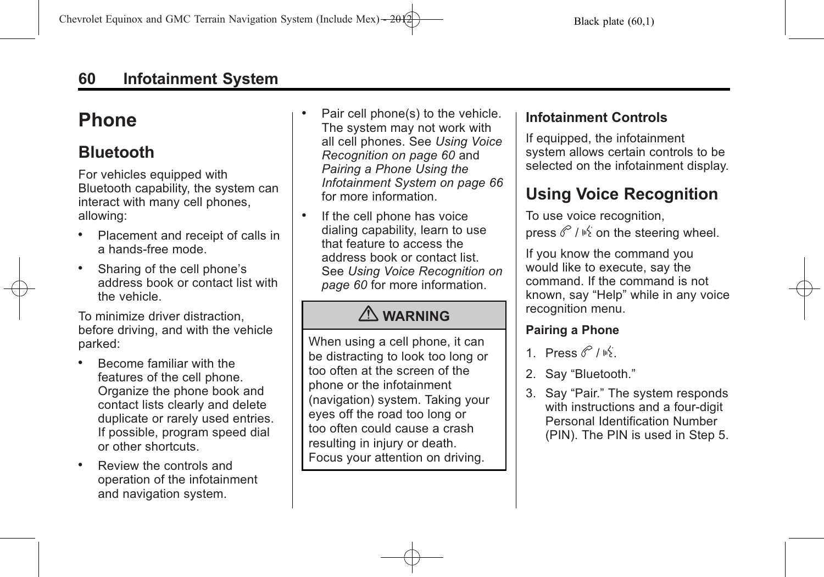# <span id="page-59-0"></span>**Phone**

# **Bluetooth**

For vehicles equipped with Bluetooth capability, the system can interact with many cell phones, allowing:

- . Placement and receipt of calls in a hands-free mode.
- . Sharing of the cell phone's address book or contact list with the vehicle.

To minimize driver distraction, before driving, and with the vehicle parked:

- . Become familiar with the features of the cell phone. Organize the phone book and contact lists clearly and delete duplicate or rarely used entries. If possible, program speed dial or other shortcuts.
- . Review the controls and operation of the infotainment and navigation system.
- . Pair cell phone(s) to the vehicle. The system may not work with all cell phones. See *Using Voice Recognition on page 60* and *[Pairing a Phone Using the](#page-65-0) [Infotainment System on page 66](#page-65-0)* for more information.
- If the cell phone has voice dialing capability, learn to use that feature to access the address book or contact list. See *Using Voice Recognition on page 60* for more information.

# { **WARNING**

When using a cell phone, it can be distracting to look too long or too often at the screen of the phone or the infotainment (navigation) system. Taking your eyes off the road too long or too often could cause a crash resulting in injury or death. Focus your attention on driving.

# **Infotainment Controls**

If equipped, the infotainment system allows certain controls to be selected on the infotainment display.

# **Using Voice Recognition**

To use voice recognition, press  $\mathscr{C}/\mathscr{C}$  on the steering wheel.

If you know the command you would like to execute, say the command. If the command is not known, say "Help" while in any voice recognition menu.

## **Pairing a Phone**

- 1. Press  $\mathscr{C}/\mathscr{B}$
- 2. Say "Bluetooth."
- 3. Say "Pair." The system responds with instructions and a four-digit Personal Identification Number (PIN). The PIN is used in Step 5.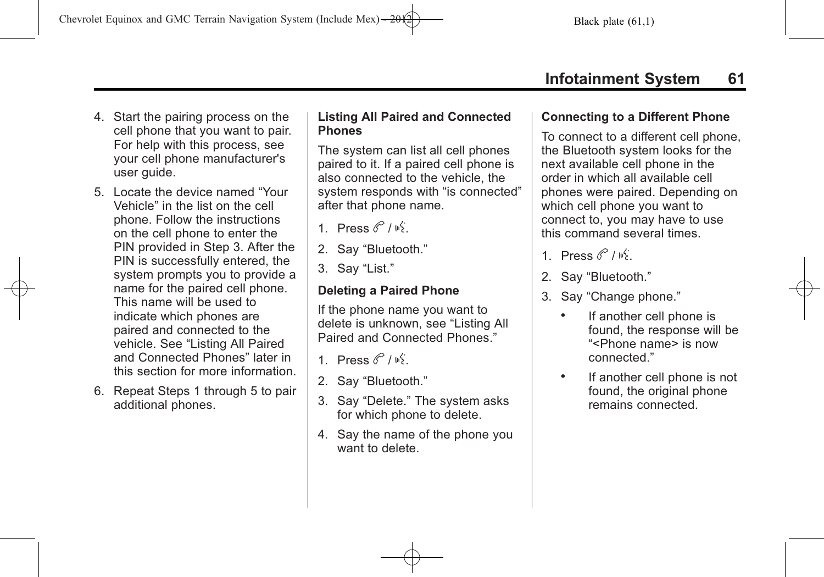- 4. Start the pairing process on the cell phone that you want to pair. For help with this process, see your cell phone manufacturer's user guide.
- 5. Locate the device named "Your Vehicle" in the list on the cell phone. Follow the instructions on the cell phone to enter the PIN provided in Step 3. After the PIN is successfully entered, the system prompts you to provide a name for the paired cell phone. This name will be used to indicate which phones are paired and connected to the vehicle. See "Listing All Paired and Connected Phones" later in this section for more information.
- 6. Repeat Steps 1 through 5 to pair additional phones.

#### **Listing All Paired and Connected Phones**

The system can list all cell phones paired to it. If a paired cell phone is also connected to the vehicle, the system responds with "is connected" after that phone name.

- 1 Press  $\mathscr{C}/\mathscr{C}$
- 2. Say "Bluetooth."
- 3. Say "List."

### **Deleting a Paired Phone**

If the phone name you want to delete is unknown, see "Listing All Paired and Connected Phones."

- 1 Press  $\mathscr{C}/\mathscr{C}$
- 2. Say "Bluetooth."
- 3. Say "Delete." The system asks for which phone to delete.
- 4. Say the name of the phone you want to delete.

### **Connecting to a Different Phone**

To connect to a different cell phone, the Bluetooth system looks for the next available cell phone in the order in which all available cell phones were paired. Depending on which cell phone you want to connect to, you may have to use this command several times.

- 1. Press  $\mathscr{C}/\mathscr{C}$ .
- 2. Say "Bluetooth."
- 3. Say "Change phone."
	- . If another cell phone is found, the response will be "<Phone name> is now connected."
	- . If another cell phone is not found, the original phone remains connected.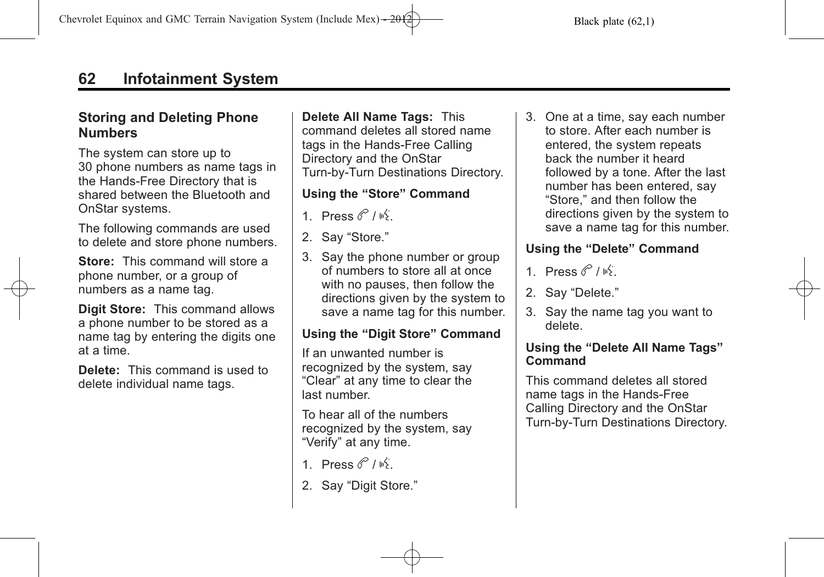### **Storing and Deleting Phone Numbers**

The system can store up to 30 phone numbers as name tags in the Hands-Free Directory that is shared between the Bluetooth and OnStar systems.

The following commands are used to delete and store phone numbers.

**Store:** This command will store a phone number, or a group of numbers as a name tag.

**Digit Store:** This command allows a phone number to be stored as a name tag by entering the digits one at a time.

**Delete:** This command is used to delete individual name tags.

**Delete All Name Tags:** This command deletes all stored name tags in the Hands-Free Calling Directory and the OnStar Turn-by-Turn Destinations Directory.

### **Using the "Store" Command**

- 1 Press  $6^{\circ}$  /  $\frac{15}{2}$
- 2. Say "Store."
- 3. Say the phone number or group of numbers to store all at once with no pauses, then follow the directions given by the system to save a name tag for this number.

### **Using the "Digit Store" Command**

If an unwanted number is recognized by the system, say "Clear" at any time to clear the last number.

To hear all of the numbers recognized by the system, say "Verify" at any time.

- 1. Press  $\mathscr{C}/\mathscr{C}$ .
- 2. Sav "Digit Store."

3. One at a time, say each number to store. After each number is entered, the system repeats back the number it heard followed by a tone. After the last number has been entered, say "Store," and then follow the directions given by the system to save a name tag for this number.

### **Using the "Delete" Command**

- 1 Press  $\mathscr{C}/\mathscr{C}$
- 2. Say "Delete."
- 3. Say the name tag you want to delete.

### **Using the "Delete All Name Tags" Command**

This command deletes all stored name tags in the Hands-Free Calling Directory and the OnStar Turn-by-Turn Destinations Directory.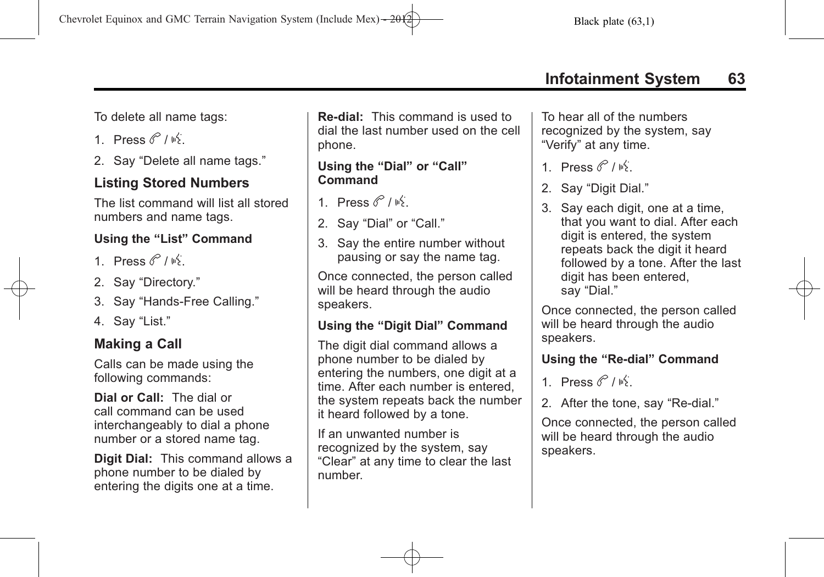To delete all name tags:

1 Press  $\mathscr{C}/\mathscr{C}$ 

2. Say "Delete all name tags."

# **Listing Stored Numbers**

The list command will list all stored numbers and name tags.

### **Using the "List" Command**

- 1 Press  $\mathscr{C}/\mathscr{C}$
- 2. Say "Directory."
- 3. Say "Hands-Free Calling."
- 4. Say "List."

# **Making a Call**

Calls can be made using the following commands:

**Dial or Call:** The dial or call command can be used interchangeably to dial a phone number or a stored name tag.

**Digit Dial:** This command allows a phone number to be dialed by entering the digits one at a time.

**Re‐dial:** This command is used to dial the last number used on the cell phone.

#### **Using the "Dial" or "Call" Command**

- 1 Press  $\mathscr{C}/\mathscr{C}$
- 2. Say "Dial" or "Call."
- 3. Say the entire number without pausing or say the name tag.

Once connected, the person called will be heard through the audio speakers.

### **Using the "Digit Dial" Command**

The digit dial command allows a phone number to be dialed by entering the numbers, one digit at a time. After each number is entered, the system repeats back the number it heard followed by a tone.

If an unwanted number is recognized by the system, say "Clear" at any time to clear the last number.

To hear all of the numbers recognized by the system, say "Verify" at any time.

- 1 Press  $\mathscr{C}/\mathscr{B}$
- 2. Sav "Digit Dial."
- 3. Say each digit, one at a time, that you want to dial. After each digit is entered, the system repeats back the digit it heard followed by a tone. After the last digit has been entered, say "Dial."

Once connected, the person called will be heard through the audio speakers.

### **Using the "Re‐dial" Command**

1 Press  $\mathscr{C}/\mathscr{C}$ 

2. After the tone, say "Re-dial."

Once connected, the person called will be heard through the audio speakers.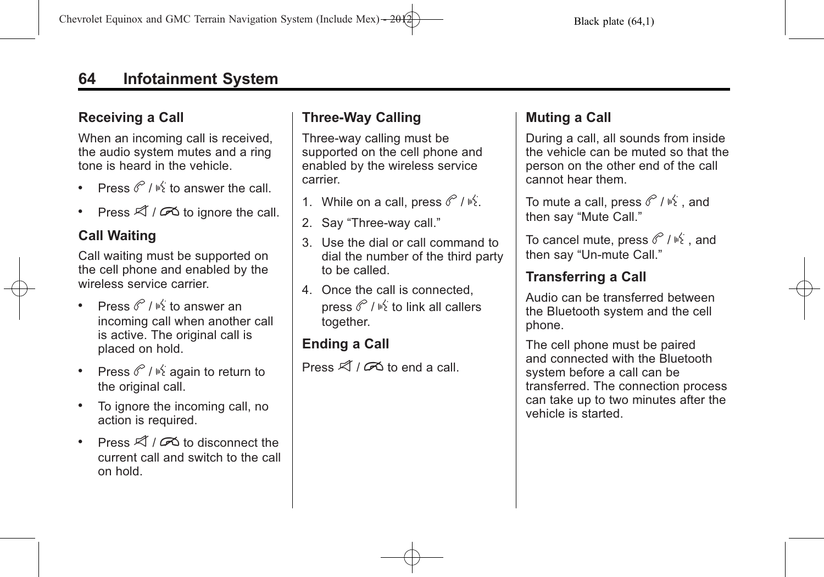# **64 Infotainment System**

# **Receiving a Call**

When an incoming call is received, the audio system mutes and a ring tone is heard in the vehicle.

- Press  $\mathscr{C}$  /  $\mathscr{C}$  to answer the call.
- Press  $\mathcal{A}/\mathcal{B}$  to ignore the call.

# **Call Waiting**

Call waiting must be supported on the cell phone and enabled by the wireless service carrier.

- Press  $\mathscr{C}$  /  $\mathbb{R}^2$  to answer an incoming call when another call is active. The original call is placed on hold.
- Press  $\mathscr{O}/\mathscr{C}$  again to return to the original call.
- . To ignore the incoming call, no action is required.
- Press  $\mathcal{A}/\mathcal{A}$  to disconnect the current call and switch to the call on hold.

# **Three‐Way Calling**

Three‐way calling must be supported on the cell phone and enabled by the wireless service carrier.

- 1. While on a call, press  $\mathcal{O}/\mathbb{R}$ .
- 2. Say "Three‐way call."
- 3. Use the dial or call command to dial the number of the third party to be called.
- 4. Once the call is connected, press  $\mathscr{C}/\mathscr{C}$  to link all callers together.

# **Ending a Call**

Press  $\mathcal{A}/\mathcal{A}$  to end a call.

# **Muting a Call**

During a call, all sounds from inside the vehicle can be muted so that the person on the other end of the call cannot hear them.

To mute a call, press  $\mathscr{C}/\mathscr{C}$ , and then say "Mute Call."

To cancel mute, press  $\mathscr{C}/\mathscr{C}$ , and then say "Un‐mute Call."

# **Transferring a Call**

Audio can be transferred between the Bluetooth system and the cell phone.

The cell phone must be paired and connected with the Bluetooth system before a call can be transferred. The connection process can take up to two minutes after the vehicle is started.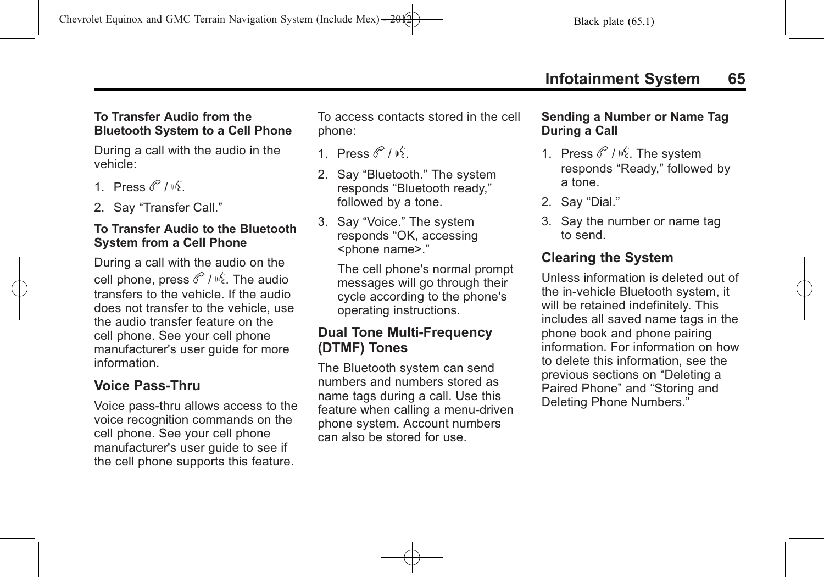### **To Transfer Audio from the Bluetooth System to a Cell Phone**

During a call with the audio in the vehicle:

- 1 Press  $\mathscr{C}/\mathscr{C}$
- 2. Say "Transfer Call."

### **To Transfer Audio to the Bluetooth System from a Cell Phone**

During a call with the audio on the cell phone, press  $\mathscr{C}/\mathscr{C}$ . The audio transfers to the vehicle. If the audio does not transfer to the vehicle, use the audio transfer feature on the cell phone. See your cell phone manufacturer's user guide for more information.

# **Voice Pass-Thru**

Voice pass‐thru allows access to the voice recognition commands on the cell phone. See your cell phone manufacturer's user guide to see if the cell phone supports this feature.

To access contacts stored in the cell phone:

- 1 Press  $\mathscr{C}/\mathscr{C}$
- 2. Say "Bluetooth." The system responds "Bluetooth ready," followed by a tone.
- 3. Say "Voice." The system responds "OK, accessing <phone name>."

The cell phone's normal prompt messages will go through their cycle according to the phone's operating instructions.

# **Dual Tone Multi-Frequency (DTMF) Tones**

The Bluetooth system can send numbers and numbers stored as name tags during a call. Use this feature when calling a menu-driven phone system. Account numbers can also be stored for use.

### **Sending a Number or Name Tag During a Call**

- 1. Press  $\mathscr{C}/\mathscr{C}$ . The system responds "Ready," followed by a tone.
- 2. Say "Dial."
- 3. Say the number or name tag to send.

# **Clearing the System**

Unless information is deleted out of the in‐vehicle Bluetooth system, it will be retained indefinitely. This includes all saved name tags in the phone book and phone pairing information. For information on how to delete this information, see the previous sections on "Deleting a Paired Phone" and "Storing and Deleting Phone Numbers."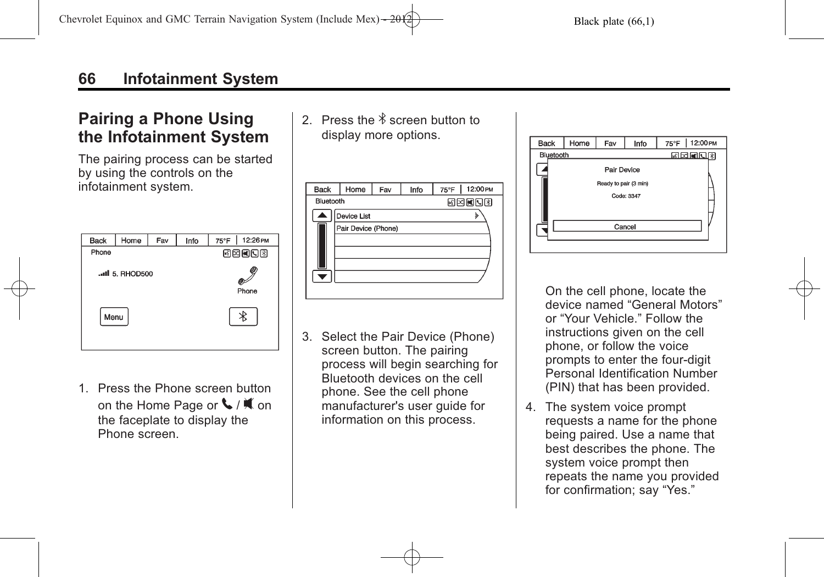# <span id="page-65-0"></span>**Pairing a Phone Using the Infotainment System**

The pairing process can be started by using the controls on the infotainment system.



1. Press the Phone screen button on the Home Page or  $\blacklozenge$  /  $\blacklozenge$  on the faceplate to display the Phone screen.

2. Press the  $\frac{1}{2}$  screen button to display more options.

| <b>Back</b> | Home                | Fav | Info | $75^{\circ}$ F | 12:00 PM |  |
|-------------|---------------------|-----|------|----------------|----------|--|
| Bluetooth   |                     |     |      | 网网阿贝图          |          |  |
|             | Device List         |     |      |                |          |  |
|             | Pair Device (Phone) |     |      |                |          |  |
|             |                     |     |      |                |          |  |
|             |                     |     |      |                |          |  |
|             |                     |     |      |                |          |  |
|             |                     |     |      |                |          |  |
|             |                     |     |      |                |          |  |
|             |                     |     |      |                |          |  |

3. Select the Pair Device (Phone) screen button. The pairing process will begin searching for Bluetooth devices on the cell phone. See the cell phone manufacturer's user guide for information on this process.



On the cell phone, locate the device named "General Motors" or "Your Vehicle." Follow the instructions given on the cell phone, or follow the voice prompts to enter the four-digit Personal Identification Number (PIN) that has been provided.

4. The system voice prompt requests a name for the phone being paired. Use a name that best describes the phone. The system voice prompt then repeats the name you provided for confirmation; say "Yes."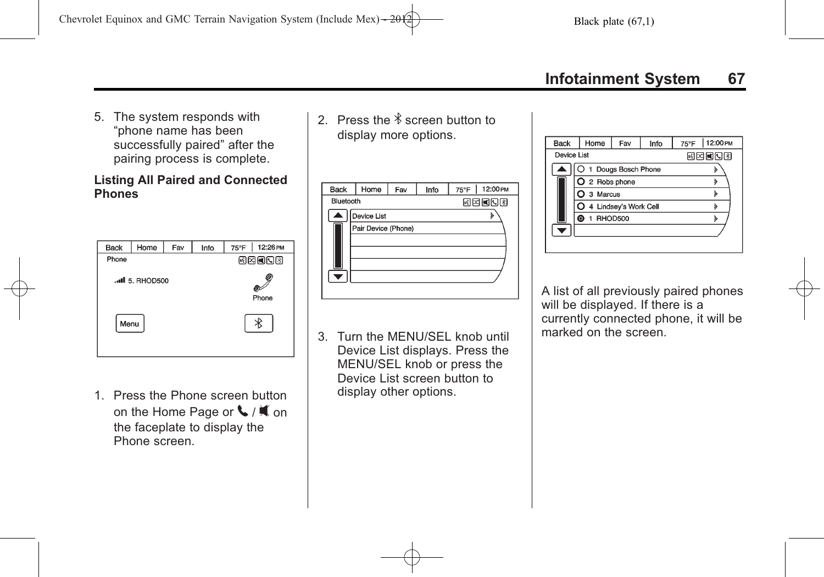5. The system responds with "phone name has been successfully paired" after the pairing process is complete.

#### **Listing All Paired and Connected Phones**



1. Press the Phone screen button on the Home Page or  $\blacklozenge$  /  $\nparallel$  on the faceplate to display the Phone screen.

2. Press the  $\frac{1}{2}$  screen button to display more options.

| <b>Back</b> | Home                | Fav | Info | 12:00 PM<br>75°F |  |  |
|-------------|---------------------|-----|------|------------------|--|--|
| Bluetooth   |                     |     |      | 网网阿阿图            |  |  |
|             | Device List         |     |      | ১                |  |  |
|             | Pair Device (Phone) |     |      |                  |  |  |
|             |                     |     |      |                  |  |  |
|             |                     |     |      |                  |  |  |
|             |                     |     |      |                  |  |  |
|             |                     |     |      |                  |  |  |
|             |                     |     |      |                  |  |  |

3. Turn the MENU/SEL knob until Device List displays. Press the MENU/SEL knob or press the Device List screen button to display other options.

| <b>Back</b> | Home             | Fav                   | Info | 12:00 PM<br>75°F |
|-------------|------------------|-----------------------|------|------------------|
| Device List |                  |                       |      | লিঘোৰাবেগ        |
|             |                  | 1 Dougs Bosch Phone   |      |                  |
|             | $O$ 2 Robs phone |                       |      |                  |
|             | 3 Marcus         |                       |      |                  |
|             |                  | 4 Lindsey's Work Cell |      |                  |
|             | 1 RHOD500<br>◉   |                       |      |                  |
|             |                  |                       |      |                  |
|             |                  |                       |      |                  |

A list of all previously paired phones will be displayed. If there is a currently connected phone, it will be marked on the screen.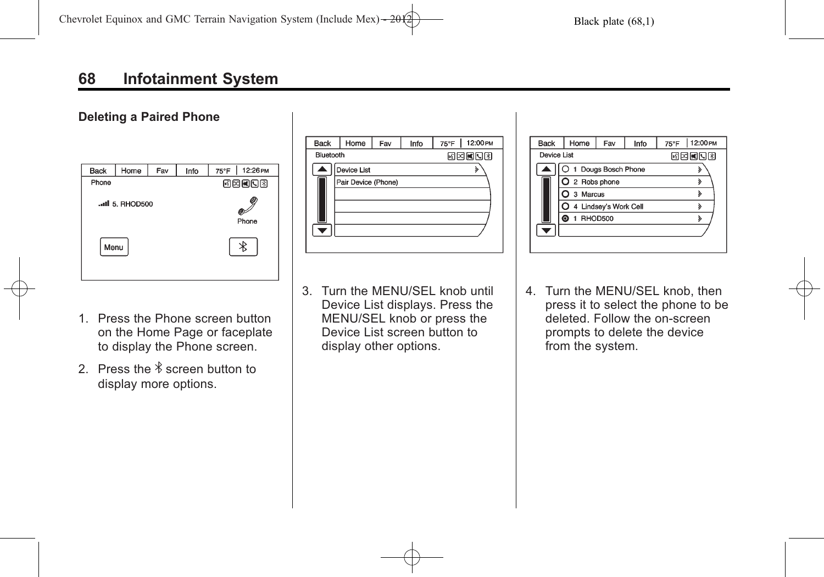# **68 Infotainment System**

#### **Deleting a Paired Phone**

| <b>Back</b> | Home            | Fav | Info | 12:26 PM<br>75°F |  |
|-------------|-----------------|-----|------|------------------|--|
| Phone       |                 |     |      | 國國國國國            |  |
|             | .all 5. RHOD500 |     |      | Phone            |  |
| Menu        |                 |     |      |                  |  |

| <b>Back</b> | Home                | Fav          | Info | 75°F | 12:00 PM |  |  |
|-------------|---------------------|--------------|------|------|----------|--|--|
| Bluetooth   |                     | <b>MENO3</b> |      |      |          |  |  |
|             | Device List         |              |      |      | ১        |  |  |
|             | Pair Device (Phone) |              |      |      |          |  |  |
|             |                     |              |      |      |          |  |  |
|             |                     |              |      |      |          |  |  |
|             |                     |              |      |      |          |  |  |
|             |                     |              |      |      |          |  |  |
|             |                     |              |      |      |          |  |  |

- 1. Press the Phone screen button on the Home Page or faceplate to display the Phone screen.
- 2. Press the  $\frac{1}{2}$  screen button to display more options.
- 3. Turn the MENU/SEL knob until Device List displays. Press the MENU/SEL knob or press the Device List screen button to display other options.

| <b>Back</b> | Home                | Fav                   | 12:00 PM<br>75°F |  |  |  |
|-------------|---------------------|-----------------------|------------------|--|--|--|
| Device List |                     |                       | 网内国国图            |  |  |  |
|             | 1 Dougs Bosch Phone |                       |                  |  |  |  |
|             | Q 2 Robs phone      |                       |                  |  |  |  |
|             | 3 Marcus            |                       |                  |  |  |  |
|             |                     | 4 Lindsey's Work Cell |                  |  |  |  |
|             | 1 RHOD500           |                       |                  |  |  |  |
|             |                     |                       |                  |  |  |  |
|             |                     |                       |                  |  |  |  |

4. Turn the MENU/SEL knob, then press it to select the phone to be deleted. Follow the on-screen prompts to delete the device from the system.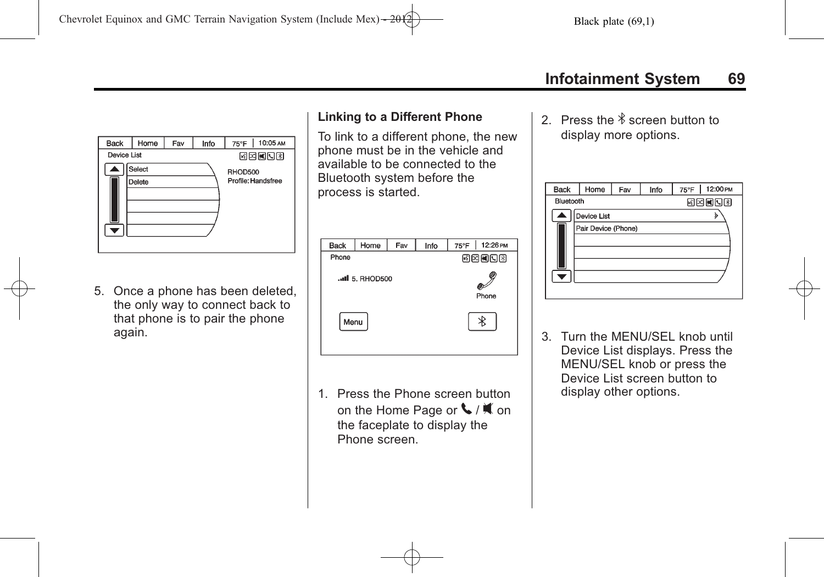

5. Once a phone has been deleted, the only way to connect back to that phone is to pair the phone again.

## **Linking to a Different Phone**

To link to a different phone, the new phone must be in the vehicle and available to be connected to the Bluetooth system before the process is started.

| <b>Back</b>   | Home | Fav | Info | 12:26 PM<br>75°F |  |  |
|---------------|------|-----|------|------------------|--|--|
| Phone         |      |     |      | BERDE            |  |  |
| II 5. RHOD500 |      |     |      | Phone            |  |  |
| Menu          |      |     |      |                  |  |  |

1. Press the Phone screen button on the Home Page or  $\blacklozenge$  /  $\blacklozenge$  on the faceplate to display the Phone screen.

2. Press the  $\frac{1}{2}$  screen button to display more options.

| <b>Back</b> | Home                | Fav | Info  | 12:00 PM<br>$75^{\circ}$ F |  |  |
|-------------|---------------------|-----|-------|----------------------------|--|--|
| Bluetooth   |                     |     | 网网阿阿图 |                            |  |  |
|             | Device List         |     |       |                            |  |  |
|             | Pair Device (Phone) |     |       |                            |  |  |
|             |                     |     |       |                            |  |  |
|             |                     |     |       |                            |  |  |
|             |                     |     |       |                            |  |  |
|             |                     |     |       |                            |  |  |
|             |                     |     |       |                            |  |  |

3. Turn the MENU/SEL knob until Device List displays. Press the MENU/SEL knob or press the Device List screen button to display other options.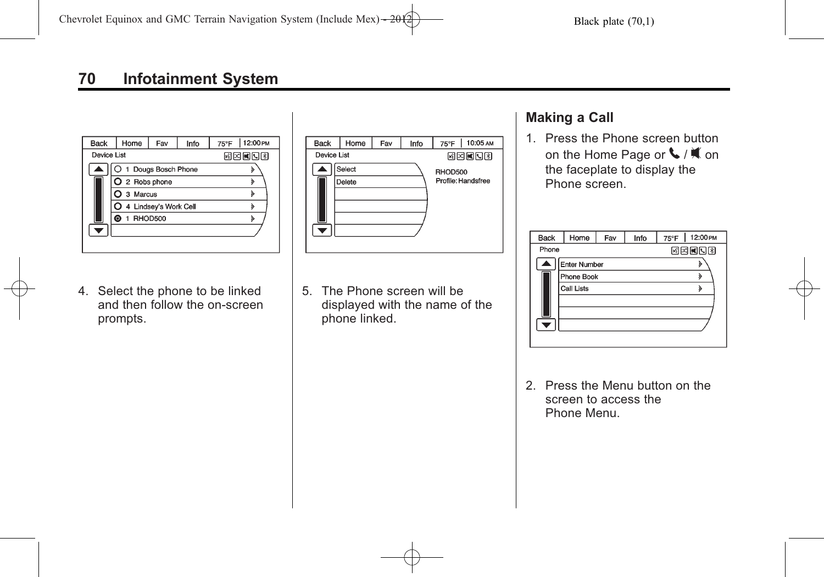

4. Select the phone to be linked and then follow the on-screen prompts.



5. The Phone screen will be displayed with the name of the phone linked.

# **Making a Call**

1. Press the Phone screen button on the Home Page or  $\blacklozenge$  /  $\blacklozenge$  on the faceplate to display the Phone screen.

| <b>Back</b>         | Home       | Fav          | Info | 75°F | 12:00 PM |  |
|---------------------|------------|--------------|------|------|----------|--|
| Phone               |            | <b>MENOI</b> |      |      |          |  |
| <b>Enter Number</b> |            |              |      |      | ১        |  |
|                     | Phone Book |              |      | ১    |          |  |
|                     | Call Lists |              |      |      | λ        |  |
|                     |            |              |      |      |          |  |
|                     |            |              |      |      |          |  |
|                     |            |              |      |      |          |  |
|                     |            |              |      |      |          |  |

2. Press the Menu button on the screen to access the Phone Menu.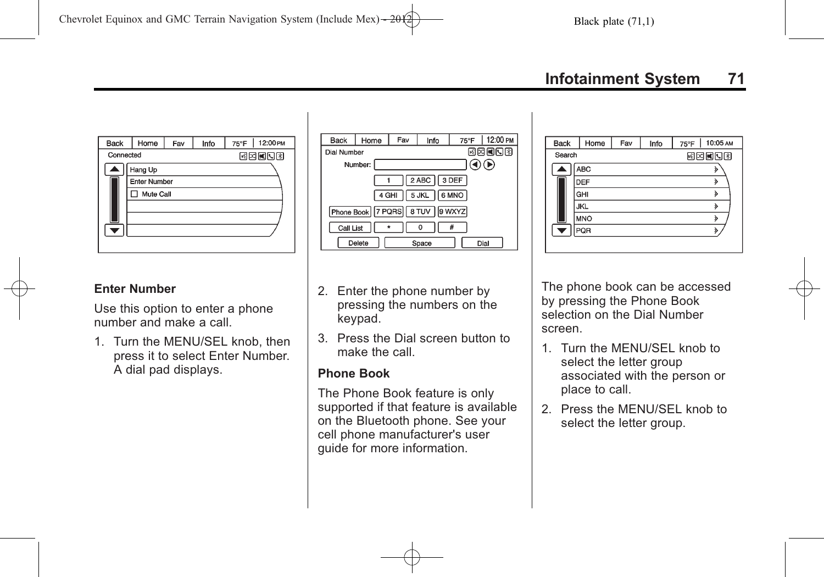

#### **Enter Number**

Use this option to enter a phone number and make a call.

1. Turn the MENU/SEL knob, then press it to select Enter Number. A dial pad displays.





- 2. Enter the phone number by pressing the numbers on the keypad.
- 3. Press the Dial screen button to make the call.

#### **Phone Book**

The Phone Book feature is only supported if that feature is available on the Bluetooth phone. See your cell phone manufacturer's user guide for more information.

The phone book can be accessed by pressing the Phone Book selection on the Dial Number screen.

- 1. Turn the MENU/SEL knob to select the letter group associated with the person or place to call.
- 2. Press the MENU/SEL knob to select the letter group.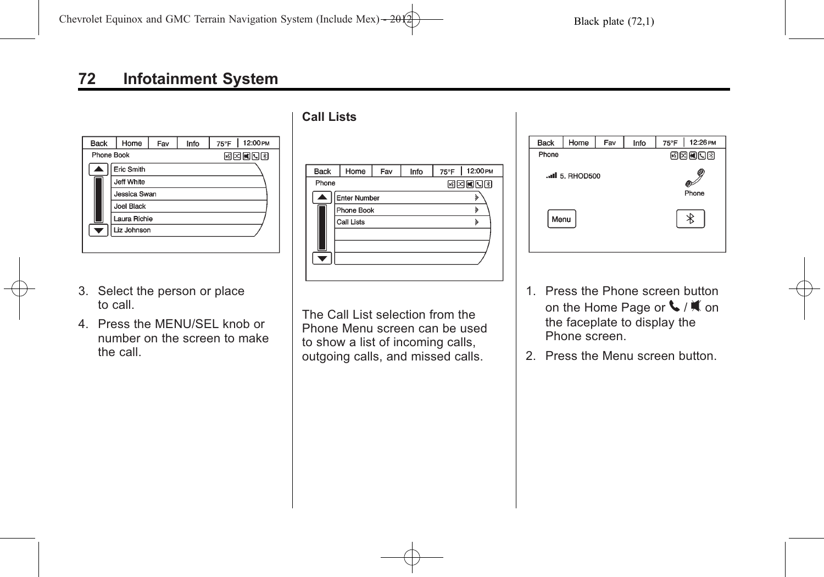| <b>Back</b> | Home         | Fav | Info | 12:00 PM<br>75°F |  |  |
|-------------|--------------|-----|------|------------------|--|--|
| Phone Book  | EEEO3        |     |      |                  |  |  |
| Eric Smith  |              |     |      |                  |  |  |
| Jeff White  |              |     |      |                  |  |  |
|             | Jessica Swan |     |      |                  |  |  |
|             | Joel Black   |     |      |                  |  |  |
|             | Laura Richie |     |      |                  |  |  |
| ÷           | Liz Johnson  |     |      |                  |  |  |

- 3. Select the person or place to call.
- 4. Press the MENU/SEL knob or number on the screen to make the call.

**Call Lists**

| <b>Back</b> | Home                | Fav | Info |   | 75°F 12:00 PM |  |  |
|-------------|---------------------|-----|------|---|---------------|--|--|
| Phone       |                     |     |      |   | <b>MEMBR</b>  |  |  |
|             | <b>Enter Number</b> |     |      |   | ১             |  |  |
|             | Phone Book          |     |      | ১ |               |  |  |
|             | Call Lists          |     |      |   | $\bf{r}$      |  |  |
|             |                     |     |      |   |               |  |  |
|             |                     |     |      |   |               |  |  |
|             |                     |     |      |   |               |  |  |
|             |                     |     |      |   |               |  |  |
|             |                     |     |      |   |               |  |  |

75°F | 12:26 PM Home  $\overline{Info}$ Back Fav Phone  $E$  $E$  $E$  $E$  $E$  $E$  $E$  $E$  $\mathscr{S}$ all 5. RHOD500 Phone  $\ast$ Menu

- 1. Press the Phone screen button on the Home Page or  $\blacklozenge$  /  $\blacklozenge$  on the faceplate to display the Phone screen.
- 2. Press the Menu screen button.

The Call List selection from the Phone Menu screen can be used to show a list of incoming calls, outgoing calls, and missed calls.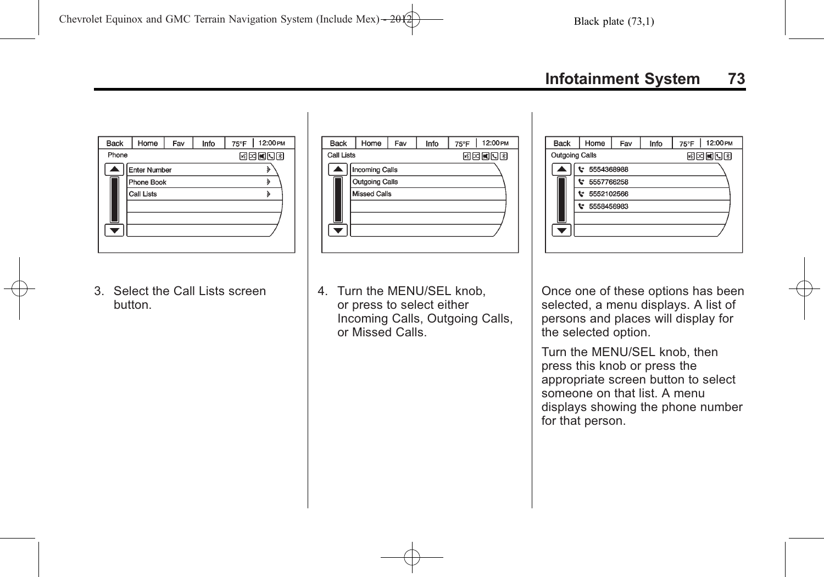Info

**Back** 

 $\overline{\phantom{a}}$ 

Outgoing Calls

Home

 $F = 5554368988$ 

**t** 5557766258

₩ 5552102566  $t$  5558456983

Fay

75°F | 12:00 PM

國國國國國



3. Select the Call Lists screen button.

| <b>Back</b> | Home                  | Fav | Info | 75°F | 12:00 PM |
|-------------|-----------------------|-----|------|------|----------|
|             | <b>Call Lists</b>     |     |      |      | 國國國國國    |
|             | <b>Incoming Calls</b> |     |      |      |          |
|             | <b>Outgoing Calls</b> |     |      |      |          |
|             | <b>Missed Calls</b>   |     |      |      |          |
|             |                       |     |      |      |          |
|             |                       |     |      |      |          |
|             |                       |     |      |      |          |
|             |                       |     |      |      |          |

4. Turn the MENU/SEL knob, or press to select either Incoming Calls, Outgoing Calls, or Missed Calls.

Once one of these options has been selected, a menu displays. A list of persons and places will display for the selected option.

Turn the MENU/SEL knob, then press this knob or press the appropriate screen button to select someone on that list. A menu displays showing the phone number for that person.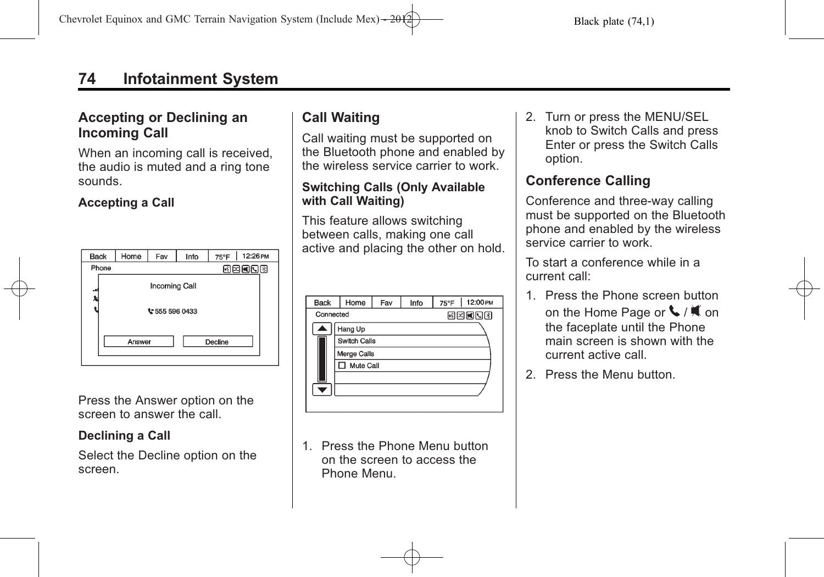## <span id="page-73-0"></span>**74 Infotainment System**

#### **Accepting or Declining an Incoming Call**

When an incoming call is received, the audio is muted and a ring tone sounds.

#### **Accepting a Call**

| <b>Back</b>       | Home          | Fav | Info | 75°F | 12:26 PM |
|-------------------|---------------|-----|------|------|----------|
| Phone             | 國國國國國         |     |      |      |          |
| -9                | Incoming Call |     |      |      |          |
|                   | ₹555 596 0433 |     |      |      |          |
| Decline<br>Answer |               |     |      |      |          |

Press the Answer option on the screen to answer the call.

#### **Declining a Call**

Select the Decline option on the screen.

### **Call Waiting**

Call waiting must be supported on the Bluetooth phone and enabled by the wireless service carrier to work.

#### **Switching Calls (Only Available with Call Waiting)**

This feature allows switching between calls, making one call active and placing the other on hold.

| <b>Back</b> | Home                | Fav | Info | 75°F   12:00 PM |  |
|-------------|---------------------|-----|------|-----------------|--|
| Connected   |                     |     |      | 网网阿阿图           |  |
|             | Hang Up             |     |      |                 |  |
|             | <b>Switch Calls</b> |     |      |                 |  |
|             | Merge Calls         |     |      |                 |  |
|             | □ Mute Call         |     |      |                 |  |
|             |                     |     |      |                 |  |
|             |                     |     |      |                 |  |
|             |                     |     |      |                 |  |

1. Press the Phone Menu button on the screen to access the Phone Menu.

2. Turn or press the MENU/SEL knob to Switch Calls and press Enter or press the Switch Calls option.

#### **Conference Calling**

Conference and three-way calling must be supported on the Bluetooth phone and enabled by the wireless service carrier to work.

To start a conference while in a current call:

- 1. Press the Phone screen button on the Home Page or  $\mathcal{L}/\mathcal{M}$  on the faceplate until the Phone main screen is shown with the current active call.
- 2. Press the Menu button.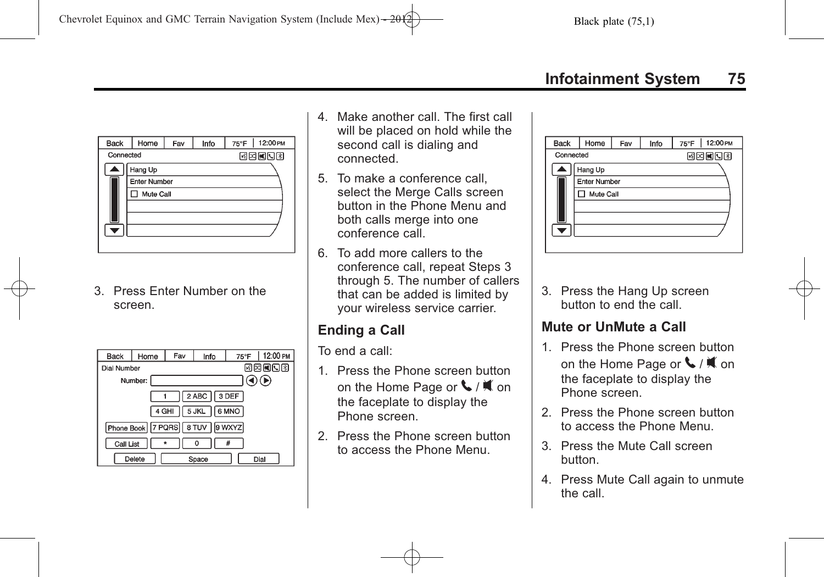<span id="page-74-0"></span>

3. Press Enter Number on the screen.

| Back                                 | Home | Fav | Info | 75°F | 12:00 PM |
|--------------------------------------|------|-----|------|------|----------|
| Dial Number                          |      |     |      |      | 网内阿冈冈    |
| Number:                              |      |     |      |      |          |
| 2 ABC   3 DEF                        |      |     |      |      |          |
| 5 JKL   6 MNO<br>4 GHI               |      |     |      |      |          |
| Phone Book   7 PQRS   8 TUV   9 WXYZ |      |     |      |      |          |
| Call List<br>#                       |      |     |      |      |          |
| Delete<br>Dial<br>Space              |      |     |      |      |          |

- 4. Make another call. The first call will be placed on hold while the second call is dialing and connected.
- 5. To make a conference call, select the Merge Calls screen button in the Phone Menu and both calls merge into one conference call.
- 6. To add more callers to the conference call, repeat Steps 3 through 5. The number of callers that can be added is limited by your wireless service carrier.

### **Ending a Call**

To end a call:

- 1. Press the Phone screen button on the Home Page or  $\blacklozenge$  /  $\blacklozenge$  on the faceplate to display the Phone screen.
- 2. Press the Phone screen button to access the Phone Menu.

| <b>Back</b> | Home                | Fav | Info | 12:00 PM<br>$75^{\circ}$ F |
|-------------|---------------------|-----|------|----------------------------|
| Connected   |                     |     |      | <b>EEEOB</b>               |
|             | Hang Up             |     |      |                            |
|             | <b>Enter Number</b> |     |      |                            |
|             | Mute Call           |     |      |                            |
|             |                     |     |      |                            |
|             |                     |     |      |                            |
|             |                     |     |      |                            |
|             |                     |     |      |                            |

3. Press the Hang Up screen button to end the call.

### **Mute or UnMute a Call**

- 1. Press the Phone screen button on the Home Page or  $\blacklozenge$  /  $\blacklozenge$  on the faceplate to display the Phone screen.
- 2. Press the Phone screen button to access the Phone Menu.
- 3. Press the Mute Call screen button.
- 4. Press Mute Call again to unmute the call.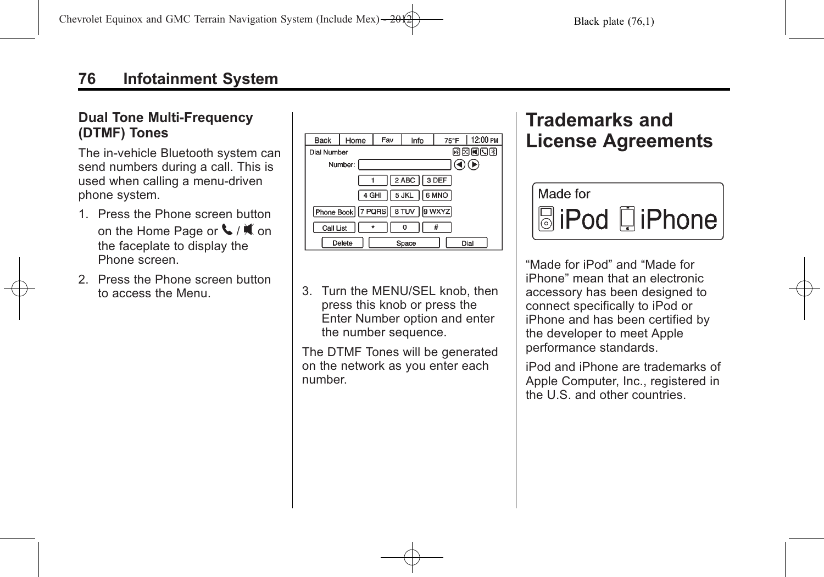#### <span id="page-75-0"></span>**Dual Tone Multi-Frequency (DTMF) Tones**

The in-vehicle Bluetooth system can send numbers during a call. This is used when calling a menu-driven phone system.

- 1. Press the Phone screen button on the Home Page or  $\mathcal{L}/\mathcal{K}$  on the faceplate to display the Phone screen.
- 2. Press the Phone screen button



to access the Menu. press this knob or press the Enter Number option and enter the number sequence.

> The DTMF Tones will be generated on the network as you enter each number.

# **Trademarks and License Agreements**



"Made for iPod" and "Made for iPhone" mean that an electronic accessory has been designed to connect specifically to iPod or iPhone and has been certified by the developer to meet Apple performance standards.

iPod and iPhone are trademarks of Apple Computer, Inc., registered in the U.S. and other countries.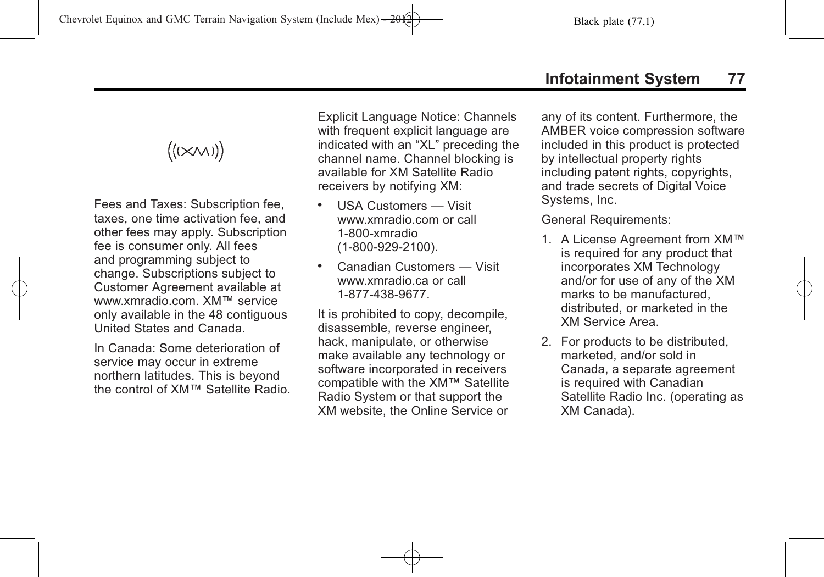# $((\times\wedge\wedge))$

Fees and Taxes: Subscription fee, taxes, one time activation fee, and other fees may apply. Subscription fee is consumer only. All fees and programming subject to change. Subscriptions subject to Customer Agreement available at www.xmradio.com. XM™ service only available in the 48 contiguous United States and Canada.

In Canada: Some deterioration of service may occur in extreme northern latitudes. This is beyond the control of XM™ Satellite Radio. Explicit Language Notice: Channels with frequent explicit language are indicated with an "XL" preceding the channel name. Channel blocking is available for XM Satellite Radio receivers by notifying XM:

- . USA Customers Visit www.xmradio.com or call 1-800-xmradio (1-800-929-2100).
- . Canadian Customers Visit www.xmradio.ca or call 1-877-438-9677.

It is prohibited to copy, decompile, disassemble, reverse engineer, hack, manipulate, or otherwise make available any technology or software incorporated in receivers compatible with the XM™ Satellite Radio System or that support the XM website, the Online Service or

any of its content. Furthermore, the AMBER voice compression software included in this product is protected by intellectual property rights including patent rights, copyrights, and trade secrets of Digital Voice Systems, Inc.

General Requirements:

- 1. A License Agreement from XM™ is required for any product that incorporates XM Technology and/or for use of any of the XM marks to be manufactured, distributed, or marketed in the XM Service Area.
- 2. For products to be distributed, marketed, and/or sold in Canada, a separate agreement is required with Canadian Satellite Radio Inc. (operating as XM Canada).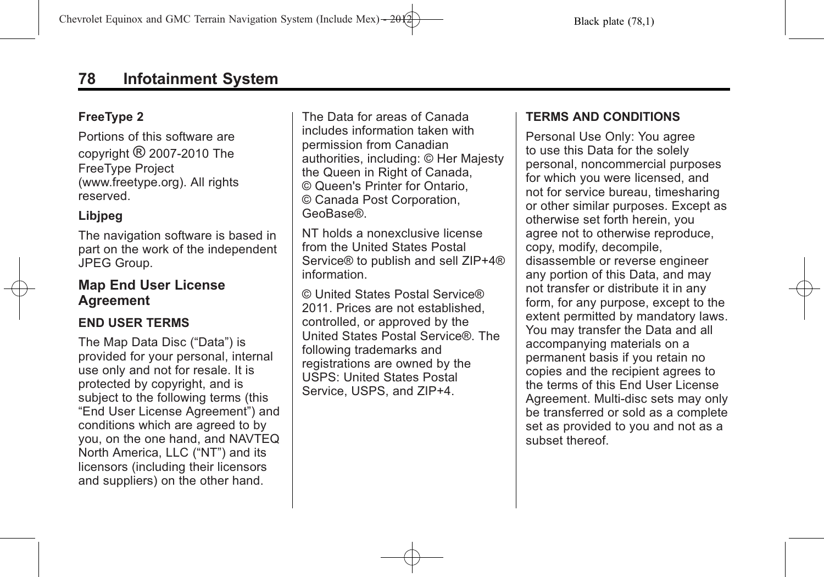#### <span id="page-77-0"></span>**FreeType 2**

Portions of this software are copyright ® 2007-2010 The FreeType Project (www.freetype.org). All rights reserved.

#### **Libjpeg**

The navigation software is based in part on the work of the independent JPEG Group.

#### **Map End User License Agreement**

#### **END USER TERMS**

The Map Data Disc ("Data") is provided for your personal, internal use only and not for resale. It is protected by copyright, and is subject to the following terms (this "End User License Agreement") and conditions which are agreed to by you, on the one hand, and NAVTEQ North America, LLC ("NT") and its licensors (including their licensors and suppliers) on the other hand.

The Data for areas of Canada includes information taken with permission from Canadian authorities, including: © Her Majesty the Queen in Right of Canada, © Queen's Printer for Ontario, © Canada Post Corporation, GeoBase®.

NT holds a nonexclusive license from the United States Postal Service® to publish and sell ZIP+4® information.

© United States Postal Service® 2011. Prices are not established, controlled, or approved by the United States Postal Service®. The following trademarks and registrations are owned by the USPS: United States Postal Service, USPS, and ZIP+4.

#### **TERMS AND CONDITIONS**

Personal Use Only: You agree to use this Data for the solely personal, noncommercial purposes for which you were licensed, and not for service bureau, timesharing or other similar purposes. Except as otherwise set forth herein, you agree not to otherwise reproduce, copy, modify, decompile, disassemble or reverse engineer any portion of this Data, and may not transfer or distribute it in any form, for any purpose, except to the extent permitted by mandatory laws. You may transfer the Data and all accompanying materials on a permanent basis if you retain no copies and the recipient agrees to the terms of this End User License Agreement. Multi-disc sets may only be transferred or sold as a complete set as provided to you and not as a subset thereof.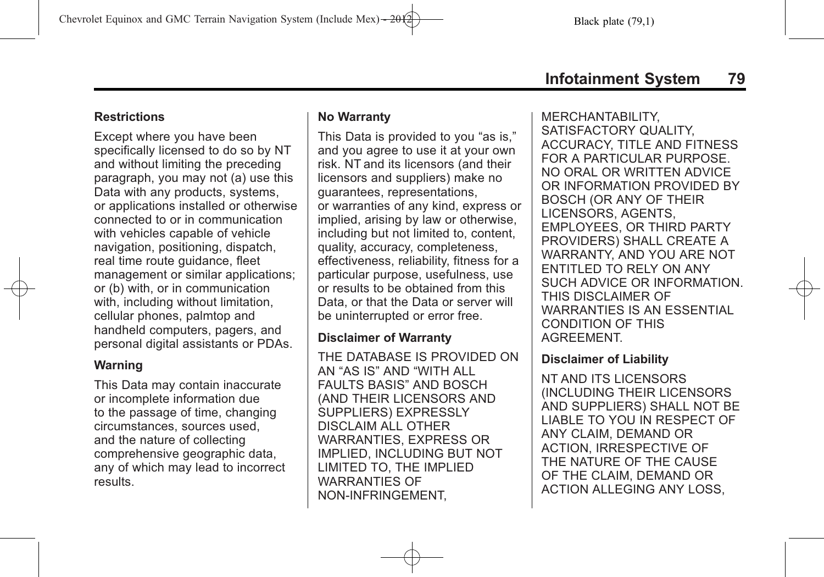#### **Restrictions**

Except where you have been specifically licensed to do so by NT and without limiting the preceding paragraph, you may not (a) use this Data with any products, systems, or applications installed or otherwise connected to or in communication with vehicles capable of vehicle navigation, positioning, dispatch, real time route guidance, fleet management or similar applications; or (b) with, or in communication with, including without limitation, cellular phones, palmtop and handheld computers, pagers, and personal digital assistants or PDAs.

#### **Warning**

This Data may contain inaccurate or incomplete information due to the passage of time, changing circumstances, sources used, and the nature of collecting comprehensive geographic data, any of which may lead to incorrect results.

#### **No Warranty**

This Data is provided to you "as is," and you agree to use it at your own risk. NT and its licensors (and their licensors and suppliers) make no guarantees, representations, or warranties of any kind, express or implied, arising by law or otherwise, including but not limited to, content, quality, accuracy, completeness, effectiveness, reliability, fitness for a particular purpose, usefulness, use or results to be obtained from this Data, or that the Data or server will be uninterrupted or error free.

#### **Disclaimer of Warranty**

THE DATABASE IS PROVIDED ON AN "AS IS" AND "WITH ALL FAULTS BASIS" AND BOSCH (AND THEIR LICENSORS AND SUPPLIERS) EXPRESSLY DISCLAIM ALL OTHER WARRANTIES, EXPRESS OR IMPLIED, INCLUDING BUT NOT LIMITED TO, THE IMPLIED WARRANTIES OF NON-INFRINGEMENT,

MERCHANTABILITY, SATISFACTORY QUALITY, ACCURACY, TITLE AND FITNESS FOR A PARTICULAR PURPOSE. NO ORAL OR WRITTEN ADVICE OR INFORMATION PROVIDED BY BOSCH (OR ANY OF THEIR LICENSORS, AGENTS, EMPLOYEES, OR THIRD PARTY PROVIDERS) SHALL CREATE A WARRANTY, AND YOU ARE NOT ENTITLED TO RELY ON ANY SUCH ADVICE OR INFORMATION. THIS DISCLAIMER OF WARRANTIES IS AN ESSENTIAL CONDITION OF THIS AGREEMENT.

#### **Disclaimer of Liability**

NT AND ITS LICENSORS (INCLUDING THEIR LICENSORS AND SUPPLIERS) SHALL NOT BE LIABLE TO YOU IN RESPECT OF ANY CLAIM, DEMAND OR ACTION, IRRESPECTIVE OF THE NATURE OF THE CAUSE OF THE CLAIM, DEMAND OR ACTION ALLEGING ANY LOSS,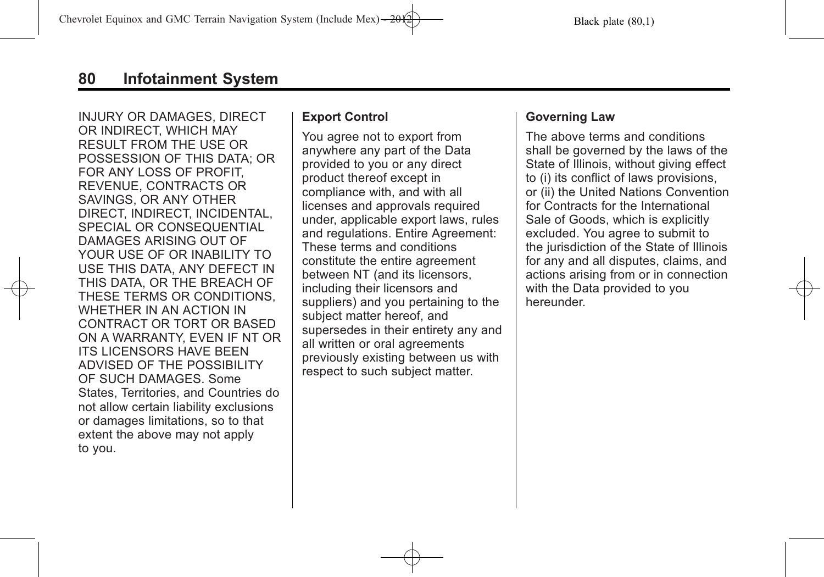INJURY OR DAMAGES, DIRECT OR INDIRECT, WHICH MAY RESULT FROM THE USE OR POSSESSION OF THIS DATA; OR FOR ANY LOSS OF PROFIT, REVENUE, CONTRACTS OR SAVINGS, OR ANY OTHER DIRECT, INDIRECT, INCIDENTAL, SPECIAL OR CONSEQUENTIAL DAMAGES ARISING OUT OF YOUR USE OF OR INABILITY TO USE THIS DATA, ANY DEFECT IN THIS DATA, OR THE BREACH OF THESE TERMS OR CONDITIONS, WHETHER IN AN ACTION IN CONTRACT OR TORT OR BASED ON A WARRANTY, EVEN IF NT OR ITS LICENSORS HAVE BEEN ADVISED OF THE POSSIBILITY OF SUCH DAMAGES. Some States, Territories, and Countries do not allow certain liability exclusions or damages limitations, so to that extent the above may not apply to you.

#### **Export Control**

You agree not to export from anywhere any part of the Data provided to you or any direct product thereof except in compliance with, and with all licenses and approvals required under, applicable export laws, rules and regulations. Entire Agreement: These terms and conditions constitute the entire agreement between NT (and its licensors, including their licensors and suppliers) and you pertaining to the subject matter hereof, and supersedes in their entirety any and all written or oral agreements previously existing between us with respect to such subject matter.

#### **Governing Law**

The above terms and conditions shall be governed by the laws of the State of Illinois, without giving effect to (i) its conflict of laws provisions, or (ii) the United Nations Convention for Contracts for the International Sale of Goods, which is explicitly excluded. You agree to submit to the jurisdiction of the State of Illinois for any and all disputes, claims, and actions arising from or in connection with the Data provided to you hereunder.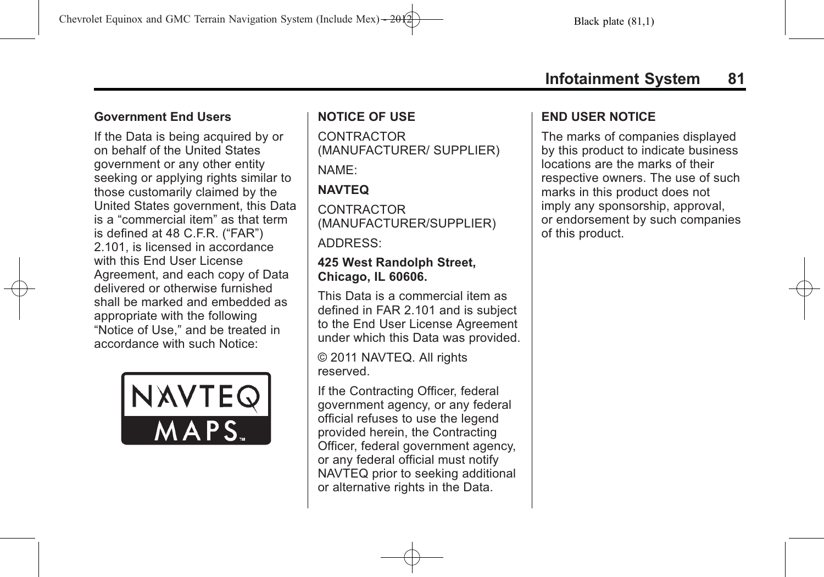If the Data is being acquired by or on behalf of the United States government or any other entity seeking or applying rights similar to those customarily claimed by the United States government, this Data is a "commercial item" as that term is defined at 48 C.F.R. ("FAR") 2.101, is licensed in accordance with this End User License Agreement, and each copy of Data delivered or otherwise furnished shall be marked and embedded as appropriate with the following "Notice of Use," and be treated in accordance with such Notice:



#### **NOTICE OF USE**

**CONTRACTOR** (MANUFACTURER/ SUPPLIER)

NAME:

### **NAVTEQ**

**CONTRACTOR** (MANUFACTURER/SUPPLIER)

ADDRESS:

#### **425 West Randolph Street, Chicago, IL 60606.**

This Data is a commercial item as defined in FAR 2.101 and is subject to the End User License Agreement under which this Data was provided.

© 2011 NAVTEQ. All rights reserved.

If the Contracting Officer, federal government agency, or any federal official refuses to use the legend provided herein, the Contracting Officer, federal government agency, or any federal official must notify NAVTEQ prior to seeking additional or alternative rights in the Data.

#### **END USER NOTICE**

The marks of companies displayed by this product to indicate business locations are the marks of their respective owners. The use of such marks in this product does not imply any sponsorship, approval, or endorsement by such companies of this product.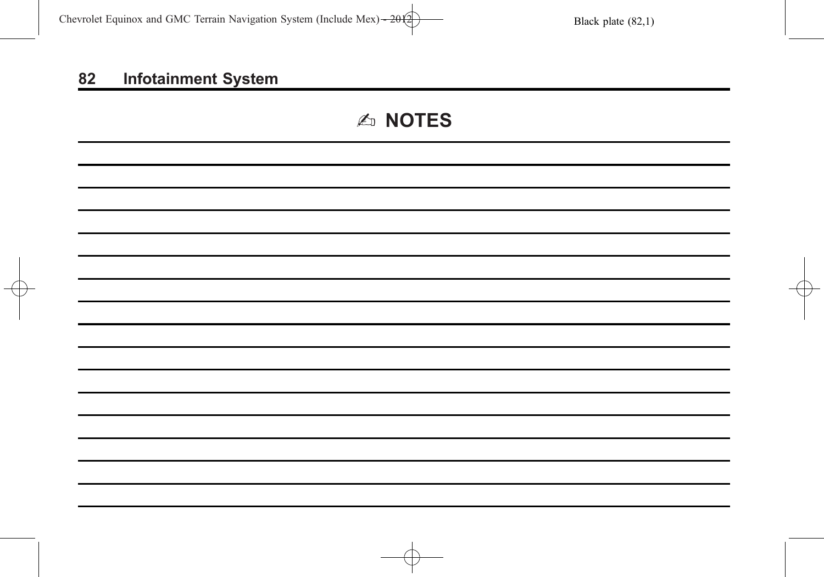# 2 **NOTES**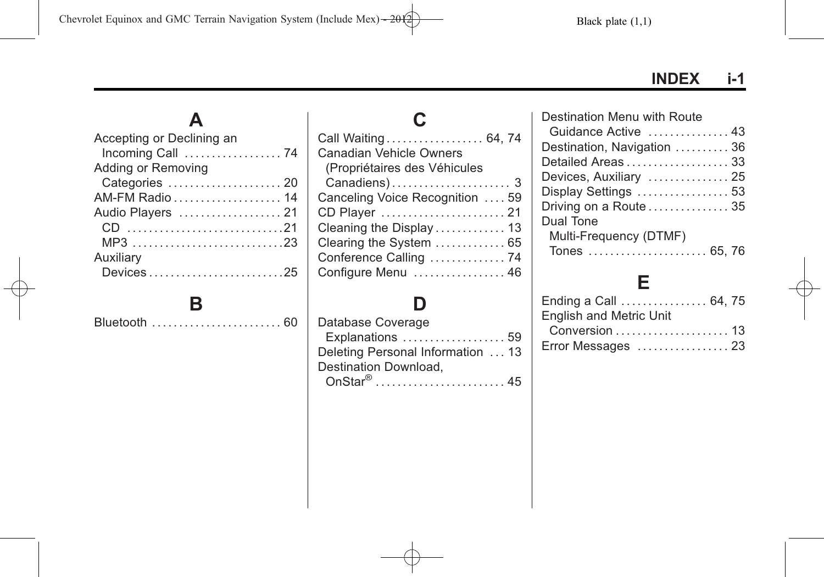**INDEX i-1**

# **A**

| Incoming Call  74 |
|-------------------|
|                   |
| Categories  20    |
| AM-FM Radio 14    |
| Audio Players  21 |
|                   |
| MP3 23            |
|                   |
| Devices25         |
|                   |

# **B**

[Bluetooth](#page-59-0) . . . . . . . . . . . . . . . . . . . . . . . . [60](#page-59-0)

| Call Waiting 64, 74             |
|---------------------------------|
| <b>Canadian Vehicle Owners</b>  |
| (Propriétaires des Véhicules    |
|                                 |
| Canceling Voice Recognition  59 |
| CD Player  21                   |
| Cleaning the Display  13        |
| Clearing the System  65         |
| Conference Calling  74          |
| Configure Menu  46              |

# **D**

| Database Coverage                 |  |
|-----------------------------------|--|
| Explanations  59                  |  |
| Deleting Personal Information  13 |  |
| Destination Download.             |  |
| OnStar <sup>®</sup> 45            |  |
|                                   |  |

| Destination Menu with Route |  |
|-----------------------------|--|
| Guidance Active  43         |  |
| Destination, Navigation  36 |  |
| Detailed Areas  33          |  |
| Devices, Auxiliary  25      |  |
| Display Settings  53        |  |
| Driving on a Route  35      |  |
| Dual Tone                   |  |
| Multi-Frequency (DTMF)      |  |
| Tones  65, 76               |  |

# **E**

| Ending a Call  64, 75   |  |
|-------------------------|--|
| English and Metric Unit |  |
|                         |  |
| Error Messages  23      |  |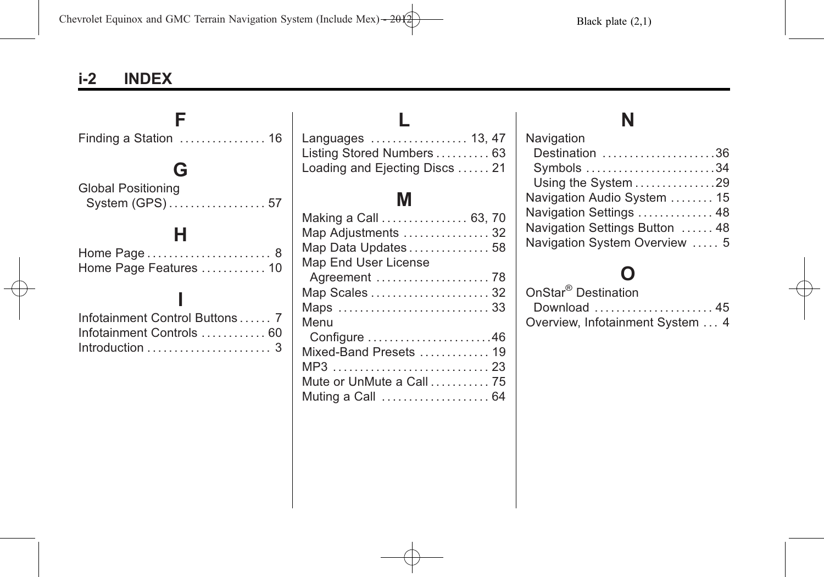# **i-2 INDEX**

| Finding a Station $\dots\dots\dots\dots\dots$ 16                                                                                           | Languages  13, 47                                                                                                                                                                            | Navigation                                                                                                                                                                        |
|--------------------------------------------------------------------------------------------------------------------------------------------|----------------------------------------------------------------------------------------------------------------------------------------------------------------------------------------------|-----------------------------------------------------------------------------------------------------------------------------------------------------------------------------------|
| G<br><b>Global Positioning</b>                                                                                                             | Listing Stored Numbers 63<br>Loading and Ejecting Discs  21                                                                                                                                  | Destination $\ldots \ldots \ldots \ldots \ldots \ldots$ .36<br>Symbols 34<br>Using the System 29                                                                                  |
|                                                                                                                                            | M                                                                                                                                                                                            | Navigation Audio System  15                                                                                                                                                       |
| Home Page Features  10<br>Infotainment Control Buttons 7<br>Infotainment Controls  60<br>Introduction $\ldots \ldots \ldots \ldots \ldots$ | Making a Call  63, 70<br>Map Adjustments  32<br>Map Data Updates 58<br>Map End User License<br>Map Scales  32<br>Menu<br>Configure 46<br>Mixed-Band Presets  19<br>Mute or UnMute a Call  75 | Navigation Settings  48<br>Navigation Settings Button  48<br>Navigation System Overview  5<br>OnStar <sup>®</sup> Destination<br>Download  45<br>Overview, Infotainment System  4 |
|                                                                                                                                            |                                                                                                                                                                                              |                                                                                                                                                                                   |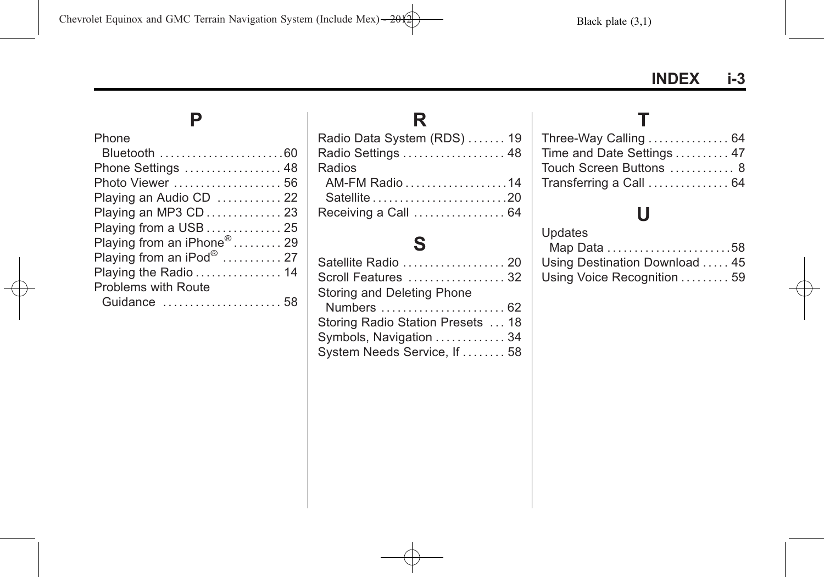**P**

[Phone](#page-59-0)

| Bluetooth 60                           |  |
|----------------------------------------|--|
| Phone Settings  48                     |  |
| Photo Viewer  56                       |  |
| Playing an Audio CD  22                |  |
| Playing an MP3 CD  23                  |  |
| Playing from a USB  25                 |  |
| Playing from an iPhone <sup>®</sup> 29 |  |
| Playing from an iPod <sup>®</sup> 27   |  |
| Playing the Radio  14                  |  |
| <b>Problems with Route</b>             |  |
| Guidance  58                           |  |

#### **R** [Radio Data System \(RDS\)](#page-18-0) . . . . . . [19](#page-18-0)<br>Radio Settings . . . . . . . . . . . . . . . . . 48 [Radio Settings](#page-47-0) . . . . . . . . . . . . . . . . . . . [48](#page-47-0) [Radios](#page-13-0) [AM-FM Radio](#page-13-0) . . . . . . . . . . . . . . . . . . .[14](#page-13-0) [Satellite](#page-19-0) . . . . . . . . . . . . . . . . . . . . . . . . .[20](#page-19-0) [Receiving a Call](#page-63-0) ................... [64](#page-63-0)

### **S**

| Satellite Radio  20               |  |
|-----------------------------------|--|
| Scroll Features  32               |  |
| Storing and Deleting Phone        |  |
| Numbers  62                       |  |
| Storing Radio Station Presets  18 |  |
| Symbols, Navigation  34           |  |
| System Needs Service, If  58      |  |
|                                   |  |

### **T**

| Three-Way Calling  64      |  |
|----------------------------|--|
| Time and Date Settings  47 |  |
| Touch Screen Buttons  8    |  |
| Transferring a Call  64    |  |

# **U**

| Updates                        |  |
|--------------------------------|--|
| Map Data 58                    |  |
| Using Destination Download  45 |  |
| Using Voice Recognition  59    |  |